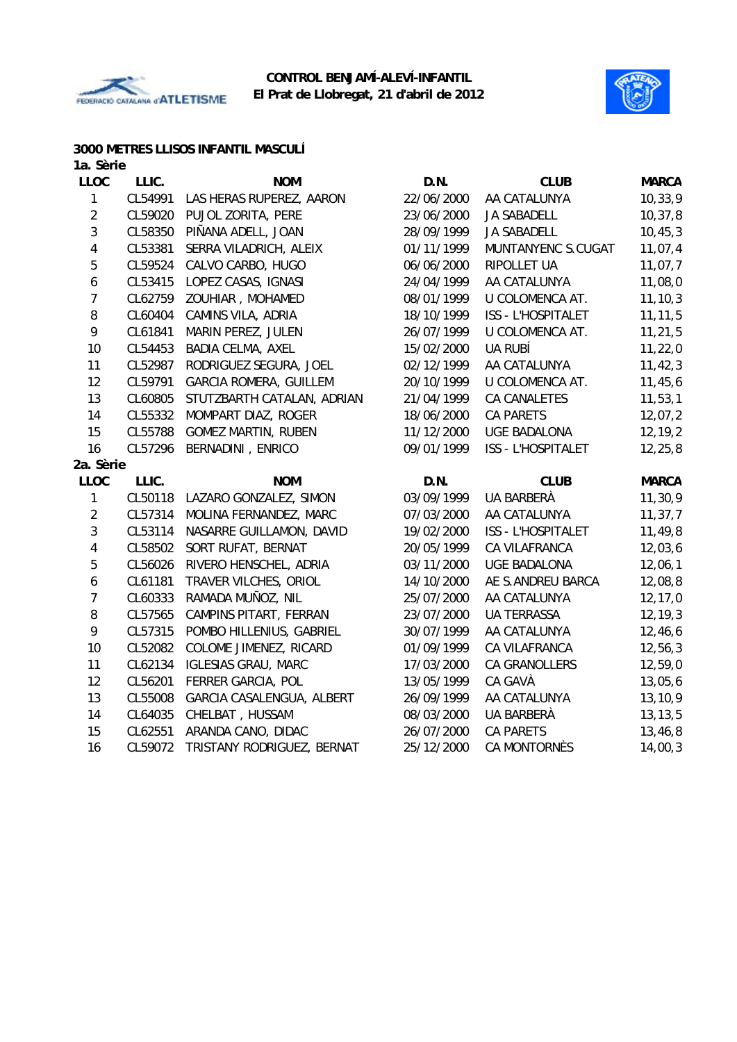



## **3000 METRES LLISOS INFANTIL MASCULÍ**

| 1a. Sèrie        |         |                               |            |                     |              |
|------------------|---------|-------------------------------|------------|---------------------|--------------|
| <b>LLOC</b>      | LLIC.   | <b>NOM</b>                    | D.N.       | <b>CLUB</b>         | <b>MARCA</b> |
| 1                | CL54991 | LAS HERAS RUPEREZ, AARON      | 22/06/2000 | AA CATALUNYA        | 10, 33, 9    |
| $\overline{2}$   | CL59020 | PUJOL ZORITA, PERE            | 23/06/2000 | <b>JA SABADELL</b>  | 10, 37, 8    |
| 3                | CL58350 | PIÑANA ADELL, JOAN            | 28/09/1999 | <b>JA SABADELL</b>  | 10, 45, 3    |
| 4                | CL53381 | SERRA VILADRICH, ALEIX        | 01/11/1999 | MUNTANYENC S.CUGAT  | 11,07,4      |
| 5                | CL59524 | CALVO CARBO, HUGO             | 06/06/2000 | RIPOLLET UA         | 11,07,7      |
| 6                | CL53415 | LOPEZ CASAS, IGNASI           | 24/04/1999 | AA CATALUNYA        | 11,08,0      |
| $\overline{7}$   | CL62759 | ZOUHIAR, MOHAMED              | 08/01/1999 | U COLOMENCA AT.     | 11, 10, 3    |
| 8                | CL60404 | CAMINS VILA, ADRIA            | 18/10/1999 | ISS - L'HOSPITALET  | 11, 11, 5    |
| 9                | CL61841 | MARIN PEREZ, JULEN            | 26/07/1999 | U COLOMENCA AT.     | 11, 21, 5    |
| 10               | CL54453 | BADIA CELMA, AXEL             | 15/02/2000 | UA RUBÍ             | 11, 22, 0    |
| 11               | CL52987 | RODRIGUEZ SEGURA, JOEL        | 02/12/1999 | AA CATALUNYA        | 11, 42, 3    |
| 12               | CL59791 | <b>GARCIA ROMERA, GUILLEM</b> | 20/10/1999 | U COLOMENCA AT.     | 11,45,6      |
| 13               | CL60805 | STUTZBARTH CATALAN, ADRIAN    | 21/04/1999 | <b>CA CANALETES</b> | 11, 53, 1    |
| 14               | CL55332 | MOMPART DIAZ, ROGER           | 18/06/2000 | <b>CA PARETS</b>    | 12,07,2      |
| 15               | CL55788 | <b>GOMEZ MARTIN, RUBEN</b>    | 11/12/2000 | <b>UGE BADALONA</b> | 12, 19, 2    |
| 16               | CL57296 | BERNADINI, ENRICO             | 09/01/1999 | ISS - L'HOSPITALET  | 12, 25, 8    |
| 2a. Sèrie        |         |                               |            |                     |              |
| <b>LLOC</b>      | LLIC.   | <b>NOM</b>                    | D.N.       | <b>CLUB</b>         | <b>MARCA</b> |
| $\mathbf{1}$     | CL50118 | LAZARO GONZALEZ, SIMON        | 03/09/1999 | UA BARBERÀ          | 11,30,9      |
| $\overline{2}$   | CL57314 | MOLINA FERNANDEZ, MARC        | 07/03/2000 | AA CATALUNYA        | 11, 37, 7    |
| $\mathbf{3}$     | CL53114 | NASARRE GUILLAMON, DAVID      | 19/02/2000 | ISS - L'HOSPITALET  | 11,49,8      |
| 4                | CL58502 | SORT RUFAT, BERNAT            | 20/05/1999 | CA VILAFRANCA       | 12,03,6      |
| 5                | CL56026 | RIVERO HENSCHEL, ADRIA        | 03/11/2000 | <b>UGE BADALONA</b> | 12,06,1      |
| $\boldsymbol{6}$ | CL61181 | TRAVER VILCHES, ORIOL         | 14/10/2000 | AE S.ANDREU BARCA   | 12,08,8      |
| $\overline{7}$   | CL60333 | RAMADA MUÑOZ, NIL             | 25/07/2000 | AA CATALUNYA        | 12, 17, 0    |
| 8                | CL57565 | CAMPINS PITART, FERRAN        | 23/07/2000 | <b>UA TERRASSA</b>  | 12, 19, 3    |
| 9                | CL57315 | POMBO HILLENIUS, GABRIEL      | 30/07/1999 | AA CATALUNYA        | 12,46,6      |
| 10               | CL52082 | COLOME JIMENEZ, RICARD        | 01/09/1999 | CA VILAFRANCA       | 12,56,3      |
| 11               | CL62134 | <b>IGLESIAS GRAU, MARC</b>    | 17/03/2000 | CA GRANOLLERS       | 12,59,0      |
| 12               | CL56201 | FERRER GARCIA, POL            | 13/05/1999 | CA GAVÀ             | 13,05,6      |
| 13               | CL55008 | GARCIA CASALENGUA, ALBERT     | 26/09/1999 | AA CATALUNYA        | 13,10,9      |
| 14               | CL64035 | CHELBAT, HUSSAM               | 08/03/2000 | UA BARBERÀ          | 13, 13, 5    |
| 15               | CL62551 | ARANDA CANO, DIDAC            | 26/07/2000 | <b>CA PARETS</b>    | 13,46,8      |
| 16               | CL59072 | TRISTANY RODRIGUEZ, BERNAT    | 25/12/2000 | <b>CA MONTORNÈS</b> | 14,00,3      |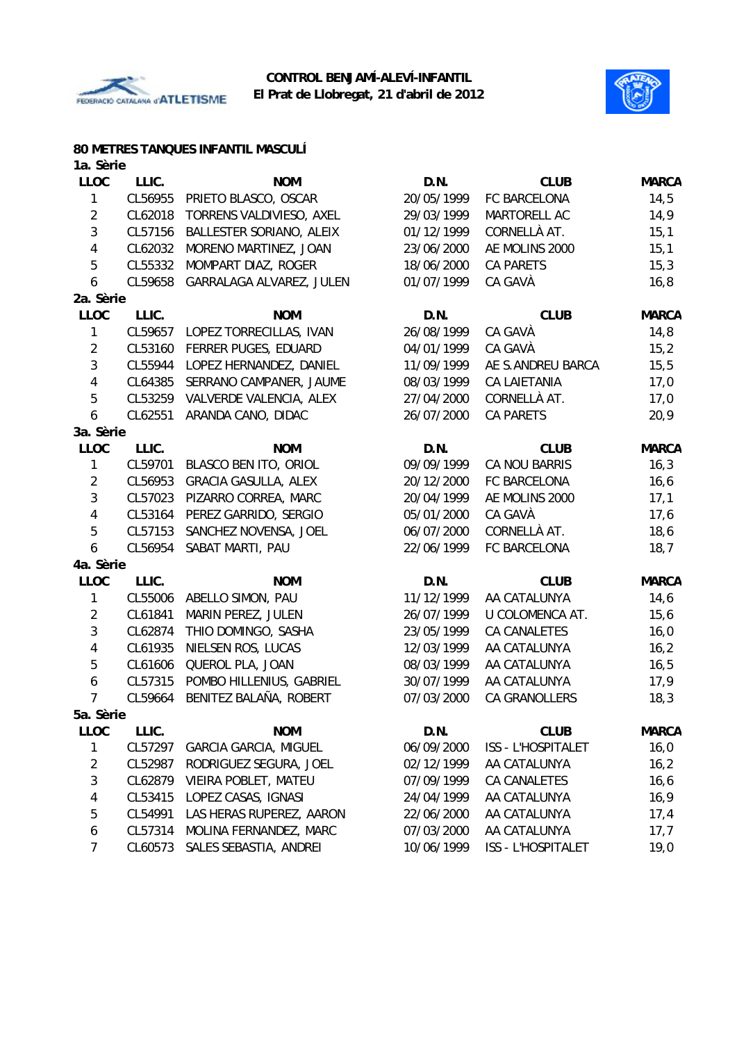



#### **80 METRES TANQUES INFANTIL MASCULÍ**

| 1a. Sèrie      |         |                              |            |                           |              |
|----------------|---------|------------------------------|------------|---------------------------|--------------|
| <b>LLOC</b>    | LLIC.   | <b>NOM</b>                   | D.N.       | <b>CLUB</b>               | <b>MARCA</b> |
| 1              | CL56955 | PRIETO BLASCO, OSCAR         | 20/05/1999 | FC BARCELONA              | 14,5         |
| $\overline{2}$ | CL62018 | TORRENS VALDIVIESO, AXEL     | 29/03/1999 | MARTORELL AC              | 14,9         |
| 3              | CL57156 | BALLESTER SORIANO, ALEIX     | 01/12/1999 | CORNELLÀ AT.              | 15,1         |
| 4              | CL62032 | MORENO MARTINEZ, JOAN        | 23/06/2000 | AE MOLINS 2000            | 15,1         |
| 5              | CL55332 | MOMPART DIAZ, ROGER          | 18/06/2000 | CA PARETS                 | 15,3         |
| 6              | CL59658 | GARRALAGA ALVAREZ, JULEN     | 01/07/1999 | CA GAVÀ                   | 16,8         |
| 2a. Sèrie      |         |                              |            |                           |              |
| <b>LLOC</b>    | LLIC.   | <b>NOM</b>                   | D.N.       | <b>CLUB</b>               | <b>MARCA</b> |
| 1              | CL59657 | LOPEZ TORRECILLAS, IVAN      | 26/08/1999 | CA GAVÀ                   | 14,8         |
| $\overline{2}$ | CL53160 | FERRER PUGES, EDUARD         | 04/01/1999 | CA GAVÀ                   | 15,2         |
| 3              | CL55944 | LOPEZ HERNANDEZ, DANIEL      | 11/09/1999 | AE S.ANDREU BARCA         | 15,5         |
| 4              | CL64385 | SERRANO CAMPANER, JAUME      | 08/03/1999 | <b>CA LAIETANIA</b>       | 17,0         |
| 5              | CL53259 | VALVERDE VALENCIA, ALEX      | 27/04/2000 | CORNELLÀ AT.              | 17,0         |
| 6              | CL62551 | ARANDA CANO, DIDAC           | 26/07/2000 | <b>CA PARETS</b>          | 20,9         |
| 3a. Sèrie      |         |                              |            |                           |              |
| <b>LLOC</b>    | LLIC.   | <b>NOM</b>                   | D.N.       | <b>CLUB</b>               | <b>MARCA</b> |
| 1              | CL59701 | BLASCO BEN ITO, ORIOL        | 09/09/1999 | CA NOU BARRIS             | 16,3         |
| $\overline{2}$ | CL56953 | <b>GRACIA GASULLA, ALEX</b>  | 20/12/2000 | FC BARCELONA              | 16, 6        |
| $\sqrt{3}$     | CL57023 | PIZARRO CORREA, MARC         | 20/04/1999 | AE MOLINS 2000            | 17,1         |
| 4              | CL53164 | PEREZ GARRIDO, SERGIO        | 05/01/2000 | CA GAVÀ                   | 17,6         |
| 5              | CL57153 | SANCHEZ NOVENSA, JOEL        | 06/07/2000 | CORNELLÀ AT.              | 18,6         |
| 6              | CL56954 | SABAT MARTI, PAU             | 22/06/1999 | FC BARCELONA              | 18,7         |
| 4a. Sèrie      |         |                              |            |                           |              |
| <b>LLOC</b>    | LLIC.   | <b>NOM</b>                   | D.N.       | <b>CLUB</b>               | <b>MARCA</b> |
| 1              | CL55006 | ABELLO SIMON, PAU            | 11/12/1999 | AA CATALUNYA              | 14,6         |
| $\overline{2}$ | CL61841 | MARIN PEREZ, JULEN           | 26/07/1999 | U COLOMENCA AT.           | 15,6         |
| $\sqrt{3}$     | CL62874 | THIO DOMINGO, SASHA          | 23/05/1999 | CA CANALETES              | 16,0         |
| 4              | CL61935 | NIELSEN ROS, LUCAS           | 12/03/1999 | AA CATALUNYA              | 16,2         |
| 5              | CL61606 | QUEROL PLA, JOAN             | 08/03/1999 | AA CATALUNYA              | 16, 5        |
| 6              | CL57315 | POMBO HILLENIUS, GABRIEL     | 30/07/1999 | AA CATALUNYA              | 17,9         |
| $\overline{7}$ | CL59664 | BENITEZ BALAÑA, ROBERT       | 07/03/2000 | CA GRANOLLERS             | 18,3         |
| 5a. Sèrie      |         |                              |            |                           |              |
| LLOC           | LLIC.   | <b>NOM</b>                   | D.N.       | <b>CLUB</b>               | <b>MARCA</b> |
| 1              | CL57297 | <b>GARCIA GARCIA, MIGUEL</b> | 06/09/2000 | <b>ISS - L'HOSPITALET</b> | 16,0         |
| $\overline{2}$ | CL52987 | RODRIGUEZ SEGURA, JOEL       | 02/12/1999 | AA CATALUNYA              | 16,2         |
| 3              | CL62879 | VIEIRA POBLET, MATEU         | 07/09/1999 | CA CANALETES              | 16, 6        |
| 4              | CL53415 | LOPEZ CASAS, IGNASI          | 24/04/1999 | AA CATALUNYA              | 16,9         |
| 5              | CL54991 | LAS HERAS RUPEREZ, AARON     | 22/06/2000 | AA CATALUNYA              | 17,4         |
| 6              | CL57314 | MOLINA FERNANDEZ, MARC       | 07/03/2000 | AA CATALUNYA              | 17,7         |
| 7              | CL60573 | SALES SEBASTIA, ANDREI       | 10/06/1999 | ISS - L'HOSPITALET        | 19,0         |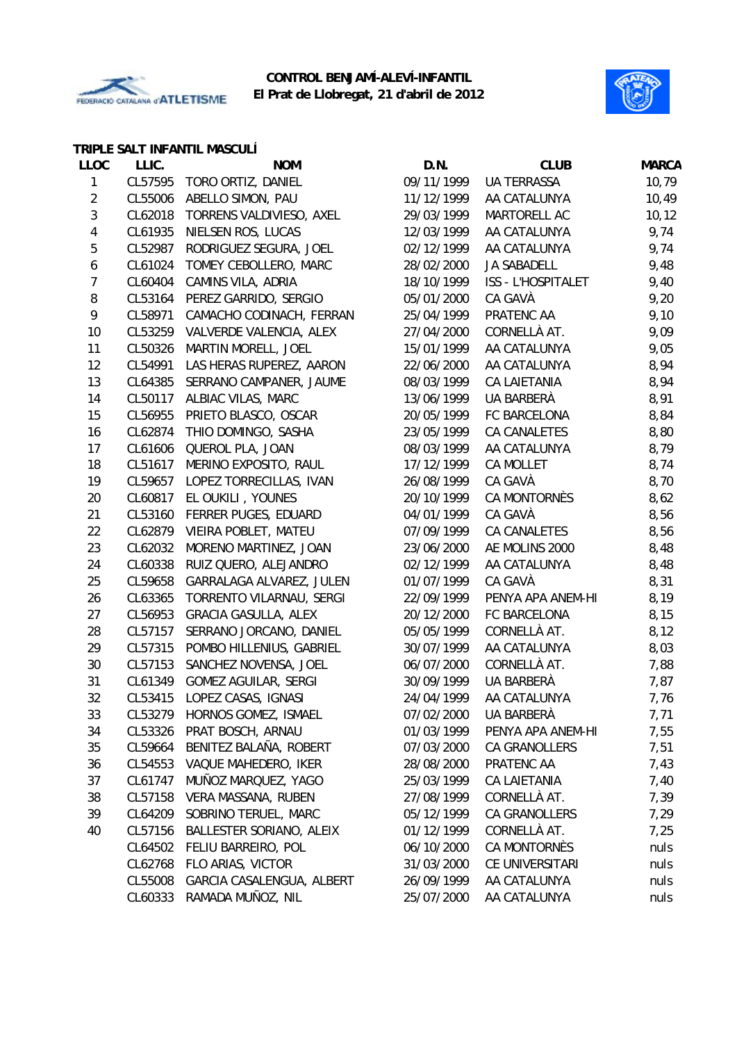



## **TRIPLE SALT INFANTIL MASCULÍ**

| <b>LLOC</b>    | LLIC.   | <b>NOM</b>                  | D.N.       | <b>CLUB</b>           | <b>MARCA</b> |
|----------------|---------|-----------------------------|------------|-----------------------|--------------|
| 1              | CL57595 | TORO ORTIZ, DANIEL          | 09/11/1999 | UA TERRASSA           | 10,79        |
| $\overline{c}$ | CL55006 | ABELLO SIMON, PAU           | 11/12/1999 | AA CATALUNYA          | 10,49        |
| 3              | CL62018 | TORRENS VALDIVIESO, AXEL    | 29/03/1999 | MARTORELL AC          | 10, 12       |
| 4              | CL61935 | NIELSEN ROS, LUCAS          | 12/03/1999 | AA CATALUNYA          | 9,74         |
| 5              | CL52987 | RODRIGUEZ SEGURA, JOEL      | 02/12/1999 | AA CATALUNYA          | 9,74         |
| 6              | CL61024 | TOMEY CEBOLLERO, MARC       | 28/02/2000 | JA SABADELL           | 9,48         |
| 7              | CL60404 | CAMINS VILA, ADRIA          | 18/10/1999 | ISS - L'HOSPITALET    | 9,40         |
| 8              | CL53164 | PEREZ GARRIDO, SERGIO       | 05/01/2000 | CA GAVÀ               | 9,20         |
| 9              | CL58971 | CAMACHO CODINACH, FERRAN    | 25/04/1999 | PRATENC AA            | 9,10         |
| 10             | CL53259 | VALVERDE VALENCIA, ALEX     | 27/04/2000 | CORNELLÀ AT.          | 9,09         |
| 11             | CL50326 | MARTIN MORELL, JOEL         | 15/01/1999 | AA CATALUNYA          | 9,05         |
| 12             | CL54991 | LAS HERAS RUPEREZ, AARON    | 22/06/2000 | AA CATALUNYA          | 8,94         |
| 13             | CL64385 | SERRANO CAMPANER, JAUME     | 08/03/1999 | CA LAIETANIA          | 8,94         |
| 14             | CL50117 | ALBIAC VILAS, MARC          | 13/06/1999 | UA BARBERÀ            | 8,91         |
| 15             | CL56955 | PRIETO BLASCO, OSCAR        | 20/05/1999 | FC BARCELONA          | 8,84         |
| 16             | CL62874 | THIO DOMINGO, SASHA         | 23/05/1999 | CA CANALETES          | 8,80         |
| 17             | CL61606 | QUEROL PLA, JOAN            | 08/03/1999 | AA CATALUNYA          | 8,79         |
| 18             | CL51617 | MERINO EXPOSITO, RAUL       | 17/12/1999 | CA MOLLET             | 8,74         |
| 19             | CL59657 | LOPEZ TORRECILLAS, IVAN     | 26/08/1999 | CA GAVÀ               | 8,70         |
| 20             | CL60817 | EL OUKILI, YOUNES           | 20/10/1999 | CA MONTORNÈS          | 8,62         |
| 21             | CL53160 | FERRER PUGES, EDUARD        | 04/01/1999 | CA GAVÀ               | 8,56         |
| 22             | CL62879 | VIEIRA POBLET, MATEU        | 07/09/1999 | CA CANALETES          | 8,56         |
| 23             | CL62032 | MORENO MARTINEZ, JOAN       | 23/06/2000 | AE MOLINS 2000        | 8,48         |
| 24             | CL60338 | RUIZ QUERO, ALEJANDRO       | 02/12/1999 | AA CATALUNYA          | 8,48         |
| 25             | CL59658 | GARRALAGA ALVAREZ, JULEN    | 01/07/1999 | CA GAVÀ               | 8,31         |
| 26             | CL63365 | TORRENTO VILARNAU, SERGI    | 22/09/1999 | PENYA APA ANEM-HI     | 8,19         |
| 27             | CL56953 | <b>GRACIA GASULLA, ALEX</b> | 20/12/2000 | FC BARCELONA          | 8,15         |
| 28             | CL57157 | SERRANO JORCANO, DANIEL     | 05/05/1999 | CORNELLÀ AT.          | 8,12         |
| 29             | CL57315 | POMBO HILLENIUS, GABRIEL    | 30/07/1999 | AA CATALUNYA          | 8,03         |
| 30             | CL57153 | SANCHEZ NOVENSA, JOEL       | 06/07/2000 | CORNELLÀ AT.          | 7,88         |
| 31             | CL61349 | <b>GOMEZ AGUILAR, SERGI</b> | 30/09/1999 | UA BARBERÀ            | 7,87         |
| 32             | CL53415 | LOPEZ CASAS, IGNASI         | 24/04/1999 | AA CATALUNYA          | 7,76         |
| 33             | CL53279 | HORNOS GOMEZ, ISMAEL        |            | 07/02/2000 UA BARBERÀ | 7,71         |
| 34             | CL53326 | PRAT BOSCH, ARNAU           | 01/03/1999 | PENYA APA ANEM-HI     | 7,55         |
| 35             | CL59664 | BENITEZ BALAÑA, ROBERT      | 07/03/2000 | <b>CA GRANOLLERS</b>  | 7,51         |
| 36             | CL54553 | VAQUE MAHEDERO, IKER        | 28/08/2000 | PRATENC AA            | 7,43         |
| 37             | CL61747 | MUÑOZ MARQUEZ, YAGO         | 25/03/1999 | CA LAIETANIA          | 7,40         |
| 38             | CL57158 | VERA MASSANA, RUBEN         | 27/08/1999 | CORNELLÀ AT.          | 7,39         |
| 39             | CL64209 | SOBRINO TERUEL, MARC        | 05/12/1999 | CA GRANOLLERS         | 7,29         |
| 40             | CL57156 | BALLESTER SORIANO, ALEIX    | 01/12/1999 | CORNELLÀ AT.          | 7,25         |
|                | CL64502 | FELIU BARREIRO, POL         | 06/10/2000 | CA MONTORNÈS          | nuls         |
|                | CL62768 | FLO ARIAS, VICTOR           | 31/03/2000 | CE UNIVERSITARI       | nuls         |
|                | CL55008 | GARCIA CASALENGUA, ALBERT   | 26/09/1999 | AA CATALUNYA          | nuls         |
|                | CL60333 | RAMADA MUÑOZ, NIL           | 25/07/2000 | AA CATALUNYA          | nuls         |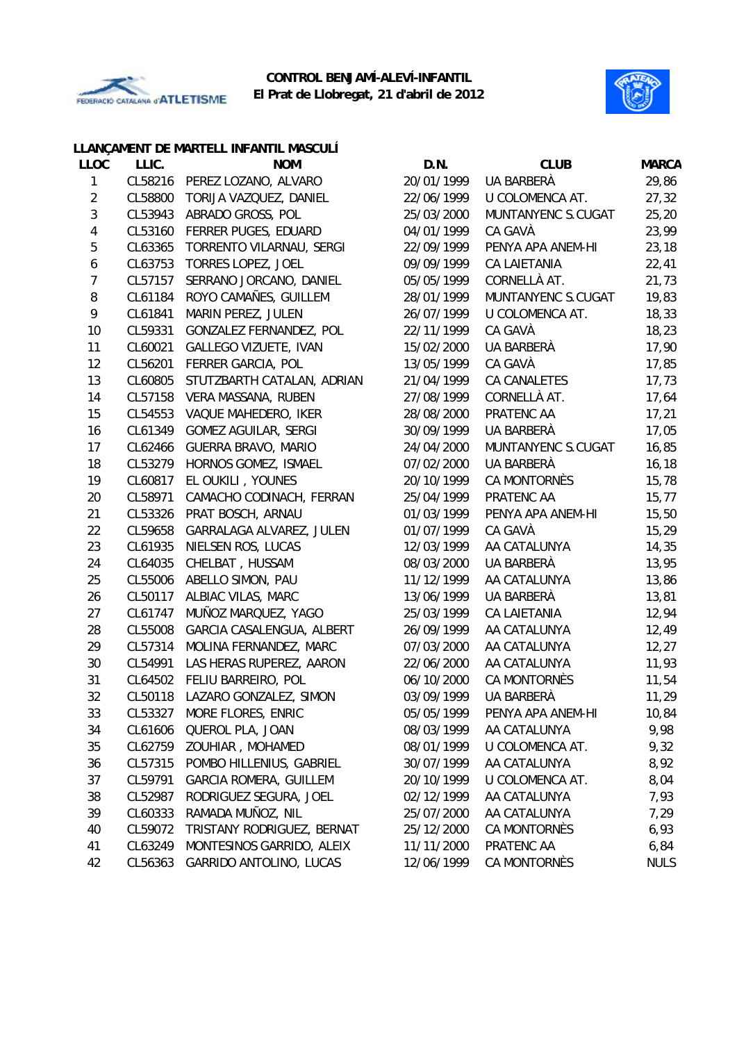



|                |         | LLANÇAMENT DE MARTELL INFANTIL MASCULÍ |            |                     |              |
|----------------|---------|----------------------------------------|------------|---------------------|--------------|
| <b>LLOC</b>    | LLIC.   | <b>NOM</b>                             | D.N.       | <b>CLUB</b>         | <b>MARCA</b> |
| 1              | CL58216 | PEREZ LOZANO, ALVARO                   | 20/01/1999 | UA BARBERÀ          | 29,86        |
| $\sqrt{2}$     | CL58800 | TORIJA VAZQUEZ, DANIEL                 | 22/06/1999 | U COLOMENCA AT.     | 27,32        |
| $\mathbf{3}$   | CL53943 | ABRADO GROSS, POL                      | 25/03/2000 | MUNTANYENC S.CUGAT  | 25,20        |
| $\overline{4}$ | CL53160 | FERRER PUGES, EDUARD                   | 04/01/1999 | CA GAVÀ             | 23,99        |
| 5              | CL63365 | TORRENTO VILARNAU, SERGI               | 22/09/1999 | PENYA APA ANEM-HI   | 23,18        |
| 6              | CL63753 | <b>TORRES LOPEZ, JOEL</b>              | 09/09/1999 | CA LAIETANIA        | 22,41        |
| $\overline{7}$ | CL57157 | SERRANO JORCANO, DANIEL                | 05/05/1999 | CORNELLÀ AT.        | 21,73        |
| $\, 8$         | CL61184 | ROYO CAMAÑES, GUILLEM                  | 28/01/1999 | MUNTANYENC S.CUGAT  | 19,83        |
| 9              | CL61841 | MARIN PEREZ, JULEN                     | 26/07/1999 | U COLOMENCA AT.     | 18,33        |
| 10             | CL59331 | GONZALEZ FERNANDEZ, POL                | 22/11/1999 | CA GAVÀ             | 18,23        |
| 11             | CL60021 | GALLEGO VIZUETE, IVAN                  | 15/02/2000 | UA BARBERÀ          | 17,90        |
| 12             | CL56201 | FERRER GARCIA, POL                     | 13/05/1999 | CA GAVÀ             | 17,85        |
| 13             | CL60805 | STUTZBARTH CATALAN, ADRIAN             | 21/04/1999 | CA CANALETES        | 17,73        |
| 14             | CL57158 | VERA MASSANA, RUBEN                    | 27/08/1999 | CORNELLÀ AT.        | 17,64        |
| 15             | CL54553 | VAQUE MAHEDERO, IKER                   | 28/08/2000 | PRATENC AA          | 17,21        |
| 16             | CL61349 | <b>GOMEZ AGUILAR, SERGI</b>            | 30/09/1999 | UA BARBERÀ          | 17,05        |
| 17             | CL62466 | <b>GUERRA BRAVO, MARIO</b>             | 24/04/2000 | MUNTANYENC S.CUGAT  | 16,85        |
| 18             | CL53279 | HORNOS GOMEZ, ISMAEL                   | 07/02/2000 | UA BARBERÀ          | 16,18        |
| 19             | CL60817 | EL OUKILI, YOUNES                      | 20/10/1999 | <b>CA MONTORNÈS</b> | 15,78        |
| 20             | CL58971 | CAMACHO CODINACH, FERRAN               | 25/04/1999 | PRATENC AA          | 15, 77       |
| 21             | CL53326 | PRAT BOSCH, ARNAU                      | 01/03/1999 | PENYA APA ANEM-HI   | 15,50        |
| 22             | CL59658 | GARRALAGA ALVAREZ, JULEN               | 01/07/1999 | CA GAVÀ             | 15,29        |
| 23             | CL61935 | NIELSEN ROS, LUCAS                     | 12/03/1999 | AA CATALUNYA        | 14,35        |
| 24             | CL64035 | CHELBAT, HUSSAM                        | 08/03/2000 | UA BARBERÀ          | 13,95        |
| 25             | CL55006 | ABELLO SIMON, PAU                      | 11/12/1999 | AA CATALUNYA        | 13,86        |
| 26             | CL50117 | ALBIAC VILAS, MARC                     | 13/06/1999 | UA BARBERÀ          | 13,81        |
| 27             | CL61747 | MUÑOZ MARQUEZ, YAGO                    | 25/03/1999 | CA LAIETANIA        | 12,94        |
| 28             | CL55008 | GARCIA CASALENGUA, ALBERT              | 26/09/1999 | AA CATALUNYA        | 12,49        |
| 29             | CL57314 | MOLINA FERNANDEZ, MARC                 | 07/03/2000 | AA CATALUNYA        | 12,27        |
| 30             | CL54991 | LAS HERAS RUPEREZ, AARON               | 22/06/2000 | AA CATALUNYA        | 11,93        |
| 31             | CL64502 | FELIU BARREIRO, POL                    | 06/10/2000 | CA MONTORNÈS        | 11,54        |
| 32             | CL50118 | LAZARO GONZALEZ, SIMON                 | 03/09/1999 | UA BARBERÀ          | 11,29        |
| 33             | CL53327 | MORE FLORES, ENRIC                     | 05/05/1999 | PENYA APA ANEM-HI   | 10,84        |
| 34             | CL61606 | QUEROL PLA, JOAN                       | 08/03/1999 | AA CATALUNYA        | 9,98         |
| 35             | CL62759 | ZOUHIAR, MOHAMED                       | 08/01/1999 | U COLOMENCA AT.     | 9,32         |
| 36             | CL57315 | POMBO HILLENIUS, GABRIEL               | 30/07/1999 | AA CATALUNYA        | 8,92         |
| 37             | CL59791 | <b>GARCIA ROMERA, GUILLEM</b>          | 20/10/1999 | U COLOMENCA AT.     | 8,04         |
| 38             | CL52987 | RODRIGUEZ SEGURA, JOEL                 | 02/12/1999 | AA CATALUNYA        | 7,93         |
| 39             | CL60333 | RAMADA MUÑOZ, NIL                      | 25/07/2000 | AA CATALUNYA        | 7,29         |
| 40             | CL59072 | TRISTANY RODRIGUEZ, BERNAT             | 25/12/2000 | CA MONTORNÈS        | 6,93         |
| 41             | CL63249 | MONTESINOS GARRIDO, ALEIX              | 11/11/2000 | PRATENC AA          | 6,84         |
| 42             | CL56363 | GARRIDO ANTOLINO, LUCAS                | 12/06/1999 | CA MONTORNÈS        | <b>NULS</b>  |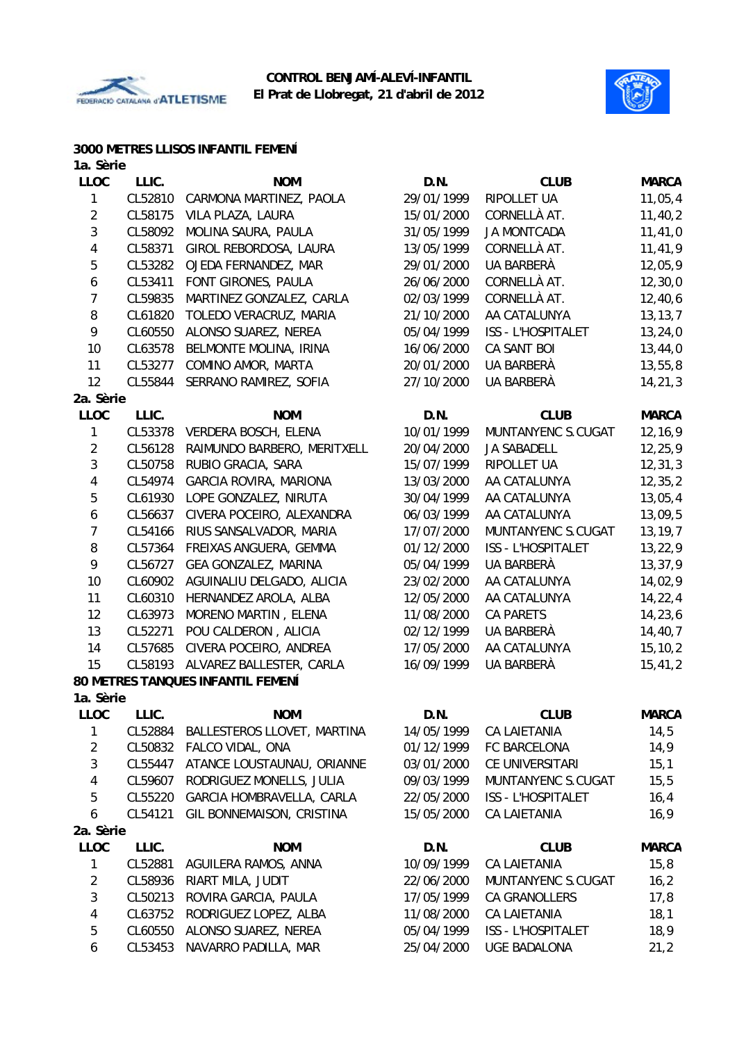



#### **3000 METRES LLISOS INFANTIL FEMENÍ**

| 1a. Sèrie      |         |                                   |            |                           |              |
|----------------|---------|-----------------------------------|------------|---------------------------|--------------|
| <b>LLOC</b>    | LLIC.   | <b>NOM</b>                        | D.N.       | <b>CLUB</b>               | <b>MARCA</b> |
| 1              | CL52810 | CARMONA MARTINEZ, PAOLA           | 29/01/1999 | RIPOLLET UA               | 11,05,4      |
| $\overline{2}$ | CL58175 | VILA PLAZA, LAURA                 | 15/01/2000 | CORNELLÀ AT.              | 11,40,2      |
| $\sqrt{3}$     | CL58092 | MOLINA SAURA, PAULA               | 31/05/1999 | <b>JA MONTCADA</b>        | 11, 41, 0    |
| 4              | CL58371 | GIROL REBORDOSA, LAURA            | 13/05/1999 | CORNELLÀ AT.              | 11,41,9      |
| 5              | CL53282 | OJEDA FERNANDEZ, MAR              | 29/01/2000 | UA BARBERÀ                | 12,05,9      |
| 6              | CL53411 | FONT GIRONES, PAULA               | 26/06/2000 | CORNELLÀ AT.              | 12, 30, 0    |
| 7              | CL59835 | MARTINEZ GONZALEZ, CARLA          | 02/03/1999 | CORNELLÀ AT.              | 12,40,6      |
| 8              | CL61820 | TOLEDO VERACRUZ, MARIA            | 21/10/2000 | AA CATALUNYA              | 13, 13, 7    |
| 9              | CL60550 | ALONSO SUAREZ, NEREA              | 05/04/1999 | <b>ISS - L'HOSPITALET</b> | 13,24,0      |
| 10             | CL63578 | BELMONTE MOLINA, IRINA            | 16/06/2000 | CA SANT BOI               | 13,44,0      |
| 11             | CL53277 | COMINO AMOR, MARTA                | 20/01/2000 | UA BARBERÀ                | 13, 55, 8    |
| 12             | CL55844 | SERRANO RAMIREZ, SOFIA            | 27/10/2000 | UA BARBERÀ                | 14, 21, 3    |
| 2a. Sèrie      |         |                                   |            |                           |              |
| <b>LLOC</b>    | LLIC.   | <b>NOM</b>                        | D.N.       | <b>CLUB</b>               | <b>MARCA</b> |
| $\mathbf{1}$   | CL53378 | VERDERA BOSCH, ELENA              | 10/01/1999 | MUNTANYENC S.CUGAT        | 12, 16, 9    |
| $\overline{2}$ | CL56128 | RAIMUNDO BARBERO, MERITXELL       | 20/04/2000 | JA SABADELL               | 12,25,9      |
| 3              | CL50758 | RUBIO GRACIA, SARA                | 15/07/1999 | RIPOLLET UA               | 12, 31, 3    |
| 4              | CL54974 | <b>GARCIA ROVIRA, MARIONA</b>     | 13/03/2000 | AA CATALUNYA              | 12, 35, 2    |
| 5              | CL61930 | LOPE GONZALEZ, NIRUTA             | 30/04/1999 | AA CATALUNYA              | 13,05,4      |
| 6              | CL56637 | CIVERA POCEIRO, ALEXANDRA         | 06/03/1999 | AA CATALUNYA              | 13,09,5      |
| $\overline{7}$ | CL54166 | RIUS SANSALVADOR, MARIA           | 17/07/2000 | MUNTANYENC S.CUGAT        | 13, 19, 7    |
| 8              | CL57364 | FREIXAS ANGUERA, GEMMA            | 01/12/2000 | <b>ISS - L'HOSPITALET</b> | 13,22,9      |
| 9              | CL56727 | GEA GONZALEZ, MARINA              | 05/04/1999 | UA BARBERÀ                | 13,37,9      |
| 10             | CL60902 | AGUINALIU DELGADO, ALICIA         | 23/02/2000 | AA CATALUNYA              | 14,02,9      |
| 11             | CL60310 | HERNANDEZ AROLA, ALBA             | 12/05/2000 | AA CATALUNYA              | 14, 22, 4    |
| 12             | CL63973 | MORENO MARTIN, ELENA              | 11/08/2000 | <b>CA PARETS</b>          | 14,23,6      |
| 13             | CL52271 | POU CALDERON, ALICIA              | 02/12/1999 | UA BARBERÀ                | 14,40,7      |
| 14             | CL57685 | CIVERA POCEIRO, ANDREA            | 17/05/2000 | AA CATALUNYA              | 15, 10, 2    |
| 15             | CL58193 | ALVAREZ BALLESTER, CARLA          | 16/09/1999 | UA BARBERÀ                | 15,41,2      |
|                |         | 80 METRES TANQUES INFANTIL FEMENÍ |            |                           |              |
| 1a. Sèrie      |         |                                   |            |                           |              |
| <b>LLOC</b>    | LLIC.   | <b>NOM</b>                        | D.N.       | <b>CLUB</b>               | <b>MARCA</b> |
| 1              | CL52884 | BALLESTEROS LLOVET, MARTINA       | 14/05/1999 | CA LAIETANIA              | 14,5         |
| $\overline{2}$ | CL50832 | FALCO VIDAL, ONA                  | 01/12/1999 | FC BARCELONA              | 14,9         |
| $\sqrt{3}$     | CL55447 | ATANCE LOUSTAUNAU, ORIANNE        | 03/01/2000 | CE UNIVERSITARI           | 15,1         |
| $\overline{4}$ | CL59607 | RODRIGUEZ MONELLS, JULIA          | 09/03/1999 | MUNTANYENC S.CUGAT        | 15,5         |
| 5              | CL55220 | GARCIA HOMBRAVELLA, CARLA         | 22/05/2000 | <b>ISS - L'HOSPITALET</b> | 16,4         |
| 6              | CL54121 | GIL BONNEMAISON, CRISTINA         | 15/05/2000 | CA LAIETANIA              | 16,9         |
| 2a. Sèrie      |         |                                   |            |                           |              |
| <b>LLOC</b>    | LLIC.   | <b>NOM</b>                        | D.N.       | <b>CLUB</b>               | <b>MARCA</b> |
| $\mathbf{1}$   | CL52881 | AGUILERA RAMOS, ANNA              | 10/09/1999 | <b>CA LAIETANIA</b>       | 15,8         |
| $\overline{2}$ | CL58936 | RIART MILA, JUDIT                 | 22/06/2000 | MUNTANYENC S.CUGAT        | 16,2         |
| 3              | CL50213 | ROVIRA GARCIA, PAULA              | 17/05/1999 | CA GRANOLLERS             | 17,8         |
| $\overline{4}$ | CL63752 | RODRIGUEZ LOPEZ, ALBA             | 11/08/2000 | <b>CA LAIETANIA</b>       | 18,1         |
| 5              | CL60550 | ALONSO SUAREZ, NEREA              | 05/04/1999 | ISS - L'HOSPITALET        | 18,9         |

6 CL53453 NAVARRO PADILLA, MAR 25/04/2000 UGE BADALONA 21,2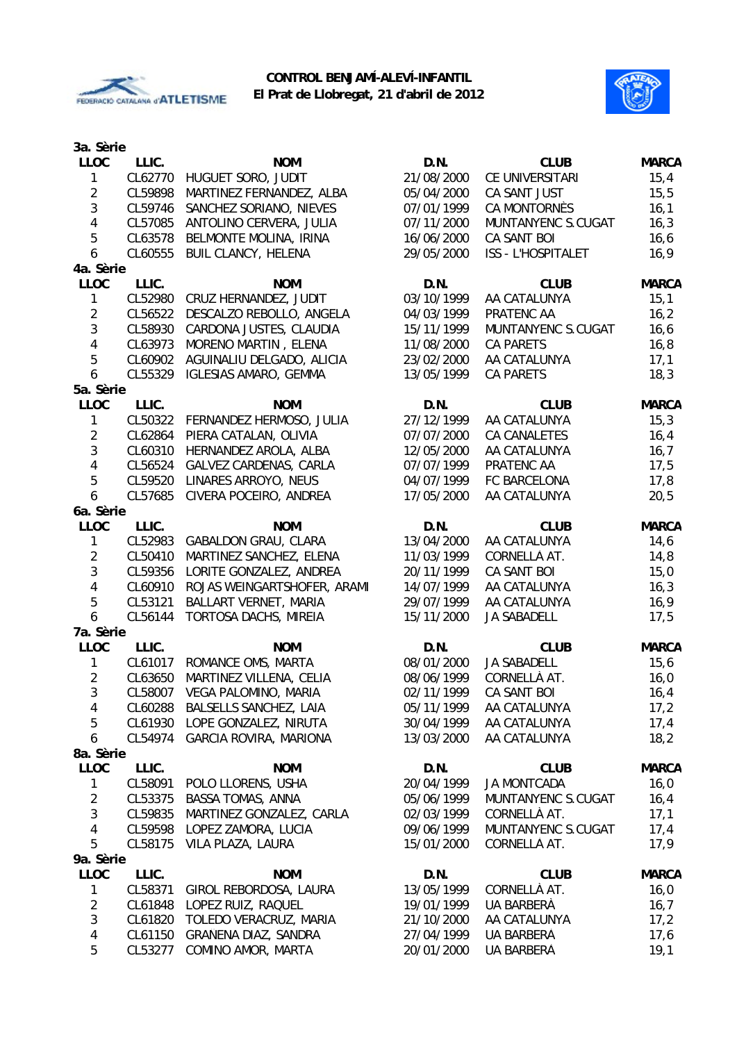



| 3a. Sèrie               |         |                                |            |                    |              |
|-------------------------|---------|--------------------------------|------------|--------------------|--------------|
| <b>LLOC</b>             | LLIC.   | <b>NOM</b>                     | D.N.       | <b>CLUB</b>        | <b>MARCA</b> |
| 1                       | CL62770 | HUGUET SORO, JUDIT             | 21/08/2000 | CE UNIVERSITARI    | 15,4         |
| $\overline{2}$          | CL59898 | MARTINEZ FERNANDEZ, ALBA       | 05/04/2000 | CA SANT JUST       | 15,5         |
| 3                       | CL59746 | SANCHEZ SORIANO, NIEVES        | 07/01/1999 | CA MONTORNÈS       | 16,1         |
| $\overline{4}$          | CL57085 | ANTOLINO CERVERA, JULIA        | 07/11/2000 | MUNTANYENC S.CUGAT | 16,3         |
| 5                       | CL63578 | BELMONTE MOLINA, IRINA         | 16/06/2000 | CA SANT BOI        | 16, 6        |
| 6                       | CL60555 | <b>BUIL CLANCY, HELENA</b>     | 29/05/2000 | ISS - L'HOSPITALET | 16,9         |
| 4a. Sèrie               |         |                                |            |                    |              |
| <b>LLOC</b>             | LLIC.   | <b>NOM</b>                     | D.N.       | <b>CLUB</b>        | <b>MARCA</b> |
| 1                       | CL52980 | CRUZ HERNANDEZ, JUDIT          | 03/10/1999 | AA CATALUNYA       | 15,1         |
| $\overline{2}$          | CL56522 | DESCALZO REBOLLO, ANGELA       | 04/03/1999 | PRATENC AA         | 16,2         |
| 3                       | CL58930 | CARDONA JUSTES, CLAUDIA        | 15/11/1999 | MUNTANYENC S.CUGAT | 16, 6        |
| $\overline{4}$          | CL63973 | MORENO MARTIN, ELENA           | 11/08/2000 | <b>CA PARETS</b>   | 16,8         |
| 5                       | CL60902 | AGUINALIU DELGADO, ALICIA      | 23/02/2000 | AA CATALUNYA       | 17,1         |
| 6                       | CL55329 | <b>IGLESIAS AMARO, GEMMA</b>   | 13/05/1999 | <b>CA PARETS</b>   | 18,3         |
| 5a. Sèrie               |         |                                |            |                    |              |
| <b>LLOC</b>             | LLIC.   | <b>NOM</b>                     | D.N.       | <b>CLUB</b>        | <b>MARCA</b> |
| 1                       | CL50322 | FERNANDEZ HERMOSO, JULIA       | 27/12/1999 | AA CATALUNYA       | 15,3         |
| $\overline{2}$          |         | PIERA CATALAN, OLIVIA          | 07/07/2000 |                    |              |
| $\mathbf{3}$            | CL62864 |                                |            | CA CANALETES       | 16,4         |
|                         | CL60310 | HERNANDEZ AROLA, ALBA          | 12/05/2000 | AA CATALUNYA       | 16,7         |
| 4                       | CL56524 | GALVEZ CARDENAS, CARLA         | 07/07/1999 | PRATENC AA         | 17,5         |
| 5                       | CL59520 | LINARES ARROYO, NEUS           | 04/07/1999 | FC BARCELONA       | 17,8         |
| $\boldsymbol{6}$        | CL57685 | CIVERA POCEIRO, ANDREA         | 17/05/2000 | AA CATALUNYA       | 20,5         |
| 6a. Sèrie               |         |                                |            |                    |              |
| <b>LLOC</b>             | LLIC.   | <b>NOM</b>                     | D.N.       | <b>CLUB</b>        | <b>MARCA</b> |
| $\mathbf{1}$            | CL52983 | <b>GABALDON GRAU, CLARA</b>    | 13/04/2000 | AA CATALUNYA       | 14,6         |
| $\overline{2}$          | CL50410 | MARTINEZ SANCHEZ, ELENA        | 11/03/1999 | CORNELLÀ AT.       | 14,8         |
| $\mathbf{3}$            | CL59356 | LORITE GONZALEZ, ANDREA        | 20/11/1999 | CA SANT BOI        | 15,0         |
| $\overline{\mathbf{4}}$ | CL60910 | ROJAS WEINGARTSHOFER, ARAMI    | 14/07/1999 | AA CATALUNYA       | 16,3         |
| 5                       | CL53121 | BALLART VERNET, MARIA          | 29/07/1999 | AA CATALUNYA       | 16,9         |
| 6                       | CL56144 | TORTOSA DACHS, MIREIA          | 15/11/2000 | <b>JA SABADELL</b> | 17,5         |
| 7a. Sèrie               |         |                                |            |                    |              |
| <b>LLOC</b>             | LLIC.   | <b>NOM</b>                     | D.N.       | <b>CLUB</b>        | <b>MARCA</b> |
| $\mathbf{1}$            | CL61017 | ROMANCE OMS, MARTA             | 08/01/2000 | JA SABADELL        | 15,6         |
| $\overline{2}$          | CL63650 | MARTINEZ VILLENA, CELIA        | 08/06/1999 | CORNELLÀ AT.       | 16,0         |
| 3                       | CL58007 | VEGA PALOMINO, MARIA           | 02/11/1999 | <b>CA SANT BOI</b> | 16,4         |
| 4                       |         | CL60288 BALSELLS SANCHEZ, LAIA | 05/11/1999 | AA CATALUNYA       | 17,2         |
| 5                       | CL61930 | LOPE GONZALEZ, NIRUTA          | 30/04/1999 | AA CATALUNYA       | 17,4         |
| 6                       | CL54974 | <b>GARCIA ROVIRA, MARIONA</b>  | 13/03/2000 | AA CATALUNYA       | 18,2         |
| 8a. Sèrie               |         |                                |            |                    |              |
| <b>LLOC</b>             | LLIC.   | <b>NOM</b>                     | D.N.       | <b>CLUB</b>        | <b>MARCA</b> |
| 1                       | CL58091 | POLO LLORENS, USHA             | 20/04/1999 | <b>JA MONTCADA</b> | 16,0         |
| $\sqrt{2}$              | CL53375 | <b>BASSA TOMAS, ANNA</b>       | 05/06/1999 | MUNTANYENC S.CUGAT | 16,4         |
| 3                       | CL59835 | MARTINEZ GONZALEZ, CARLA       | 02/03/1999 | CORNELLÀ AT.       | 17,1         |
| 4                       | CL59598 | LOPEZ ZAMORA, LUCIA            | 09/06/1999 | MUNTANYENC S.CUGAT | 17,4         |
| 5                       | CL58175 | VILA PLAZA, LAURA              | 15/01/2000 | CORNELLÀ AT.       | 17,9         |
| 9a. Sèrie               |         |                                |            |                    |              |
| LLOC                    | LLIC.   | <b>NOM</b>                     | D.N.       | <b>CLUB</b>        | <b>MARCA</b> |
| $\mathbf{1}$            | CL58371 | GIROL REBORDOSA, LAURA         | 13/05/1999 | CORNELLÀ AT.       | 16,0         |
| $\overline{2}$          | CL61848 | LOPEZ RUIZ, RAQUEL             | 19/01/1999 | UA BARBERÀ         | 16,7         |
| $\sqrt{3}$              | CL61820 | TOLEDO VERACRUZ, MARIA         | 21/10/2000 | AA CATALUNYA       | 17,2         |
| $\overline{4}$          | CL61150 | GRAÑENA DIAZ, SANDRA           | 27/04/1999 | UA BARBERÀ         | 17,6         |
| 5                       | CL53277 | COMINO AMOR, MARTA             | 20/01/2000 | UA BARBERÀ         | 19,1         |
|                         |         |                                |            |                    |              |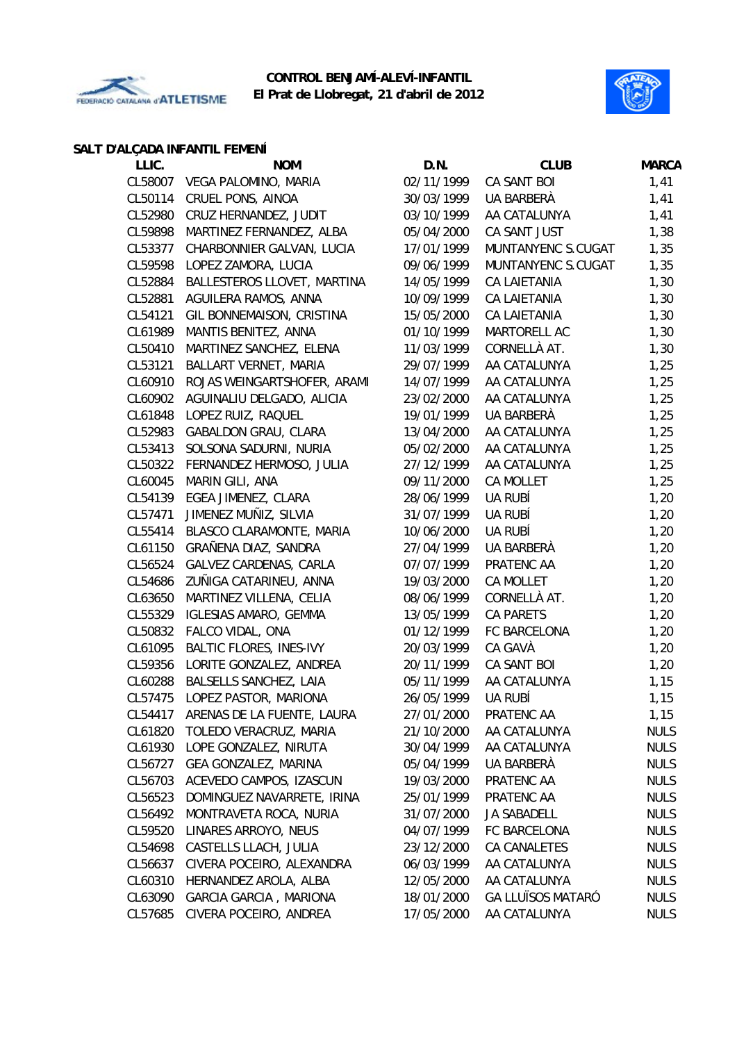



### **SALT D'ALÇADA INFANTIL FEMENÍ**

| LLIC.   | <b>NOM</b>                     | D.N.       | <b>CLUB</b>              | <b>MARCA</b> |
|---------|--------------------------------|------------|--------------------------|--------------|
|         | CL58007 VEGA PALOMINO, MARIA   | 02/11/1999 | CA SANT BOI              | 1,41         |
| CL50114 | CRUEL PONS, AINOA              | 30/03/1999 | UA BARBERÀ               | 1,41         |
| CL52980 | CRUZ HERNANDEZ, JUDIT          | 03/10/1999 | AA CATALUNYA             | 1,41         |
| CL59898 | MARTINEZ FERNANDEZ, ALBA       | 05/04/2000 | CA SANT JUST             | 1,38         |
| CL53377 | CHARBONNIER GALVAN, LUCIA      | 17/01/1999 | MUNTANYENC S.CUGAT       | 1,35         |
| CL59598 | LOPEZ ZAMORA, LUCIA            | 09/06/1999 | MUNTANYENC S.CUGAT       | 1,35         |
| CL52884 | BALLESTEROS LLOVET, MARTINA    | 14/05/1999 | <b>CA LAIETANIA</b>      | 1,30         |
| CL52881 | AGUILERA RAMOS, ANNA           | 10/09/1999 | <b>CA LAIETANIA</b>      | 1,30         |
| CL54121 | GIL BONNEMAISON, CRISTINA      | 15/05/2000 | CA LAIETANIA             | 1,30         |
| CL61989 | MANTIS BENITEZ, ANNA           | 01/10/1999 | MARTORELL AC             | 1,30         |
| CL50410 | MARTINEZ SANCHEZ, ELENA        | 11/03/1999 | CORNELLÀ AT.             | 1,30         |
| CL53121 | BALLART VERNET, MARIA          | 29/07/1999 | AA CATALUNYA             | 1,25         |
| CL60910 | ROJAS WEINGARTSHOFER, ARAMI    | 14/07/1999 | AA CATALUNYA             | 1,25         |
| CL60902 | AGUINALIU DELGADO, ALICIA      | 23/02/2000 | AA CATALUNYA             | 1,25         |
| CL61848 | LOPEZ RUIZ, RAQUEL             | 19/01/1999 | UA BARBERÀ               | 1,25         |
| CL52983 | <b>GABALDON GRAU, CLARA</b>    | 13/04/2000 | AA CATALUNYA             | 1,25         |
| CL53413 | SOLSONA SADURNI, NURIA         | 05/02/2000 | AA CATALUNYA             | 1,25         |
| CL50322 | FERNANDEZ HERMOSO, JULIA       | 27/12/1999 | AA CATALUNYA             | 1,25         |
| CL60045 | MARIN GILI, ANA                | 09/11/2000 | <b>CA MOLLET</b>         | 1,25         |
| CL54139 | EGEA JIMENEZ, CLARA            | 28/06/1999 | UA RUBÍ                  | 1,20         |
| CL57471 | JIMENEZ MUÑIZ, SILVIA          | 31/07/1999 | UA RUBÍ                  | 1,20         |
| CL55414 | BLASCO CLARAMONTE, MARIA       | 10/06/2000 | UA RUBÍ                  | 1,20         |
| CL61150 | GRAÑENA DIAZ, SANDRA           | 27/04/1999 | UA BARBERÀ               | 1,20         |
| CL56524 | GALVEZ CARDENAS, CARLA         | 07/07/1999 | PRATENC AA               | 1,20         |
| CL54686 | ZUÑIGA CATARINEU, ANNA         | 19/03/2000 | CA MOLLET                | 1,20         |
| CL63650 | MARTINEZ VILLENA, CELIA        | 08/06/1999 | CORNELLÀ AT.             | 1,20         |
| CL55329 | <b>IGLESIAS AMARO, GEMMA</b>   | 13/05/1999 | <b>CA PARETS</b>         | 1,20         |
| CL50832 | FALCO VIDAL, ONA               | 01/12/1999 | FC BARCELONA             | 1,20         |
| CL61095 | <b>BALTIC FLORES, INES-IVY</b> | 20/03/1999 | CA GAVÀ                  | 1,20         |
| CL59356 | LORITE GONZALEZ, ANDREA        | 20/11/1999 | CA SANT BOI              | 1,20         |
| CL60288 | BALSELLS SANCHEZ, LAIA         | 05/11/1999 | AA CATALUNYA             | 1,15         |
| CL57475 | LOPEZ PASTOR, MARIONA          | 26/05/1999 | UA RUBÍ                  | 1,15         |
| CL54417 | ARENAS DE LA FUENTE, LAURA     | 27/01/2000 | PRATENC AA               | 1,15         |
| CL61820 | TOLEDO VERACRUZ, MARIA         | 21/10/2000 | AA CATALUNYA             | <b>NULS</b>  |
| CL61930 | LOPE GONZALEZ, NIRUTA          | 30/04/1999 | AA CATALUNYA             | <b>NULS</b>  |
| CL56727 | <b>GEA GONZALEZ, MARINA</b>    | 05/04/1999 | UA BARBERÀ               | <b>NULS</b>  |
| CL56703 | ACEVEDO CAMPOS, IZASCUN        | 19/03/2000 | PRATENC AA               | <b>NULS</b>  |
| CL56523 | DOMINGUEZ NAVARRETE, IRINA     | 25/01/1999 | PRATENC AA               | <b>NULS</b>  |
| CL56492 | MONTRAVETA ROCA, NURIA         | 31/07/2000 | JA SABADELL              | <b>NULS</b>  |
| CL59520 | LINARES ARROYO, NEUS           | 04/07/1999 | FC BARCELONA             | <b>NULS</b>  |
|         |                                |            | CA CANALETES             |              |
| CL54698 | CASTELLS LLACH, JULIA          | 23/12/2000 | AA CATALUNYA             | <b>NULS</b>  |
| CL56637 | CIVERA POCEIRO, ALEXANDRA      | 06/03/1999 | AA CATALUNYA             | <b>NULS</b>  |
| CL60310 | HERNANDEZ AROLA, ALBA          | 12/05/2000 |                          | <b>NULS</b>  |
| CL63090 | GARCIA GARCIA, MARIONA         | 18/01/2000 | <b>GA LLUÏSOS MATARÓ</b> | <b>NULS</b>  |
| CL57685 | CIVERA POCEIRO, ANDREA         | 17/05/2000 | AA CATALUNYA             | <b>NULS</b>  |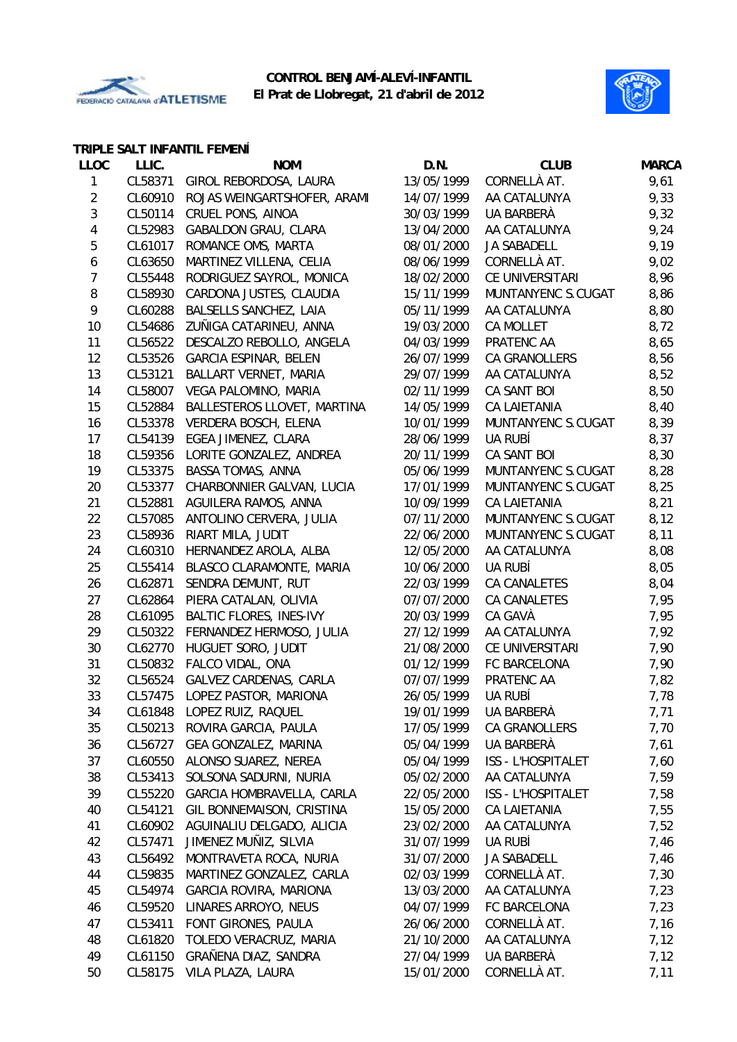



### **TRIPLE SALT INFANTIL FEMENÍ**

| <b>LLOC</b>    | LLIC.   | <b>NOM</b>                     | D.N.       | <b>CLUB</b>               | <b>MARCA</b> |
|----------------|---------|--------------------------------|------------|---------------------------|--------------|
| 1              | CL58371 | GIROL REBORDOSA, LAURA         | 13/05/1999 | CORNELLÀ AT.              | 9,61         |
| $\overline{2}$ | CL60910 | ROJAS WEINGARTSHOFER, ARAMI    | 14/07/1999 | AA CATALUNYA              | 9,33         |
| 3              | CL50114 | CRUEL PONS, AINOA              | 30/03/1999 | UA BARBERÀ                | 9,32         |
| 4              | CL52983 | <b>GABALDON GRAU, CLARA</b>    | 13/04/2000 | AA CATALUNYA              | 9,24         |
| 5              | CL61017 | ROMANCE OMS, MARTA             | 08/01/2000 | JA SABADELL               | 9,19         |
| 6              | CL63650 | MARTINEZ VILLENA, CELIA        | 08/06/1999 | CORNELLÀ AT.              | 9,02         |
| $\overline{7}$ | CL55448 | RODRIGUEZ SAYROL, MONICA       | 18/02/2000 | CE UNIVERSITARI           | 8,96         |
| 8              | CL58930 | CARDONA JUSTES, CLAUDIA        | 15/11/1999 | MUNTANYENC S.CUGAT        | 8,86         |
| 9              | CL60288 | BALSELLS SANCHEZ, LAIA         | 05/11/1999 | AA CATALUNYA              | 8,80         |
| 10             | CL54686 | ZUÑIGA CATARINEU, ANNA         | 19/03/2000 | CA MOLLET                 | 8,72         |
| 11             | CL56522 | DESCALZO REBOLLO, ANGELA       | 04/03/1999 | PRATENC AA                | 8,65         |
| 12             | CL53526 | <b>GARCIA ESPINAR, BELEN</b>   | 26/07/1999 | CA GRANOLLERS             | 8,56         |
| 13             | CL53121 | BALLART VERNET, MARIA          | 29/07/1999 | AA CATALUNYA              | 8,52         |
| 14             | CL58007 | VEGA PALOMINO, MARIA           | 02/11/1999 | CA SANT BOI               | 8,50         |
| 15             | CL52884 | BALLESTEROS LLOVET, MARTINA    | 14/05/1999 | CA LAIETANIA              | 8,40         |
| 16             | CL53378 | VERDERA BOSCH, ELENA           | 10/01/1999 | MUNTANYENC S.CUGAT        | 8,39         |
| 17             | CL54139 | EGEA JIMENEZ, CLARA            | 28/06/1999 | UA RUBÍ                   | 8,37         |
| 18             | CL59356 | LORITE GONZALEZ, ANDREA        | 20/11/1999 | CA SANT BOI               | 8,30         |
| 19             | CL53375 | BASSA TOMAS, ANNA              | 05/06/1999 | MUNTANYENC S.CUGAT        | 8,28         |
| 20             | CL53377 | CHARBONNIER GALVAN, LUCIA      | 17/01/1999 | MUNTANYENC S.CUGAT        | 8,25         |
| 21             | CL52881 | AGUILERA RAMOS, ANNA           | 10/09/1999 | <b>CA LAIETANIA</b>       | 8,21         |
| 22             | CL57085 | ANTOLINO CERVERA, JULIA        | 07/11/2000 | MUNTANYENC S.CUGAT        | 8,12         |
| 23             | CL58936 | RIART MILA, JUDIT              | 22/06/2000 | MUNTANYENC S.CUGAT        | 8,11         |
| 24             | CL60310 | HERNANDEZ AROLA, ALBA          | 12/05/2000 | AA CATALUNYA              | 8,08         |
| 25             | CL55414 | BLASCO CLARAMONTE, MARIA       | 10/06/2000 | UA RUBÍ                   | 8,05         |
| 26             | CL62871 | SENDRA DEMUNT, RUT             | 22/03/1999 | CA CANALETES              | 8,04         |
| 27             | CL62864 | PIERA CATALAN, OLIVIA          | 07/07/2000 | CA CANALETES              | 7,95         |
| 28             | CL61095 | <b>BALTIC FLORES, INES-IVY</b> | 20/03/1999 | CA GAVÀ                   | 7,95         |
| 29             | CL50322 | FERNANDEZ HERMOSO, JULIA       | 27/12/1999 | AA CATALUNYA              | 7,92         |
| 30             | CL62770 | HUGUET SORO, JUDIT             | 21/08/2000 | CE UNIVERSITARI           | 7,90         |
| 31             | CL50832 | FALCO VIDAL, ONA               | 01/12/1999 | FC BARCELONA              | 7,90         |
| 32             | CL56524 | <b>GALVEZ CARDENAS, CARLA</b>  | 07/07/1999 | PRATENC AA                | 7,82         |
| 33             |         | CL57475 LOPEZ PASTOR, MARIONA  | 26/05/1999 | UA RUBÍ                   | 7,78         |
| 34             |         | CL61848 LOPEZ RUIZ, RAQUEL     | 19/01/1999 | UA BARBERÀ                | 7,71         |
| 35             | CL50213 | ROVIRA GARCIA, PAULA           | 17/05/1999 | CA GRANOLLERS             | 7,70         |
| 36             | CL56727 | GEA GONZALEZ, MARINA           | 05/04/1999 | UA BARBERÀ                | 7,61         |
| 37             | CL60550 | ALONSO SUAREZ, NEREA           | 05/04/1999 | <b>ISS - L'HOSPITALET</b> | 7,60         |
| 38             | CL53413 | SOLSONA SADURNI, NURIA         | 05/02/2000 | AA CATALUNYA              | 7,59         |
| 39             | CL55220 | GARCIA HOMBRAVELLA, CARLA      | 22/05/2000 | ISS - L'HOSPITALET        | 7,58         |
| 40             | CL54121 | GIL BONNEMAISON, CRISTINA      | 15/05/2000 | CA LAIETANIA              | 7,55         |
| 41             | CL60902 | AGUINALIU DELGADO, ALICIA      | 23/02/2000 | AA CATALUNYA              | 7,52         |
| 42             | CL57471 | JIMENEZ MUÑIZ, SILVIA          | 31/07/1999 | UA RUBÍ                   | 7,46         |
| 43             | CL56492 | MONTRAVETA ROCA, NURIA         | 31/07/2000 | JA SABADELL               | 7,46         |
| 44             | CL59835 | MARTINEZ GONZALEZ, CARLA       | 02/03/1999 | CORNELLÀ AT.              | 7,30         |
| 45             | CL54974 | <b>GARCIA ROVIRA, MARIONA</b>  | 13/03/2000 | AA CATALUNYA              | 7,23         |
| 46             | CL59520 | LINARES ARROYO, NEUS           | 04/07/1999 | FC BARCELONA              | 7,23         |
| 47             | CL53411 | FONT GIRONES, PAULA            | 26/06/2000 | CORNELLÀ AT.              | 7,16         |
| 48             | CL61820 | TOLEDO VERACRUZ, MARIA         | 21/10/2000 | AA CATALUNYA              | 7,12         |
| 49             | CL61150 | GRAÑENA DIAZ, SANDRA           | 27/04/1999 | UA BARBERÀ                | 7,12         |
| 50             | CL58175 | VILA PLAZA, LAURA              | 15/01/2000 | CORNELLÀ AT.              | 7,11         |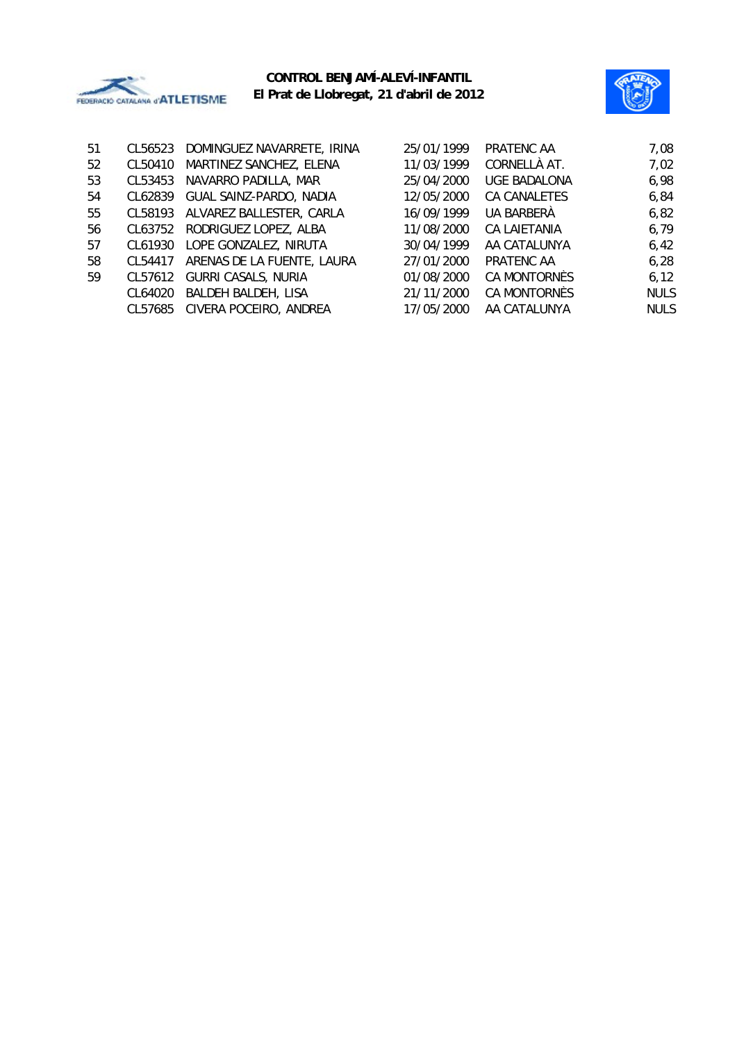



| 51 | CL56523 | DOMINGUEZ NAVARRETE, IRINA     | 25/01/1999 | PRATENC AA          | 7,08        |
|----|---------|--------------------------------|------------|---------------------|-------------|
| 52 | CL50410 | MARTINEZ SANCHEZ, ELENA        | 11/03/1999 | CORNELLÀ AT.        | 7,02        |
| 53 | CL53453 | NAVARRO PADILLA, MAR           | 25/04/2000 | <b>UGE BADALONA</b> | 6,98        |
| 54 | CL62839 | GUAL SAINZ-PARDO, NADIA        | 12/05/2000 | CA CANALETES        | 6,84        |
| 55 | CL58193 | ALVAREZ BALLESTER, CARLA       | 16/09/1999 | UA BARBERÀ          | 6,82        |
| 56 | CL63752 | RODRIGUEZ LOPEZ, ALBA          | 11/08/2000 | CA LAIETANIA        | 6,79        |
| 57 | CL61930 | LOPE GONZALEZ, NIRUTA          | 30/04/1999 | AA CATALUNYA        | 6,42        |
| 58 | CL54417 | ARENAS DE LA FUENTE, LAURA     | 27/01/2000 | PRATENC AA          | 6,28        |
| 59 |         | CL57612 GURRI CASALS, NURIA    | 01/08/2000 | CA MONTORNÈS        | 6, 12       |
|    | CL64020 | BALDEH BALDEH, LISA            | 21/11/2000 | CA MONTORNÈS        | <b>NULS</b> |
|    |         | CL57685 CIVERA POCEIRO, ANDREA | 17/05/2000 | AA CATALUNYA        | <b>NULS</b> |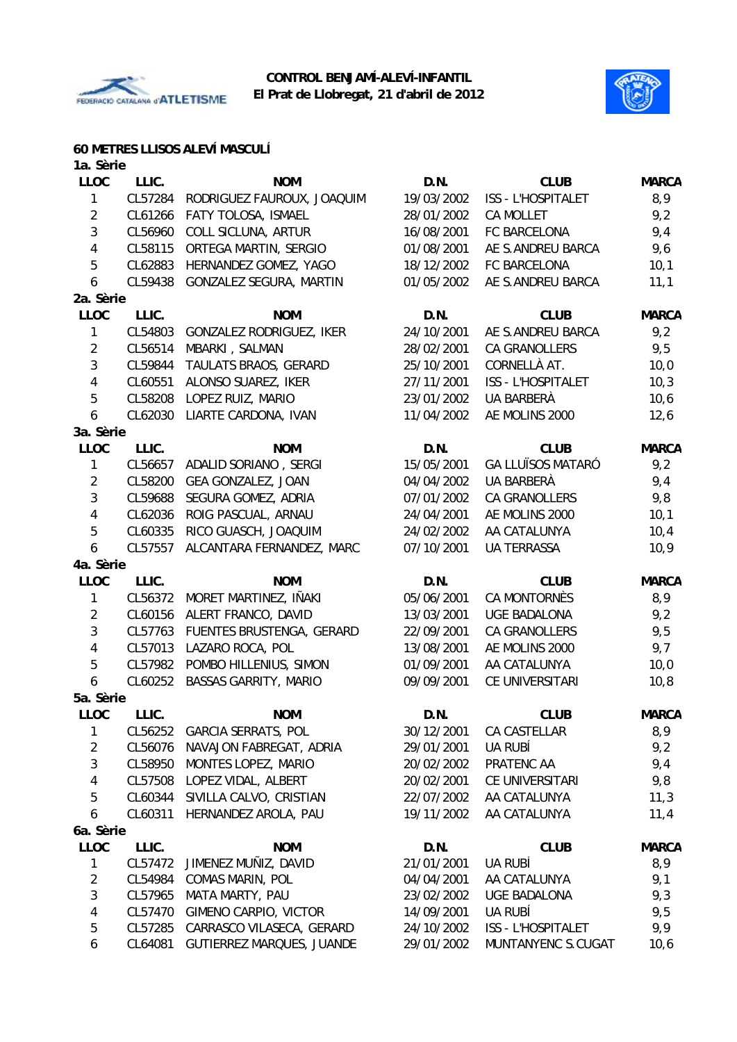



## **60 METRES LLISOS ALEVÍ MASCULÍ**

| 1a. Sèrie      |         |                              |            |                           |              |
|----------------|---------|------------------------------|------------|---------------------------|--------------|
| <b>LLOC</b>    | LLIC.   | <b>NOM</b>                   | D.N.       | <b>CLUB</b>               | <b>MARCA</b> |
| 1              | CL57284 | RODRIGUEZ FAUROUX, JOAQUIM   | 19/03/2002 | <b>ISS - L'HOSPITALET</b> | 8,9          |
| $\overline{2}$ | CL61266 | FATY TOLOSA, ISMAEL          | 28/01/2002 | CA MOLLET                 | 9,2          |
| 3              | CL56960 | COLL SICLUNA, ARTUR          | 16/08/2001 | FC BARCELONA              | 9,4          |
| 4              | CL58115 | ORTEGA MARTIN, SERGIO        | 01/08/2001 | AE S.ANDREU BARCA         | 9,6          |
| 5              | CL62883 | HERNANDEZ GOMEZ, YAGO        | 18/12/2002 | FC BARCELONA              | 10,1         |
| 6              | CL59438 | GONZALEZ SEGURA, MARTIN      | 01/05/2002 | AE S.ANDREU BARCA         | 11,1         |
| 2a. Sèrie      |         |                              |            |                           |              |
| <b>LLOC</b>    | LLIC.   | <b>NOM</b>                   | D.N.       | <b>CLUB</b>               | <b>MARCA</b> |
| 1              | CL54803 | GONZALEZ RODRIGUEZ, IKER     | 24/10/2001 | AE S.ANDREU BARCA         | 9,2          |
| $\overline{2}$ | CL56514 | MBARKI, SALMAN               | 28/02/2001 | CA GRANOLLERS             | 9,5          |
| 3              | CL59844 | TAULATS BRAOS, GERARD        | 25/10/2001 | CORNELLÀ AT.              | 10,0         |
| 4              | CL60551 | ALONSO SUAREZ, IKER          | 27/11/2001 | <b>ISS - L'HOSPITALET</b> | 10,3         |
| 5              | CL58208 | LOPEZ RUIZ, MARIO            | 23/01/2002 | UA BARBERÀ                | 10,6         |
| 6              | CL62030 | LIARTE CARDONA, IVAN         | 11/04/2002 | AE MOLINS 2000            | 12,6         |
| 3a. Sèrie      |         |                              |            |                           |              |
| <b>LLOC</b>    | LLIC.   | <b>NOM</b>                   | D.N.       | <b>CLUB</b>               | <b>MARCA</b> |
| 1              | CL56657 | ADALID SORIANO, SERGI        | 15/05/2001 | <b>GA LLUÏSOS MATARÓ</b>  | 9,2          |
| $\overline{2}$ | CL58200 | GEA GONZALEZ, JOAN           | 04/04/2002 | UA BARBERÀ                | 9,4          |
| $\sqrt{3}$     | CL59688 | SEGURA GOMEZ, ADRIA          | 07/01/2002 | CA GRANOLLERS             | 9,8          |
| 4              | CL62036 | ROIG PASCUAL, ARNAU          | 24/04/2001 | AE MOLINS 2000            | 10,1         |
| 5              | CL60335 | RICO GUASCH, JOAQUIM         | 24/02/2002 | AA CATALUNYA              | 10,4         |
| 6              | CL57557 | ALCANTARA FERNANDEZ, MARC    | 07/10/2001 | <b>UA TERRASSA</b>        | 10,9         |
| 4a. Sèrie      |         |                              |            |                           |              |
| LLOC           | LLIC.   | <b>NOM</b>                   | D.N.       | <b>CLUB</b>               | <b>MARCA</b> |
| 1              | CL56372 | MORET MARTINEZ, IÑAKI        | 05/06/2001 | CA MONTORNÈS              | 8,9          |
| $\sqrt{2}$     | CL60156 | ALERT FRANCO, DAVID          | 13/03/2001 | <b>UGE BADALONA</b>       | 9,2          |
| $\sqrt{3}$     | CL57763 | FUENTES BRUSTENGA, GERARD    | 22/09/2001 | CA GRANOLLERS             | 9,5          |
| 4              | CL57013 | LAZARO ROCA, POL             | 13/08/2001 | AE MOLINS 2000            | 9,7          |
| 5              | CL57982 | POMBO HILLENIUS, SIMON       | 01/09/2001 | AA CATALUNYA              | 10,0         |
| 6              | CL60252 | <b>BASSAS GARRITY, MARIO</b> | 09/09/2001 | CE UNIVERSITARI           | 10, 8        |
| 5a. Sèrie      |         |                              |            |                           |              |
| LLOC           | LLIC.   | <b>NOM</b>                   | D.N.       |                           |              |
|                |         |                              |            | <b>CLUB</b>               | <b>MARCA</b> |
| 1              | CL56252 | <b>GARCIA SERRATS, POL</b>   | 30/12/2001 | CA CASTELLAR              | 8,9          |
| $\overline{2}$ | CL56076 | NAVAJON FABREGAT, ADRIA      | 29/01/2001 | UA RUBÍ                   | 9,2          |
| 3              | CL58950 | MONTES LOPEZ, MARIO          | 20/02/2002 | PRATENC AA                | 9,4          |
| 4              | CL57508 | LOPEZ VIDAL, ALBERT          | 20/02/2001 | CE UNIVERSITARI           | 9,8          |
| 5              | CL60344 | SIVILLA CALVO, CRISTIAN      | 22/07/2002 | AA CATALUNYA              | 11,3         |
| 6              | CL60311 | HERNANDEZ AROLA, PAU         | 19/11/2002 | AA CATALUNYA              | 11,4         |
| 6a. Sèrie      |         |                              |            |                           |              |
| <b>LLOC</b>    | LLIC.   | <b>NOM</b>                   | D.N.       | <b>CLUB</b>               | <b>MARCA</b> |
| 1              | CL57472 | JIMENEZ MUÑIZ, DAVID         | 21/01/2001 | UA RUBÍ                   | 8,9          |
| $\overline{2}$ | CL54984 | COMAS MARIN, POL             | 04/04/2001 | AA CATALUNYA              | 9,1          |
| $\sqrt{3}$     | CL57965 | MATA MARTY, PAU              | 23/02/2002 | <b>UGE BADALONA</b>       | 9,3          |
| 4              | CL57470 | GIMENO CARPIO, VICTOR        | 14/09/2001 | UA RUBÍ                   | 9,5          |
| 5              | CL57285 | CARRASCO VILASECA, GERARD    | 24/10/2002 | ISS - L'HOSPITALET        | 9,9          |
| 6              | CL64081 | GUTIERREZ MARQUES, JUANDE    | 29/01/2002 | MUNTANYENC S.CUGAT        | 10, 6        |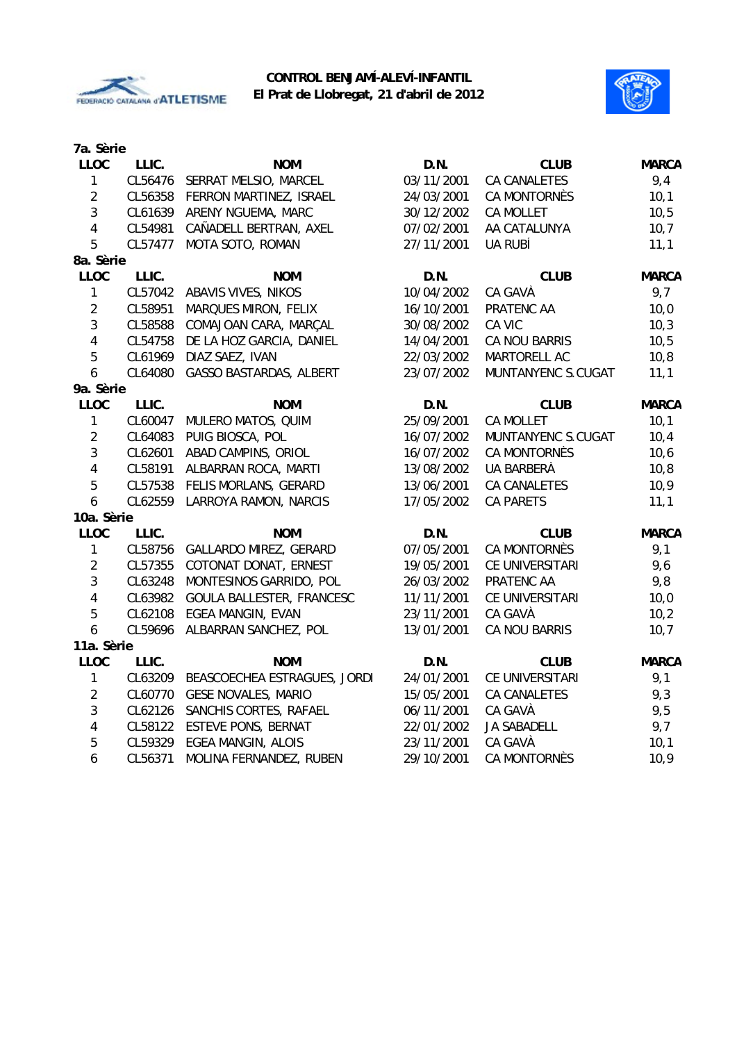



| 7a. Sèrie               |         |                                |            |                     |              |
|-------------------------|---------|--------------------------------|------------|---------------------|--------------|
| <b>LLOC</b>             | LLIC.   | <b>NOM</b>                     | D.N.       | <b>CLUB</b>         | <b>MARCA</b> |
| $\mathbf{1}$            | CL56476 | SERRAT MELSIO, MARCEL          | 03/11/2001 | <b>CA CANALETES</b> | 9,4          |
| $\overline{2}$          | CL56358 | FERRON MARTINEZ, ISRAEL        | 24/03/2001 | CA MONTORNÈS        | 10,1         |
| 3                       | CL61639 | ARENY NGUEMA, MARC             | 30/12/2002 | <b>CA MOLLET</b>    | 10, 5        |
| 4                       | CL54981 | CAÑADELL BERTRAN, AXEL         | 07/02/2001 | AA CATALUNYA        | 10,7         |
| 5                       | CL57477 | MOTA SOTO, ROMAN               | 27/11/2001 | UA RUBÍ             | 11,1         |
| 8a. Sèrie               |         |                                |            |                     |              |
| <b>LLOC</b>             | LLIC.   | <b>NOM</b>                     | D.N.       | <b>CLUB</b>         | <b>MARCA</b> |
| $\mathbf{1}$            | CL57042 | ABAVIS VIVES, NIKOS            | 10/04/2002 | CA GAVÀ             | 9,7          |
| $\overline{2}$          | CL58951 | MARQUES MIRON, FELIX           | 16/10/2001 | PRATENC AA          | 10,0         |
| $\mathfrak{Z}$          | CL58588 | COMAJOAN CARA, MARÇAL          | 30/08/2002 | CA VIC              | 10,3         |
| 4                       | CL54758 | DE LA HOZ GARCIA, DANIEL       | 14/04/2001 | CA NOU BARRIS       | 10, 5        |
| 5                       | CL61969 | DIAZ SAEZ, IVAN                | 22/03/2002 | MARTORELL AC        | 10,8         |
| 6                       | CL64080 | <b>GASSO BASTARDAS, ALBERT</b> | 23/07/2002 | MUNTANYENC S.CUGAT  | 11,1         |
| 9a. Sèrie               |         |                                |            |                     |              |
| LLOC                    | LLIC.   | <b>NOM</b>                     | D.N.       | <b>CLUB</b>         | <b>MARCA</b> |
| 1                       | CL60047 | MULERO MATOS, QUIM             | 25/09/2001 | <b>CA MOLLET</b>    | 10,1         |
| $\overline{2}$          | CL64083 | PUIG BIOSCA, POL               | 16/07/2002 | MUNTANYENC S.CUGAT  | 10,4         |
| $\mathbf{3}$            | CL62601 | ABAD CAMPINS, ORIOL            | 16/07/2002 | CA MONTORNÈS        | 10, 6        |
| 4                       | CL58191 | ALBARRAN ROCA, MARTI           | 13/08/2002 | UA BARBERÀ          | 10, 8        |
| 5                       | CL57538 | FELIS MORLANS, GERARD          | 13/06/2001 | <b>CA CANALETES</b> | 10,9         |
| 6                       | CL62559 | LARROYA RAMON, NARCIS          | 17/05/2002 | <b>CA PARETS</b>    | 11,1         |
| 10a. Sèrie              |         |                                |            |                     |              |
| <b>LLOC</b>             | LLIC.   | <b>NOM</b>                     | D.N.       | <b>CLUB</b>         | <b>MARCA</b> |
| $\mathbf{1}$            | CL58756 | <b>GALLARDO MIREZ, GERARD</b>  | 07/05/2001 | CA MONTORNÈS        | 9,1          |
| $\overline{2}$          | CL57355 | COTONAT DONAT, ERNEST          | 19/05/2001 | CE UNIVERSITARI     | 9,6          |
| 3                       | CL63248 | MONTESINOS GARRIDO, POL        | 26/03/2002 | PRATENC AA          | 9,8          |
| $\overline{\mathbf{4}}$ | CL63982 | GOULA BALLESTER, FRANCESC      | 11/11/2001 | CE UNIVERSITARI     | 10,0         |
| 5                       | CL62108 | <b>EGEA MANGIN, EVAN</b>       | 23/11/2001 | CA GAVÀ             | 10,2         |
| 6                       | CL59696 | ALBARRAN SANCHEZ, POL          | 13/01/2001 | CA NOU BARRIS       | 10,7         |
| 11a. Sèrie              |         |                                |            |                     |              |
| <b>LLOC</b>             | LLIC.   | <b>NOM</b>                     | D.N.       | <b>CLUB</b>         | <b>MARCA</b> |
| $\mathbf{1}$            | CL63209 | BEASCOECHEA ESTRAGUES, JORDI   | 24/01/2001 | CE UNIVERSITARI     | 9,1          |
| $\overline{2}$          | CL60770 | <b>GESE NOVALES, MARIO</b>     | 15/05/2001 | <b>CA CANALETES</b> | 9,3          |
| $\mathfrak{Z}$          | CL62126 | SANCHIS CORTES, RAFAEL         | 06/11/2001 | CA GAVÀ             | 9,5          |
| 4                       |         | CL58122 ESTEVE PONS, BERNAT    | 22/01/2002 | <b>JA SABADELL</b>  | 9,7          |
| 5                       | CL59329 | <b>EGEA MANGIN, ALOIS</b>      | 23/11/2001 | CA GAVÀ             | 10,1         |
| 6                       | CL56371 | MOLINA FERNANDEZ, RUBEN        | 29/10/2001 | CA MONTORNÈS        | 10,9         |
|                         |         |                                |            |                     |              |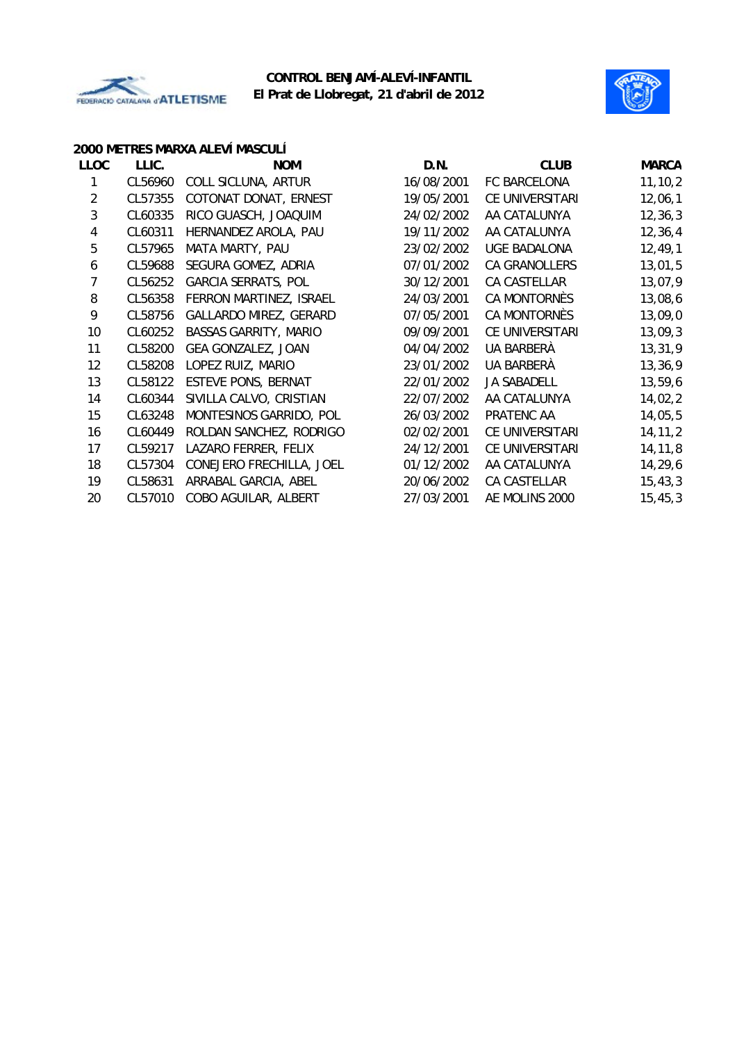



#### **2000 METRES MARXA ALEVÍ MASCULÍ**

| <b>LLOC</b>    | LLIC.   | <b>NOM</b>                   | D.N.       | <b>CLUB</b>         | <b>MARCA</b> |
|----------------|---------|------------------------------|------------|---------------------|--------------|
|                | CL56960 | COLL SICLUNA, ARTUR          | 16/08/2001 | FC BARCELONA        | 11, 10, 2    |
| $\overline{2}$ | CL57355 | COTONAT DONAT, ERNEST        | 19/05/2001 | CE UNIVERSITARI     | 12,06,1      |
| 3              | CL60335 | RICO GUASCH, JOAQUIM         | 24/02/2002 | AA CATALUNYA        | 12, 36, 3    |
| 4              | CL60311 | HERNANDEZ AROLA, PAU         | 19/11/2002 | AA CATALUNYA        | 12, 36, 4    |
| 5              | CL57965 | MATA MARTY, PAU              | 23/02/2002 | <b>UGE BADALONA</b> | 12, 49, 1    |
| 6              | CL59688 | SEGURA GOMEZ, ADRIA          | 07/01/2002 | CA GRANOLLERS       | 13,01,5      |
| 7              | CL56252 | <b>GARCIA SERRATS, POL</b>   | 30/12/2001 | CA CASTELLAR        | 13,07,9      |
| 8              | CL56358 | FERRON MARTINEZ, ISRAEL      | 24/03/2001 | CA MONTORNÈS        | 13,08,6      |
| 9              | CL58756 | GALLARDO MIREZ, GERARD       | 07/05/2001 | CA MONTORNÈS        | 13,09,0      |
| 10             | CL60252 | <b>BASSAS GARRITY, MARIO</b> | 09/09/2001 | CE UNIVERSITARI     | 13,09,3      |
| 11             | CL58200 | GEA GONZALEZ, JOAN           | 04/04/2002 | UA BARBERÀ          | 13,31,9      |
| 12             | CL58208 | LOPEZ RUIZ, MARIO            | 23/01/2002 | UA BARBERÀ          | 13,36,9      |
| 13             | CL58122 | <b>ESTEVE PONS, BERNAT</b>   | 22/01/2002 | <b>JA SABADELL</b>  | 13,59,6      |
| 14             | CL60344 | SIVILLA CALVO, CRISTIAN      | 22/07/2002 | AA CATALUNYA        | 14,02,2      |
| 15             | CL63248 | MONTESINOS GARRIDO, POL      | 26/03/2002 | PRATENC AA          | 14,05,5      |
| 16             | CL60449 | ROLDAN SANCHEZ, RODRIGO      | 02/02/2001 | CE UNIVERSITARI     | 14, 11, 2    |
| 17             | CL59217 | LAZARO FERRER, FELIX         | 24/12/2001 | CE UNIVERSITARI     | 14, 11, 8    |
| 18             | CL57304 | CONEJERO FRECHILLA, JOEL     | 01/12/2002 | AA CATALUNYA        | 14,29,6      |
| 19             | CL58631 | ARRABAL GARCIA, ABEL         | 20/06/2002 | CA CASTELLAR        | 15, 43, 3    |
| 20             | CL57010 | COBO AGUILAR, ALBERT         | 27/03/2001 | AE MOLINS 2000      | 15, 45, 3    |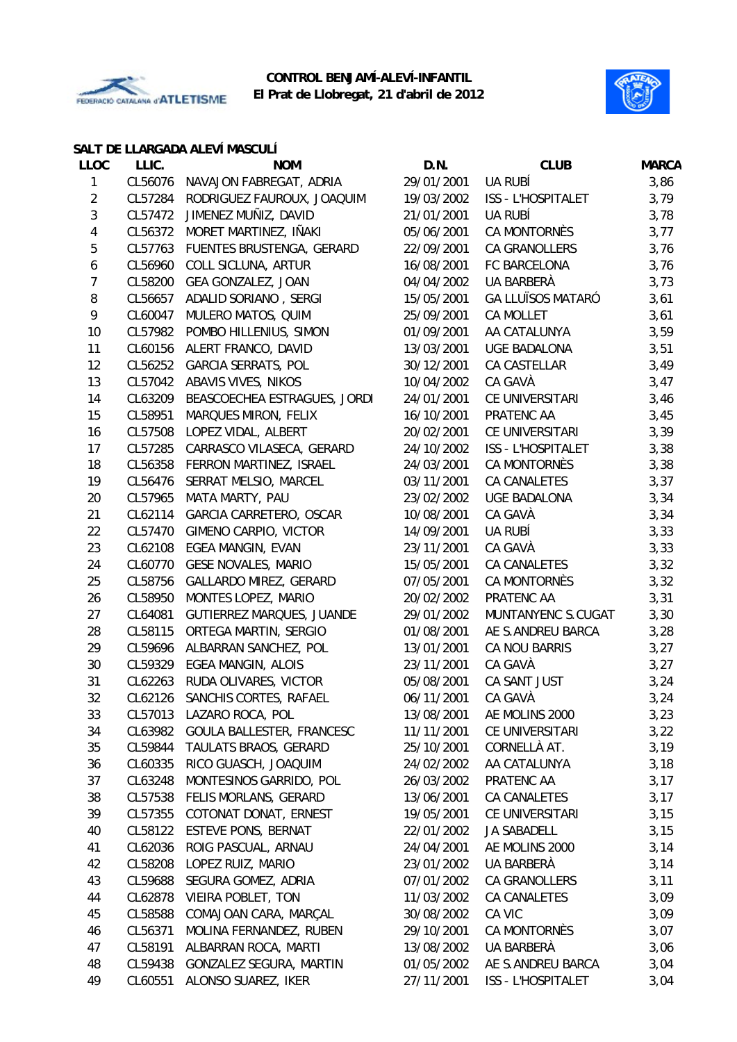



#### **SALT DE LLARGADA ALEVÍ MASCULÍ**

| <b>LLOC</b>    | LLIC.   | <b>NOM</b>                       | D.N.       | <b>CLUB</b>              | <b>MARCA</b> |
|----------------|---------|----------------------------------|------------|--------------------------|--------------|
| 1              | CL56076 | NAVAJON FABREGAT, ADRIA          | 29/01/2001 | UA RUBÍ                  | 3,86         |
| $\overline{c}$ | CL57284 | RODRIGUEZ FAUROUX, JOAQUIM       | 19/03/2002 | ISS - L'HOSPITALET       | 3,79         |
| $\mathfrak{Z}$ | CL57472 | JIMENEZ MUÑIZ, DAVID             | 21/01/2001 | UA RUBÍ                  | 3,78         |
| 4              | CL56372 | MORET MARTINEZ, IÑAKI            | 05/06/2001 | CA MONTORNÈS             | 3,77         |
| 5              | CL57763 | FUENTES BRUSTENGA, GERARD        | 22/09/2001 | CA GRANOLLERS            | 3,76         |
| 6              | CL56960 | COLL SICLUNA, ARTUR              | 16/08/2001 | FC BARCELONA             | 3,76         |
| $\overline{7}$ | CL58200 | GEA GONZALEZ, JOAN               | 04/04/2002 | UA BARBERÀ               | 3,73         |
| $\, 8$         | CL56657 | ADALID SORIANO, SERGI            | 15/05/2001 | <b>GA LLUÏSOS MATARÓ</b> | 3,61         |
| 9              | CL60047 | MULERO MATOS, QUIM               | 25/09/2001 | <b>CA MOLLET</b>         | 3,61         |
| 10             | CL57982 | POMBO HILLENIUS, SIMON           | 01/09/2001 | AA CATALUNYA             | 3,59         |
| 11             | CL60156 | ALERT FRANCO, DAVID              | 13/03/2001 | UGE BADALONA             | 3,51         |
| 12             | CL56252 | <b>GARCIA SERRATS, POL</b>       | 30/12/2001 | CA CASTELLAR             | 3,49         |
| 13             | CL57042 | ABAVIS VIVES, NIKOS              | 10/04/2002 | CA GAVÀ                  | 3,47         |
| 14             | CL63209 | BEASCOECHEA ESTRAGUES, JORDI     | 24/01/2001 | CE UNIVERSITARI          | 3,46         |
| 15             | CL58951 | MARQUES MIRON, FELIX             | 16/10/2001 | PRATENC AA               | 3,45         |
| 16             | CL57508 | LOPEZ VIDAL, ALBERT              | 20/02/2001 | CE UNIVERSITARI          | 3,39         |
| 17             | CL57285 | CARRASCO VILASECA, GERARD        | 24/10/2002 | ISS - L'HOSPITALET       | 3,38         |
| 18             | CL56358 | FERRON MARTINEZ, ISRAEL          | 24/03/2001 | CA MONTORNÈS             | 3,38         |
| 19             | CL56476 | SERRAT MELSIO, MARCEL            | 03/11/2001 | CA CANALETES             | 3,37         |
| 20             | CL57965 | MATA MARTY, PAU                  | 23/02/2002 | <b>UGE BADALONA</b>      | 3,34         |
| 21             | CL62114 | GARCIA CARRETERO, OSCAR          | 10/08/2001 | CA GAVÀ                  | 3,34         |
| 22             | CL57470 | GIMENO CARPIO, VICTOR            | 14/09/2001 | UA RUBÍ                  | 3,33         |
| 23             | CL62108 | EGEA MANGIN, EVAN                | 23/11/2001 | CA GAVÀ                  | 3,33         |
| 24             | CL60770 | <b>GESE NOVALES, MARIO</b>       | 15/05/2001 | CA CANALETES             | 3,32         |
| 25             | CL58756 | <b>GALLARDO MIREZ, GERARD</b>    | 07/05/2001 | CA MONTORNÈS             | 3,32         |
| 26             | CL58950 | MONTES LOPEZ, MARIO              | 20/02/2002 | PRATENC AA               | 3,31         |
| 27             | CL64081 | <b>GUTIERREZ MARQUES, JUANDE</b> | 29/01/2002 | MUNTANYENC S.CUGAT       | 3,30         |
| 28             | CL58115 | ORTEGA MARTIN, SERGIO            | 01/08/2001 | AE S.ANDREU BARCA        | 3,28         |
| 29             | CL59696 | ALBARRAN SANCHEZ, POL            | 13/01/2001 | CA NOU BARRIS            | 3,27         |
| 30             | CL59329 | EGEA MANGIN, ALOIS               | 23/11/2001 | CA GAVÀ                  | 3,27         |
| 31             | CL62263 | RUDA OLIVARES, VICTOR            | 05/08/2001 | CA SANT JUST             | 3,24         |
| 32             |         | CL62126 SANCHIS CORTES, RAFAEL   | 06/11/2001 | CA GAVÀ                  | 3,24         |
| 33             | CL57013 | LAZARO ROCA, POL                 | 13/08/2001 | AE MOLINS 2000           | 3,23         |
| 34             | CL63982 | GOULA BALLESTER, FRANCESC        | 11/11/2001 | CE UNIVERSITARI          | 3,22         |
| 35             | CL59844 | TAULATS BRAOS, GERARD            | 25/10/2001 | CORNELLÀ AT.             | 3,19         |
| 36             | CL60335 | RICO GUASCH, JOAQUIM             | 24/02/2002 | AA CATALUNYA             | 3,18         |
| 37             | CL63248 | MONTESINOS GARRIDO, POL          | 26/03/2002 | PRATENC AA               | 3,17         |
| 38             | CL57538 | FELIS MORLANS, GERARD            | 13/06/2001 | CA CANALETES             | 3,17         |
| 39             | CL57355 | COTONAT DONAT, ERNEST            | 19/05/2001 | CE UNIVERSITARI          | 3,15         |
| 40             | CL58122 | <b>ESTEVE PONS, BERNAT</b>       | 22/01/2002 | JA SABADELL              | 3,15         |
| 41             | CL62036 | ROIG PASCUAL, ARNAU              | 24/04/2001 | AE MOLINS 2000           | 3,14         |
| 42             | CL58208 | LOPEZ RUIZ, MARIO                | 23/01/2002 | UA BARBERÀ               | 3,14         |
| 43             | CL59688 | SEGURA GOMEZ, ADRIA              | 07/01/2002 | CA GRANOLLERS            | 3,11         |
| 44             | CL62878 | VIEIRA POBLET, TON               | 11/03/2002 | CA CANALETES             | 3,09         |
| 45             | CL58588 | COMAJOAN CARA, MARÇAL            | 30/08/2002 | CA VIC                   | 3,09         |
| 46             | CL56371 | MOLINA FERNANDEZ, RUBEN          | 29/10/2001 | CA MONTORNÈS             | 3,07         |
| 47             | CL58191 | ALBARRAN ROCA, MARTI             | 13/08/2002 | UA BARBERÀ               | 3,06         |
| 48             | CL59438 | GONZALEZ SEGURA, MARTIN          | 01/05/2002 | AE S.ANDREU BARCA        | 3,04         |
| 49             | CL60551 | ALONSO SUAREZ, IKER              | 27/11/2001 | ISS - L'HOSPITALET       | 3,04         |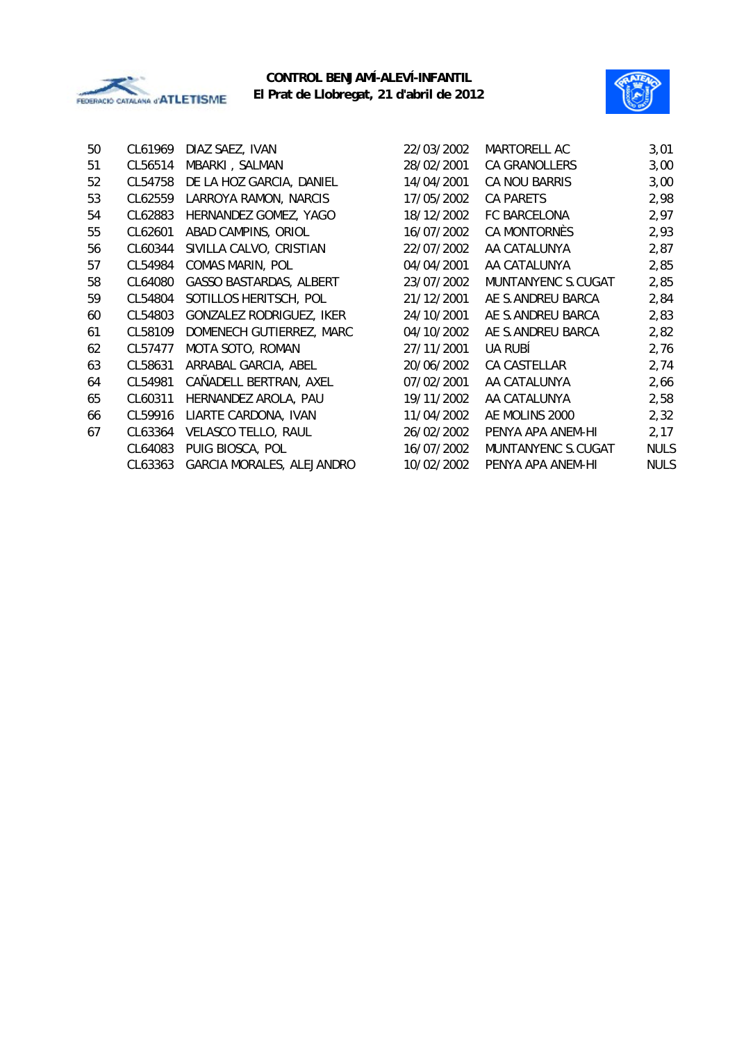



| 50 | CL61969 | DIAZ SAEZ, IVAN                | 22/03/2002 | MARTORELL AC       | 3,01        |
|----|---------|--------------------------------|------------|--------------------|-------------|
| 51 | CL56514 | MBARKI, SALMAN                 | 28/02/2001 | CA GRANOLLERS      | 3,00        |
| 52 | CL54758 | DE LA HOZ GARCIA, DANIEL       | 14/04/2001 | CA NOU BARRIS      | 3,00        |
| 53 | CL62559 | LARROYA RAMON, NARCIS          | 17/05/2002 | <b>CA PARETS</b>   | 2,98        |
| 54 | CL62883 | HERNANDEZ GOMEZ, YAGO          | 18/12/2002 | FC BARCELONA       | 2,97        |
| 55 | CL62601 | ABAD CAMPINS, ORIOL            | 16/07/2002 | CA MONTORNÈS       | 2,93        |
| 56 | CL60344 | SIVILLA CALVO, CRISTIAN        | 22/07/2002 | AA CATALUNYA       | 2,87        |
| 57 | CL54984 | <b>COMAS MARIN, POL</b>        | 04/04/2001 | AA CATALUNYA       | 2,85        |
| 58 | CL64080 | <b>GASSO BASTARDAS, ALBERT</b> | 23/07/2002 | MUNTANYENC S.CUGAT | 2,85        |
| 59 | CL54804 | SOTILLOS HERITSCH, POL         | 21/12/2001 | AE S.ANDREU BARCA  | 2,84        |
| 60 | CL54803 | GONZALEZ RODRIGUEZ, IKER       | 24/10/2001 | AE S.ANDREU BARCA  | 2,83        |
| 61 | CL58109 | DOMENECH GUTIERREZ, MARC       | 04/10/2002 | AE S.ANDREU BARCA  | 2,82        |
| 62 | CL57477 | MOTA SOTO, ROMAN               | 27/11/2001 | <b>UA RUBÍ</b>     | 2,76        |
| 63 | CL58631 | ARRABAL GARCIA, ABEL           | 20/06/2002 | CA CASTELLAR       | 2,74        |
| 64 | CL54981 | CAÑADELL BERTRAN, AXEL         | 07/02/2001 | AA CATALUNYA       | 2,66        |
| 65 | CL60311 | HERNANDEZ AROLA, PAU           | 19/11/2002 | AA CATALUNYA       | 2,58        |
| 66 | CL59916 | LIARTE CARDONA, IVAN           | 11/04/2002 | AE MOLINS 2000     | 2,32        |
| 67 | CL63364 | VELASCO TELLO, RAUL            | 26/02/2002 | PENYA APA ANEM-HI  | 2,17        |
|    | CL64083 | PUIG BIOSCA, POL               | 16/07/2002 | MUNTANYENC S.CUGAT | <b>NULS</b> |
|    | CL63363 | GARCIA MORALES, ALEJANDRO      | 10/02/2002 | PENYA APA ANEM-HI  | <b>NULS</b> |
|    |         |                                |            |                    |             |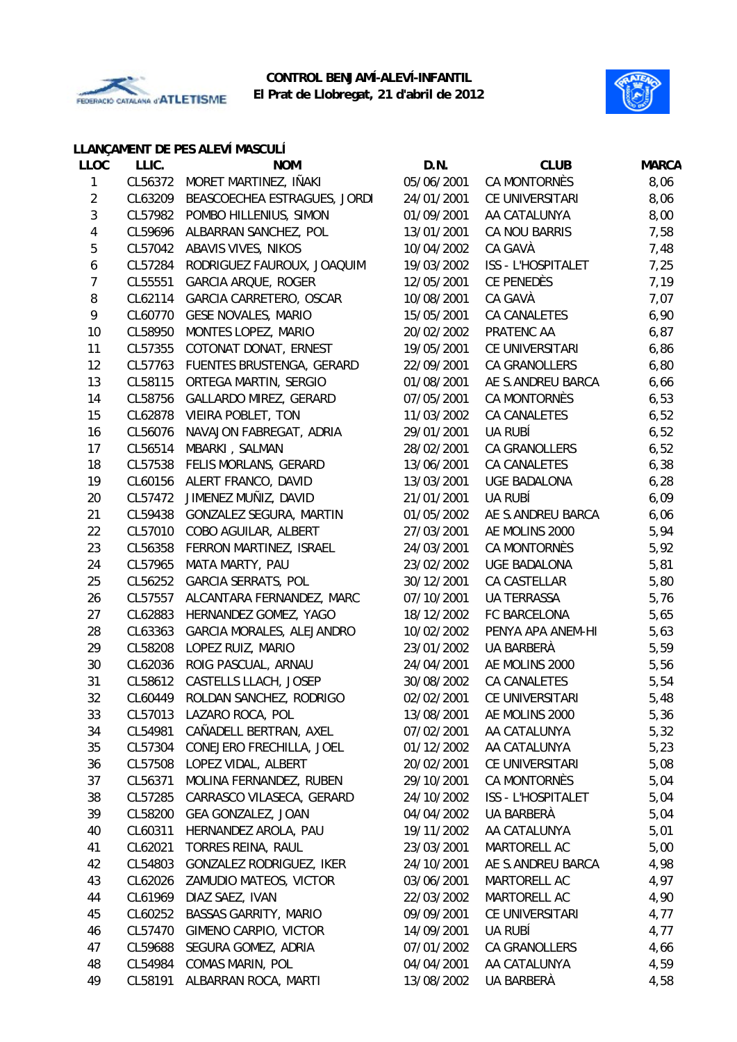



## **LLANÇAMENT DE PES ALEVÍ MASCULÍ**

| <b>LLOC</b> | LLIC.   | <b>NOM</b>                   | D.N.       | <b>CLUB</b>               | <b>MARCA</b> |
|-------------|---------|------------------------------|------------|---------------------------|--------------|
| 1           | CL56372 | MORET MARTINEZ, IÑAKI        | 05/06/2001 | CA MONTORNÈS              | 8,06         |
| 2           | CL63209 | BEASCOECHEA ESTRAGUES, JORDI | 24/01/2001 | CE UNIVERSITARI           | 8,06         |
| 3           | CL57982 | POMBO HILLENIUS, SIMON       | 01/09/2001 | AA CATALUNYA              | 8,00         |
| 4           | CL59696 | ALBARRAN SANCHEZ, POL        | 13/01/2001 | CA NOU BARRIS             | 7,58         |
| 5           | CL57042 | ABAVIS VIVES, NIKOS          | 10/04/2002 | CA GAVÀ                   | 7,48         |
| 6           | CL57284 | RODRIGUEZ FAUROUX, JOAQUIM   | 19/03/2002 | <b>ISS - L'HOSPITALET</b> | 7,25         |
| 7           | CL55551 | <b>GARCIA ARQUE, ROGER</b>   | 12/05/2001 | <b>CE PENEDÈS</b>         | 7,19         |
| 8           | CL62114 | GARCIA CARRETERO, OSCAR      | 10/08/2001 | CA GAVÀ                   | 7,07         |
| 9           | CL60770 | <b>GESE NOVALES, MARIO</b>   | 15/05/2001 | CA CANALETES              | 6,90         |
| 10          | CL58950 | MONTES LOPEZ, MARIO          | 20/02/2002 | PRATENC AA                | 6,87         |
| 11          | CL57355 | COTONAT DONAT, ERNEST        | 19/05/2001 | CE UNIVERSITARI           | 6,86         |
| 12          | CL57763 | FUENTES BRUSTENGA, GERARD    | 22/09/2001 | CA GRANOLLERS             | 6,80         |
| 13          | CL58115 | ORTEGA MARTIN, SERGIO        | 01/08/2001 | AE S.ANDREU BARCA         | 6,66         |
| 14          | CL58756 | GALLARDO MIREZ, GERARD       | 07/05/2001 | CA MONTORNÈS              | 6,53         |
| 15          | CL62878 | VIEIRA POBLET, TON           | 11/03/2002 | CA CANALETES              | 6,52         |
| 16          | CL56076 | NAVAJON FABREGAT, ADRIA      | 29/01/2001 | UA RUBÍ                   | 6,52         |
| 17          | CL56514 | MBARKI, SALMAN               | 28/02/2001 | CA GRANOLLERS             | 6,52         |
| 18          | CL57538 | FELIS MORLANS, GERARD        | 13/06/2001 | CA CANALETES              | 6,38         |
| 19          | CL60156 | ALERT FRANCO, DAVID          | 13/03/2001 | <b>UGE BADALONA</b>       | 6,28         |
| 20          | CL57472 | JIMENEZ MUÑIZ, DAVID         | 21/01/2001 | UA RUBÍ                   | 6,09         |
| 21          | CL59438 | GONZALEZ SEGURA, MARTIN      | 01/05/2002 | AE S.ANDREU BARCA         | 6,06         |
| 22          | CL57010 | COBO AGUILAR, ALBERT         | 27/03/2001 | AE MOLINS 2000            | 5,94         |
| 23          | CL56358 | FERRON MARTINEZ, ISRAEL      | 24/03/2001 | CA MONTORNÈS              | 5,92         |
| 24          | CL57965 | MATA MARTY, PAU              | 23/02/2002 | UGE BADALONA              | 5,81         |
| 25          | CL56252 | <b>GARCIA SERRATS, POL</b>   | 30/12/2001 | CA CASTELLAR              | 5,80         |
| 26          | CL57557 | ALCANTARA FERNANDEZ, MARC    | 07/10/2001 | UA TERRASSA               | 5,76         |
| 27          | CL62883 | HERNANDEZ GOMEZ, YAGO        | 18/12/2002 | FC BARCELONA              | 5,65         |
| 28          | CL63363 | GARCIA MORALES, ALEJANDRO    | 10/02/2002 | PENYA APA ANEM-HI         | 5,63         |
| 29          | CL58208 | LOPEZ RUIZ, MARIO            | 23/01/2002 | UA BARBERÀ                | 5,59         |
| 30          | CL62036 | ROIG PASCUAL, ARNAU          | 24/04/2001 | AE MOLINS 2000            | 5,56         |
| 31          | CL58612 | CASTELLS LLACH, JOSEP        | 30/08/2002 | <b>CA CANALETES</b>       | 5,54         |
| 32          | CL60449 | ROLDAN SANCHEZ, RODRIGO      | 02/02/2001 | CE UNIVERSITARI           | 5,48         |
| 33          | CL57013 | LAZARO ROCA, POL             | 13/08/2001 | AE MOLINS 2000            | 5,36         |
| 34          | CL54981 | CAÑADELL BERTRAN, AXEL       | 07/02/2001 | AA CATALUNYA              | 5,32         |
| 35          | CL57304 | CONEJERO FRECHILLA, JOEL     | 01/12/2002 | AA CATALUNYA              | 5,23         |
| 36          | CL57508 | LOPEZ VIDAL, ALBERT          | 20/02/2001 | CE UNIVERSITARI           | 5,08         |
| 37          | CL56371 | MOLINA FERNANDEZ, RUBEN      | 29/10/2001 | CA MONTORNÈS              | 5,04         |
| 38          | CL57285 | CARRASCO VILASECA, GERARD    | 24/10/2002 | ISS - L'HOSPITALET        | 5,04         |
| 39          | CL58200 | GEA GONZALEZ, JOAN           | 04/04/2002 | UA BARBERÀ                | 5,04         |
| 40          | CL60311 | HERNANDEZ AROLA, PAU         | 19/11/2002 | AA CATALUNYA              | 5,01         |
| 41          | CL62021 | TORRES REINA, RAUL           | 23/03/2001 | MARTORELL AC              | 5,00         |
| 42          | CL54803 | GONZALEZ RODRIGUEZ, IKER     | 24/10/2001 | AE S.ANDREU BARCA         | 4,98         |
| 43          | CL62026 | ZAMUDIO MATEOS, VICTOR       | 03/06/2001 | MARTORELL AC              | 4,97         |
| 44          | CL61969 | DIAZ SAEZ, IVAN              | 22/03/2002 | MARTORELL AC              | 4,90         |
| 45          | CL60252 | <b>BASSAS GARRITY, MARIO</b> | 09/09/2001 | CE UNIVERSITARI           | 4,77         |
| 46          | CL57470 | GIMENO CARPIO, VICTOR        | 14/09/2001 | UA RUBÍ                   | 4,77         |
| 47          | CL59688 | SEGURA GOMEZ, ADRIA          | 07/01/2002 | CA GRANOLLERS             | 4,66         |
| 48          | CL54984 | COMAS MARIN, POL             | 04/04/2001 | AA CATALUNYA              | 4,59         |
| 49          | CL58191 | ALBARRAN ROCA, MARTI         | 13/08/2002 | UA BARBERÀ                | 4,58         |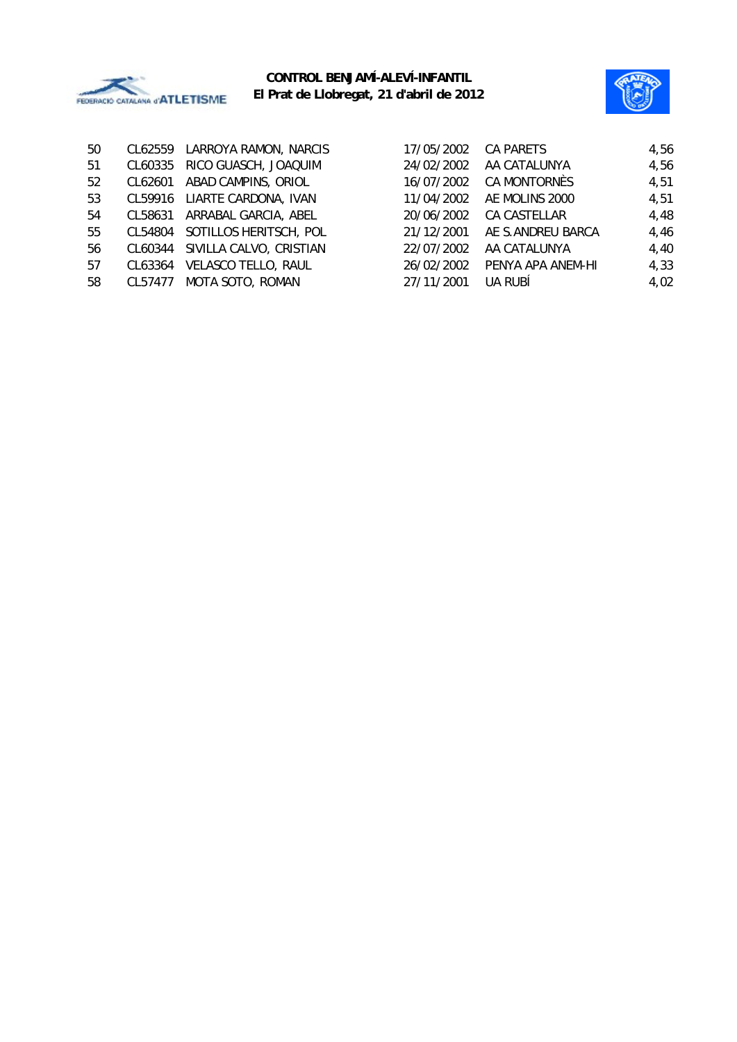



| 50 | CL62559 | LARROYA RAMON, NARCIS        | 17/05/2002 | CA PARETS         | 4,56 |
|----|---------|------------------------------|------------|-------------------|------|
| 51 | CL60335 | RICO GUASCH, JOAQUIM         | 24/02/2002 | AA CATALUNYA      | 4,56 |
| 52 | CL62601 | ABAD CAMPINS, ORIOL          | 16/07/2002 | CA MONTORNÈS      | 4,51 |
| 53 |         | CL59916 LIARTE CARDONA, IVAN | 11/04/2002 | AE MOLINS 2000    | 4,51 |
| 54 | CL58631 | ARRABAL GARCIA, ABEL         | 20/06/2002 | CA CASTELLAR      | 4,48 |
| 55 | CL54804 | SOTILLOS HERITSCH, POL       | 21/12/2001 | AE S.ANDREU BARCA | 4,46 |
| 56 | CL60344 | SIVILLA CALVO, CRISTIAN      | 22/07/2002 | AA CATALUNYA      | 4,40 |
| 57 | CL63364 | <b>VELASCO TELLO, RAUL</b>   | 26/02/2002 | PENYA APA ANEM-HI | 4,33 |
| 58 | CL57477 | MOTA SOTO, ROMAN             | 27/11/2001 | UA RUBÍ           | 4,02 |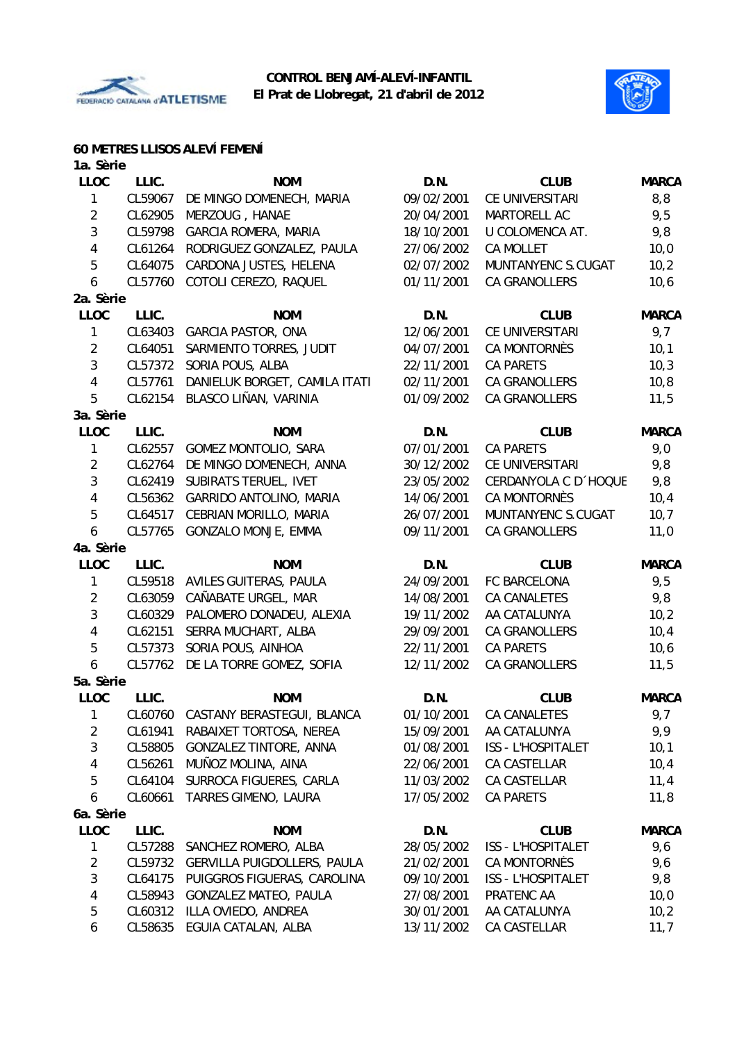



#### **60 METRES LLISOS ALEVÍ FEMENÍ**

| 1a. Sèrie      |         |                                    |            |                           |              |
|----------------|---------|------------------------------------|------------|---------------------------|--------------|
| <b>LLOC</b>    | LLIC.   | <b>NOM</b>                         | D.N.       | <b>CLUB</b>               | <b>MARCA</b> |
| 1              | CL59067 | DE MINGO DOMENECH, MARIA           | 09/02/2001 | CE UNIVERSITARI           | 8,8          |
| $\overline{2}$ | CL62905 | MERZOUG, HANAE                     | 20/04/2001 | MARTORELL AC              | 9,5          |
| 3              | CL59798 | <b>GARCIA ROMERA, MARIA</b>        | 18/10/2001 | U COLOMENCA AT.           | 9,8          |
| 4              | CL61264 | RODRIGUEZ GONZALEZ, PAULA          | 27/06/2002 | <b>CA MOLLET</b>          | 10,0         |
| 5              | CL64075 | CARDONA JUSTES, HELENA             | 02/07/2002 | MUNTANYENC S.CUGAT        | 10,2         |
| 6              | CL57760 | COTOLI CEREZO, RAQUEL              | 01/11/2001 | <b>CA GRANOLLERS</b>      | 10,6         |
| 2a. Sèrie      |         |                                    |            |                           |              |
| <b>LLOC</b>    | LLIC.   | <b>NOM</b>                         | D.N.       | <b>CLUB</b>               | <b>MARCA</b> |
| $\mathbf{1}$   | CL63403 | <b>GARCIA PASTOR, ONA</b>          | 12/06/2001 | CE UNIVERSITARI           | 9,7          |
| $\overline{2}$ | CL64051 | SARMIENTO TORRES, JUDIT            | 04/07/2001 | CA MONTORNÈS              | 10,1         |
| 3              | CL57372 | SORIA POUS, ALBA                   | 22/11/2001 | <b>CA PARETS</b>          | 10,3         |
| 4              | CL57761 | DANIELUK BORGET, CAMILA ITATI      | 02/11/2001 | CA GRANOLLERS             | 10,8         |
| 5              | CL62154 | BLASCO LIÑAN, VARINIA              | 01/09/2002 | CA GRANOLLERS             | 11,5         |
| 3a. Sèrie      |         |                                    |            |                           |              |
| <b>LLOC</b>    | LLIC.   | <b>NOM</b>                         | D.N.       | <b>CLUB</b>               | <b>MARCA</b> |
| 1              | CL62557 | GOMEZ MONTOLIO, SARA               | 07/01/2001 | <b>CA PARETS</b>          | 9,0          |
| $\overline{2}$ | CL62764 | DE MINGO DOMENECH, ANNA            | 30/12/2002 | CE UNIVERSITARI           | 9,8          |
| 3              | CL62419 | SUBIRATS TERUEL, IVET              | 23/05/2002 | CERDANYOLA C D'HOQUE      | 9,8          |
| 4              | CL56362 | GARRIDO ANTOLINO, MARIA            | 14/06/2001 | <b>CA MONTORNÈS</b>       | 10,4         |
| 5              | CL64517 | CEBRIAN MORILLO, MARIA             | 26/07/2001 | MUNTANYENC S.CUGAT        | 10,7         |
| 6              | CL57765 | GONZALO MONJE, EMMA                | 09/11/2001 | CA GRANOLLERS             | 11,0         |
| 4a. Sèrie      |         |                                    |            |                           |              |
| LLOC           | LLIC.   | <b>NOM</b>                         | D.N.       | <b>CLUB</b>               | <b>MARCA</b> |
| 1              | CL59518 | AVILES GUITERAS, PAULA             | 24/09/2001 | FC BARCELONA              | 9,5          |
| $\overline{2}$ | CL63059 | CAÑABATE URGEL, MAR                | 14/08/2001 | CA CANALETES              | 9,8          |
| 3              | CL60329 | PALOMERO DONADEU, ALEXIA           | 19/11/2002 | AA CATALUNYA              | 10,2         |
| 4              | CL62151 | SERRA MUCHART, ALBA                | 29/09/2001 | <b>CA GRANOLLERS</b>      | 10,4         |
| 5              | CL57373 | SORIA POUS, AINHOA                 | 22/11/2001 | CA PARETS                 | 10,6         |
| 6              | CL57762 | DE LA TORRE GOMEZ, SOFIA           | 12/11/2002 | CA GRANOLLERS             | 11,5         |
| 5a. Sèrie      |         |                                    |            |                           |              |
| <b>LLOC</b>    | LLIC.   | <b>NOM</b>                         | D.N.       | <b>CLUB</b>               | <b>MARCA</b> |
| $\mathbf{1}$   |         | CL60760 CASTANY BERASTEGUI, BLANCA | 01/10/2001 | CA CANALETES              | 9,7          |
| 2              | CL61941 | RABAIXET TORTOSA, NEREA            | 15/09/2001 | AA CATALUNYA              | 9,9          |
| $\sqrt{3}$     | CL58805 | <b>GONZALEZ TINTORE, ANNA</b>      | 01/08/2001 | ISS - L'HOSPITALET        | 10,1         |
| 4              | CL56261 | MUÑOZ MOLINA, AINA                 | 22/06/2001 | CA CASTELLAR              | 10,4         |
| 5              | CL64104 | SURROCA FIGUERES, CARLA            | 11/03/2002 | CA CASTELLAR              | 11,4         |
| 6              | CL60661 | TARRES GIMENO, LAURA               | 17/05/2002 | CA PARETS                 | 11,8         |
| 6a. Sèrie      |         |                                    |            |                           |              |
| <b>LLOC</b>    | LLIC.   | <b>NOM</b>                         | D.N.       | <b>CLUB</b>               | <b>MARCA</b> |
| 1              | CL57288 | SANCHEZ ROMERO, ALBA               | 28/05/2002 | ISS - L'HOSPITALET        | 9,6          |
|                |         |                                    | 21/02/2001 | CA MONTORNÈS              | 9,6          |
| 2              | CL59732 | GERVILLA PUIGDOLLERS, PAULA        |            |                           |              |
| 3              | CL64175 | PUIGGROS FIGUERAS, CAROLINA        | 09/10/2001 | <b>ISS - L'HOSPITALET</b> | 9,8          |
| 4              | CL58943 | GONZALEZ MATEO, PAULA              | 27/08/2001 | PRATENC AA                | 10,0         |
| 5              | CL60312 | ILLA OVIEDO, ANDREA                | 30/01/2001 | AA CATALUNYA              | 10,2         |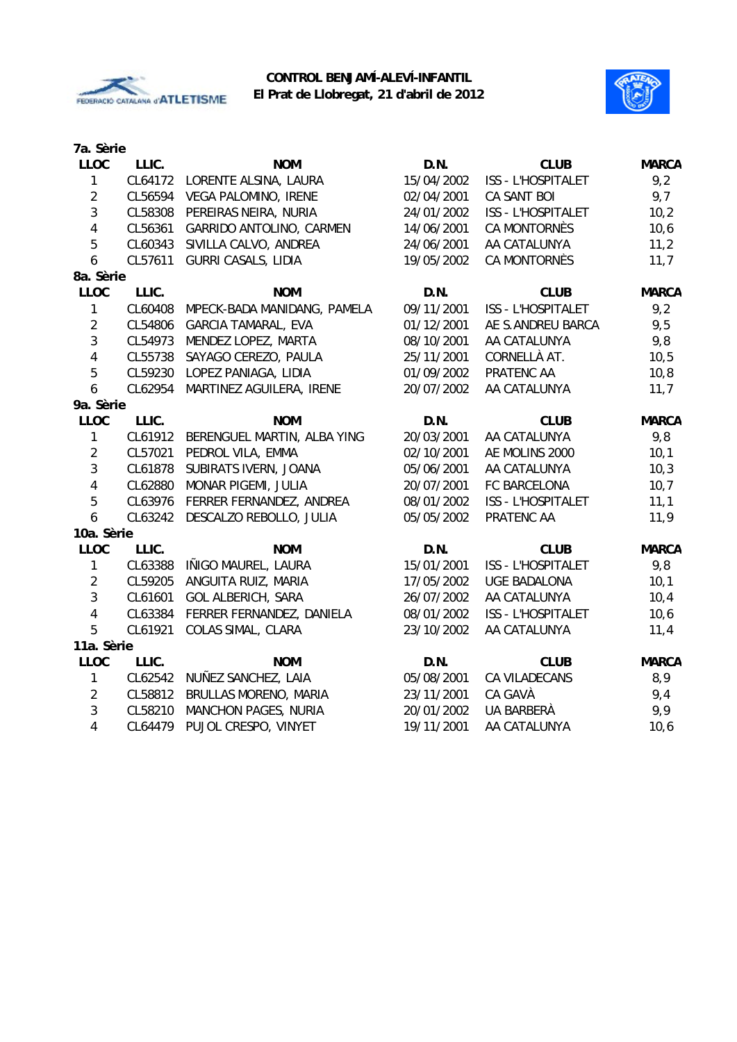



| 7a. Sèrie               |         |                             |            |                           |              |
|-------------------------|---------|-----------------------------|------------|---------------------------|--------------|
| <b>LLOC</b>             | LLIC.   | <b>NOM</b>                  | D.N.       | <b>CLUB</b>               | <b>MARCA</b> |
| $\mathbf{1}$            | CL64172 | LORENTE ALSINA, LAURA       | 15/04/2002 | ISS - L'HOSPITALET        | 9,2          |
| $\overline{2}$          | CL56594 | VEGA PALOMINO, IRENE        | 02/04/2001 | CA SANT BOI               | 9,7          |
| 3                       | CL58308 | PEREIRAS NEIRA, NURIA       | 24/01/2002 | ISS - L'HOSPITALET        | 10,2         |
| $\overline{\mathbf{4}}$ | CL56361 | GARRIDO ANTOLINO, CARMEN    | 14/06/2001 | <b>CA MONTORNÈS</b>       | 10,6         |
| 5                       | CL60343 | SIVILLA CALVO, ANDREA       | 24/06/2001 | AA CATALUNYA              | 11,2         |
| 6                       | CL57611 | <b>GURRI CASALS, LIDIA</b>  | 19/05/2002 | CA MONTORNÈS              | 11,7         |
| 8a. Sèrie               |         |                             |            |                           |              |
| <b>LLOC</b>             | LLIC.   | <b>NOM</b>                  | D.N.       | <b>CLUB</b>               | <b>MARCA</b> |
| 1                       | CL60408 | MPECK-BADA MANIDANG, PAMELA | 09/11/2001 | ISS - L'HOSPITALET        | 9,2          |
| $\overline{2}$          | CL54806 | <b>GARCIA TAMARAL, EVA</b>  | 01/12/2001 | AE S.ANDREU BARCA         | 9,5          |
| $\mathfrak{Z}$          | CL54973 | MENDEZ LOPEZ, MARTA         | 08/10/2001 | AA CATALUNYA              | 9,8          |
| $\overline{\mathbf{4}}$ | CL55738 | SAYAGO CEREZO, PAULA        | 25/11/2001 | CORNELLÀ AT.              | 10, 5        |
| 5                       | CL59230 | LOPEZ PANIAGA, LIDIA        | 01/09/2002 | PRATENC AA                | 10,8         |
| 6                       | CL62954 | MARTINEZ AGUILERA, IRENE    | 20/07/2002 | AA CATALUNYA              | 11,7         |
| 9a. Sèrie               |         |                             |            |                           |              |
| <b>LLOC</b>             | LLIC.   | <b>NOM</b>                  | D.N.       | <b>CLUB</b>               | <b>MARCA</b> |
| 1                       | CL61912 | BERENGUEL MARTIN, ALBA YING | 20/03/2001 | AA CATALUNYA              | 9,8          |
| $\overline{2}$          | CL57021 | PEDROL VILA, EMMA           | 02/10/2001 | AE MOLINS 2000            | 10,1         |
| 3                       | CL61878 | SUBIRATS IVERN, JOANA       | 05/06/2001 | AA CATALUNYA              | 10,3         |
| $\overline{\mathbf{4}}$ | CL62880 | MONAR PIGEMI, JULIA         | 20/07/2001 | FC BARCELONA              | 10,7         |
| 5                       | CL63976 | FERRER FERNANDEZ, ANDREA    | 08/01/2002 | ISS - L'HOSPITALET        | 11,1         |
| 6                       | CL63242 | DESCALZO REBOLLO, JULIA     | 05/05/2002 | PRATENC AA                | 11,9         |
| 10a. Sèrie              |         |                             |            |                           |              |
| <b>LLOC</b>             | LLIC.   | <b>NOM</b>                  | D.N.       | <b>CLUB</b>               | <b>MARCA</b> |
| $\mathbf{1}$            | CL63388 | IÑIGO MAUREL, LAURA         | 15/01/2001 | ISS - L'HOSPITALET        | 9,8          |
| $\overline{2}$          | CL59205 | ANGUITA RUIZ, MARIA         | 17/05/2002 | <b>UGE BADALONA</b>       | 10,1         |
| 3                       | CL61601 | <b>GOL ALBERICH, SARA</b>   | 26/07/2002 | AA CATALUNYA              | 10,4         |
| $\overline{4}$          | CL63384 | FERRER FERNANDEZ, DANIELA   | 08/01/2002 | <b>ISS - L'HOSPITALET</b> | 10,6         |
| 5                       | CL61921 | COLAS SIMAL, CLARA          | 23/10/2002 | AA CATALUNYA              | 11,4         |
| 11a. Sèrie              |         |                             |            |                           |              |
| <b>LLOC</b>             | LLIC.   | <b>NOM</b>                  | D.N.       | <b>CLUB</b>               | <b>MARCA</b> |
| 1                       | CL62542 | NUÑEZ SANCHEZ, LAIA         | 05/08/2001 | CA VILADECANS             | 8,9          |
| $\sqrt{2}$              | CL58812 | BRULLAS MORENO, MARIA       | 23/11/2001 | CA GAVÀ                   | 9,4          |
| $\mathbf{3}$            | CL58210 | MANCHON PAGES, NURIA        | 20/01/2002 | UA BARBERÀ                | 9,9          |
| $\overline{4}$          | CL64479 | PUJOL CRESPO, VINYET        | 19/11/2001 | AA CATALUNYA              | 10,6         |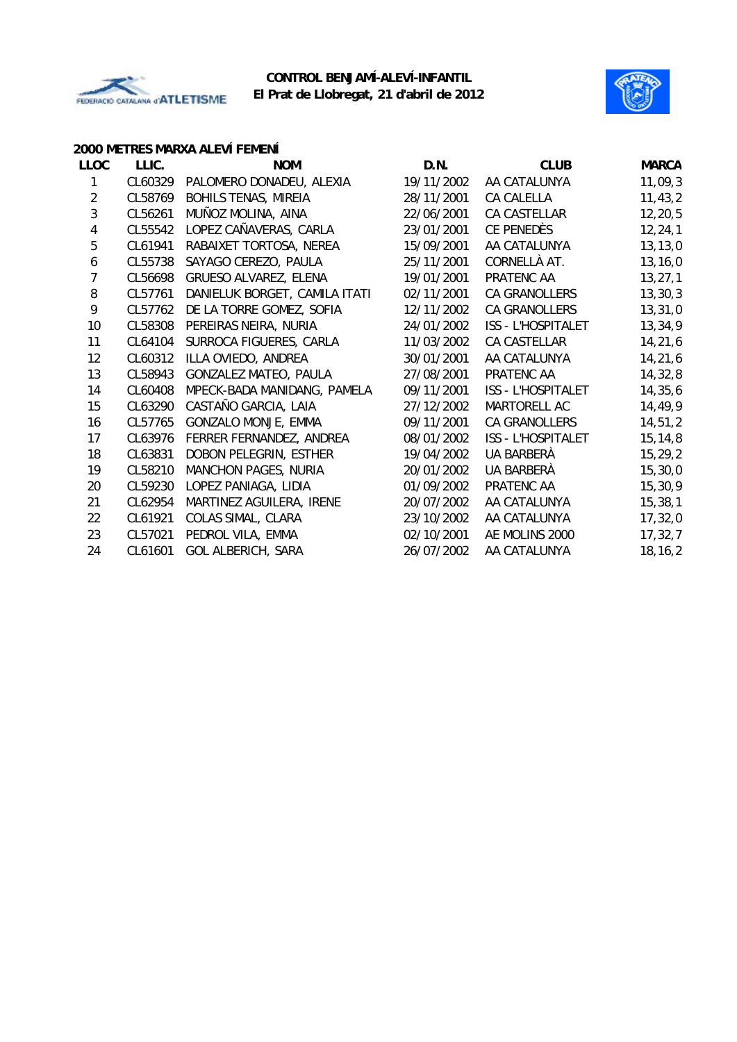



#### **2000 METRES MARXA ALEVÍ FEMENÍ**

| <b>LLOC</b>    | LLIC.   | <b>NOM</b>                    | D.N.       | <b>CLUB</b>               | <b>MARCA</b> |
|----------------|---------|-------------------------------|------------|---------------------------|--------------|
| 1              | CL60329 | PALOMERO DONADEU, ALEXIA      | 19/11/2002 | AA CATALUNYA              | 11,09,3      |
| $\overline{2}$ | CL58769 | <b>BOHILS TENAS, MIREIA</b>   | 28/11/2001 | CA CALELLA                | 11, 43, 2    |
| 3              | CL56261 | MUÑOZ MOLINA, AINA            | 22/06/2001 | CA CASTELLAR              | 12,20,5      |
| 4              | CL55542 | LOPEZ CAÑAVERAS, CARLA        | 23/01/2001 | CE PENEDÈS                | 12, 24, 1    |
| 5              | CL61941 | RABAIXET TORTOSA, NEREA       | 15/09/2001 | AA CATALUNYA              | 13, 13, 0    |
| 6              | CL55738 | SAYAGO CEREZO, PAULA          | 25/11/2001 | CORNELLÀ AT.              | 13, 16, 0    |
| $\overline{7}$ | CL56698 | GRUESO ALVAREZ, ELENA         | 19/01/2001 | PRATENC AA                | 13, 27, 1    |
| 8              | CL57761 | DANIELUK BORGET, CAMILA ITATI | 02/11/2001 | CA GRANOLLERS             | 13, 30, 3    |
| 9              | CL57762 | DE LA TORRE GOMEZ, SOFIA      | 12/11/2002 | CA GRANOLLERS             | 13, 31, 0    |
| 10             | CL58308 | PEREIRAS NEIRA, NURIA         | 24/01/2002 | ISS - L'HOSPITALET        | 13,34,9      |
| 11             | CL64104 | SURROCA FIGUERES, CARLA       | 11/03/2002 | CA CASTELLAR              | 14,21,6      |
| 12             | CL60312 | ILLA OVIEDO, ANDREA           | 30/01/2001 | AA CATALUNYA              | 14,21,6      |
| 13             | CL58943 | GONZALEZ MATEO, PAULA         | 27/08/2001 | PRATENC AA                | 14,32,8      |
| 14             | CL60408 | MPECK-BADA MANIDANG, PAMELA   | 09/11/2001 | <b>ISS - L'HOSPITALET</b> | 14,35,6      |
| 15             | CL63290 | CASTAÑO GARCIA, LAIA          | 27/12/2002 | MARTORELL AC              | 14,49,9      |
| 16             | CL57765 | GONZALO MONJE, EMMA           | 09/11/2001 | CA GRANOLLERS             | 14,51,2      |
| 17             | CL63976 | FERRER FERNANDEZ, ANDREA      | 08/01/2002 | <b>ISS - L'HOSPITALET</b> | 15, 14, 8    |
| 18             | CL63831 | DOBON PELEGRIN, ESTHER        | 19/04/2002 | UA BARBERÀ                | 15,29,2      |
| 19             | CL58210 | MANCHON PAGES, NURIA          | 20/01/2002 | UA BARBERÀ                | 15, 30, 0    |
| 20             | CL59230 | LOPEZ PANIAGA, LIDIA          | 01/09/2002 | PRATENC AA                | 15,30,9      |
| 21             | CL62954 | MARTINEZ AGUILERA, IRENE      | 20/07/2002 | AA CATALUNYA              | 15, 38, 1    |
| 22             | CL61921 | COLAS SIMAL, CLARA            | 23/10/2002 | AA CATALUNYA              | 17,32,0      |
| 23             | CL57021 | PEDROL VILA, EMMA             | 02/10/2001 | AE MOLINS 2000            | 17,32,7      |
| 24             | CL61601 | <b>GOL ALBERICH, SARA</b>     | 26/07/2002 | AA CATALUNYA              | 18, 16, 2    |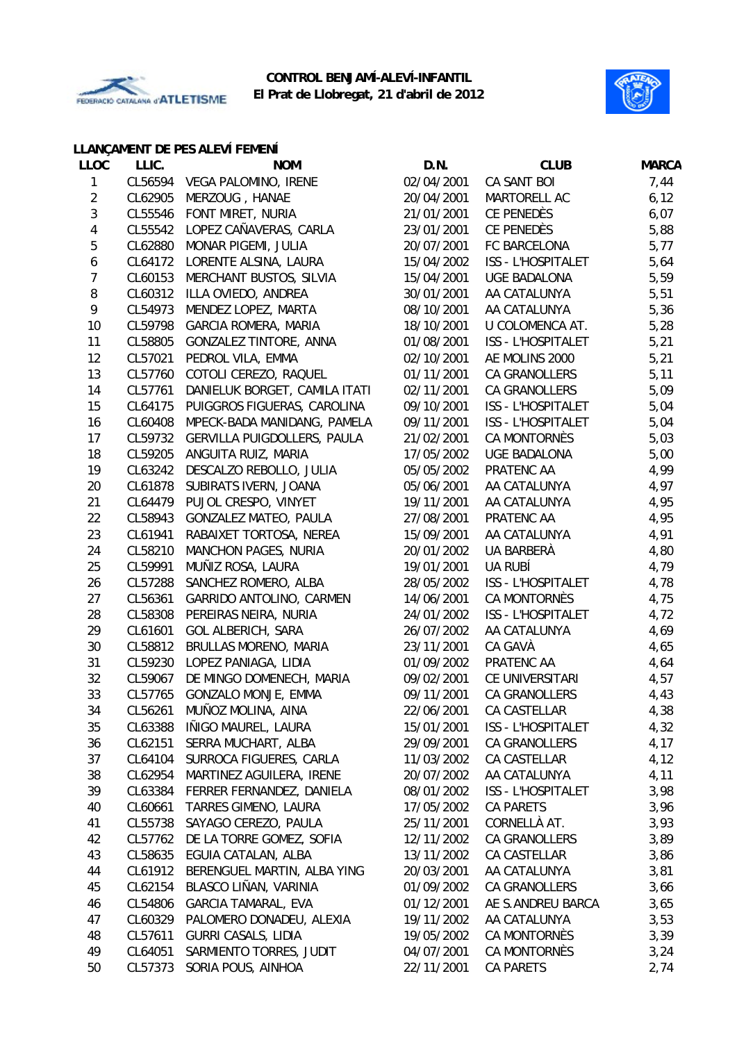



#### **LLANÇAMENT DE PES ALEVÍ FEMENÍ**

| <b>LLOC</b>    | LLIC.   | <b>NOM</b>                    | D.N.       | <b>CLUB</b>               | <b>MARCA</b> |
|----------------|---------|-------------------------------|------------|---------------------------|--------------|
| 1              |         | CL56594 VEGA PALOMINO, IRENE  | 02/04/2001 | CA SANT BOI               | 7,44         |
| $\overline{c}$ | CL62905 | MERZOUG, HANAE                | 20/04/2001 | MARTORELL AC              | 6, 12        |
| 3              | CL55546 | FONT MIRET, NURIA             | 21/01/2001 | CE PENEDÈS                | 6,07         |
| 4              | CL55542 | LOPEZ CAÑAVERAS, CARLA        | 23/01/2001 | CE PENEDÈS                | 5,88         |
| 5              | CL62880 | MONAR PIGEMI, JULIA           | 20/07/2001 | FC BARCELONA              | 5,77         |
| 6              | CL64172 | LORENTE ALSINA, LAURA         | 15/04/2002 | ISS - L'HOSPITALET        | 5,64         |
| 7              | CL60153 | MERCHANT BUSTOS, SILVIA       | 15/04/2001 | <b>UGE BADALONA</b>       | 5,59         |
| 8              | CL60312 | ILLA OVIEDO, ANDREA           | 30/01/2001 | AA CATALUNYA              | 5,51         |
| 9              | CL54973 | MENDEZ LOPEZ, MARTA           | 08/10/2001 | AA CATALUNYA              | 5,36         |
| 10             | CL59798 | <b>GARCIA ROMERA, MARIA</b>   | 18/10/2001 | U COLOMENCA AT.           | 5,28         |
| 11             | CL58805 | GONZALEZ TINTORE, ANNA        | 01/08/2001 | ISS - L'HOSPITALET        | 5,21         |
| 12             | CL57021 | PEDROL VILA, EMMA             | 02/10/2001 | AE MOLINS 2000            | 5,21         |
| 13             | CL57760 | COTOLI CEREZO, RAQUEL         | 01/11/2001 | CA GRANOLLERS             | 5,11         |
| 14             | CL57761 | DANIELUK BORGET, CAMILA ITATI | 02/11/2001 | CA GRANOLLERS             | 5,09         |
| 15             | CL64175 | PUIGGROS FIGUERAS, CAROLINA   | 09/10/2001 | ISS - L'HOSPITALET        | 5,04         |
| 16             | CL60408 | MPECK-BADA MANIDANG, PAMELA   | 09/11/2001 | ISS - L'HOSPITALET        | 5,04         |
| 17             | CL59732 | GERVILLA PUIGDOLLERS, PAULA   | 21/02/2001 | CA MONTORNÈS              | 5,03         |
| 18             | CL59205 | ANGUITA RUIZ, MARIA           | 17/05/2002 | <b>UGE BADALONA</b>       | 5,00         |
| 19             | CL63242 | DESCALZO REBOLLO, JULIA       | 05/05/2002 | PRATENC AA                | 4,99         |
| 20             | CL61878 | SUBIRATS IVERN, JOANA         | 05/06/2001 | AA CATALUNYA              | 4,97         |
| 21             | CL64479 | PUJOL CRESPO, VINYET          | 19/11/2001 | AA CATALUNYA              | 4,95         |
| 22             | CL58943 | GONZALEZ MATEO, PAULA         | 27/08/2001 | PRATENC AA                | 4,95         |
| 23             | CL61941 | RABAIXET TORTOSA, NEREA       | 15/09/2001 | AA CATALUNYA              | 4,91         |
| 24             | CL58210 | <b>MANCHON PAGES, NURIA</b>   | 20/01/2002 | UA BARBERÀ                | 4,80         |
| 25             | CL59991 | MUÑIZ ROSA, LAURA             | 19/01/2001 | UA RUBÍ                   | 4,79         |
| 26             | CL57288 | SANCHEZ ROMERO, ALBA          | 28/05/2002 | <b>ISS - L'HOSPITALET</b> | 4,78         |
| 27             | CL56361 | GARRIDO ANTOLINO, CARMEN      | 14/06/2001 | CA MONTORNÈS              | 4,75         |
| 28             | CL58308 | PEREIRAS NEIRA, NURIA         | 24/01/2002 | ISS - L'HOSPITALET        | 4,72         |
| 29             | CL61601 | <b>GOL ALBERICH, SARA</b>     | 26/07/2002 | AA CATALUNYA              | 4,69         |
| 30             | CL58812 | BRULLAS MORENO, MARIA         | 23/11/2001 | CA GAVÀ                   | 4,65         |
| 31             | CL59230 | LOPEZ PANIAGA, LIDIA          | 01/09/2002 | PRATENC AA                | 4,64         |
| 32             | CL59067 | DE MINGO DOMENECH, MARIA      | 09/02/2001 | CE UNIVERSITARI           | 4,57         |
| 33             | CL57765 | GONZALO MONJE, EMMA           | 09/11/2001 | CA GRANOLLERS             | 4,43         |
| 34             |         | CL56261 MUÑOZ MOLINA, AINA    | 22/06/2001 | CA CASTELLAR              | 4,38         |
| 35             | CL63388 | IÑIGO MAUREL, LAURA           | 15/01/2001 | ISS - L'HOSPITALET        | 4,32         |
| 36             | CL62151 | SERRA MUCHART, ALBA           | 29/09/2001 | CA GRANOLLERS             | 4,17         |
| 37             | CL64104 | SURROCA FIGUERES, CARLA       | 11/03/2002 | CA CASTELLAR              | 4,12         |
| 38             | CL62954 | MARTINEZ AGUILERA, IRENE      | 20/07/2002 | AA CATALUNYA              | 4,11         |
| 39             | CL63384 | FERRER FERNANDEZ, DANIELA     | 08/01/2002 | ISS - L'HOSPITALET        | 3,98         |
| 40             | CL60661 | TARRES GIMENO, LAURA          | 17/05/2002 | <b>CA PARETS</b>          | 3,96         |
| 41             | CL55738 | SAYAGO CEREZO, PAULA          | 25/11/2001 | CORNELLÀ AT.              | 3,93         |
| 42             | CL57762 | DE LA TORRE GOMEZ, SOFIA      | 12/11/2002 | CA GRANOLLERS             | 3,89         |
| 43             | CL58635 | EGUIA CATALAN, ALBA           | 13/11/2002 | CA CASTELLAR              | 3,86         |
| 44             | CL61912 | BERENGUEL MARTIN, ALBA YING   | 20/03/2001 | AA CATALUNYA              | 3,81         |
| 45             | CL62154 | BLASCO LIÑAN, VARINIA         | 01/09/2002 | CA GRANOLLERS             | 3,66         |
| 46             | CL54806 | <b>GARCIA TAMARAL, EVA</b>    | 01/12/2001 | AE S.ANDREU BARCA         | 3,65         |
| 47             | CL60329 | PALOMERO DONADEU, ALEXIA      | 19/11/2002 | AA CATALUNYA              | 3,53         |
| 48             | CL57611 | <b>GURRI CASALS, LIDIA</b>    | 19/05/2002 | CA MONTORNÈS              | 3,39         |
| 49             | CL64051 | SARMIENTO TORRES, JUDIT       | 04/07/2001 | CA MONTORNÈS              | 3,24         |
| 50             | CL57373 | SORIA POUS, AINHOA            | 22/11/2001 | CA PARETS                 | 2,74         |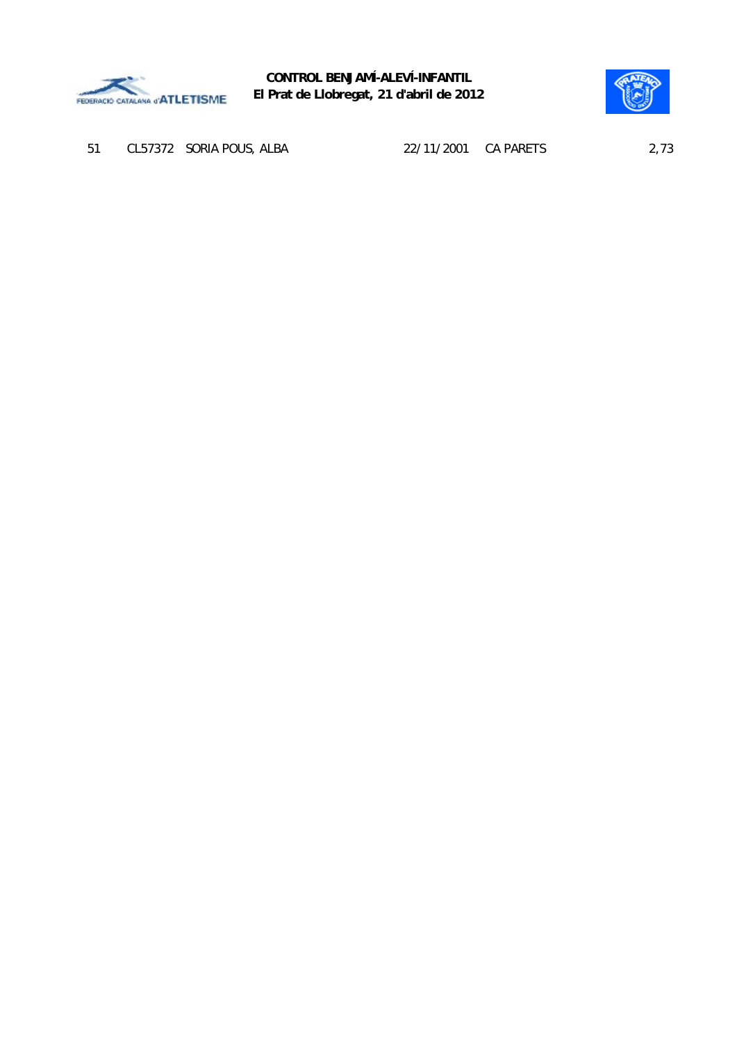



51 CL57372 SORIA POUS, ALBA 22/11/2001 CA PARETS 2,73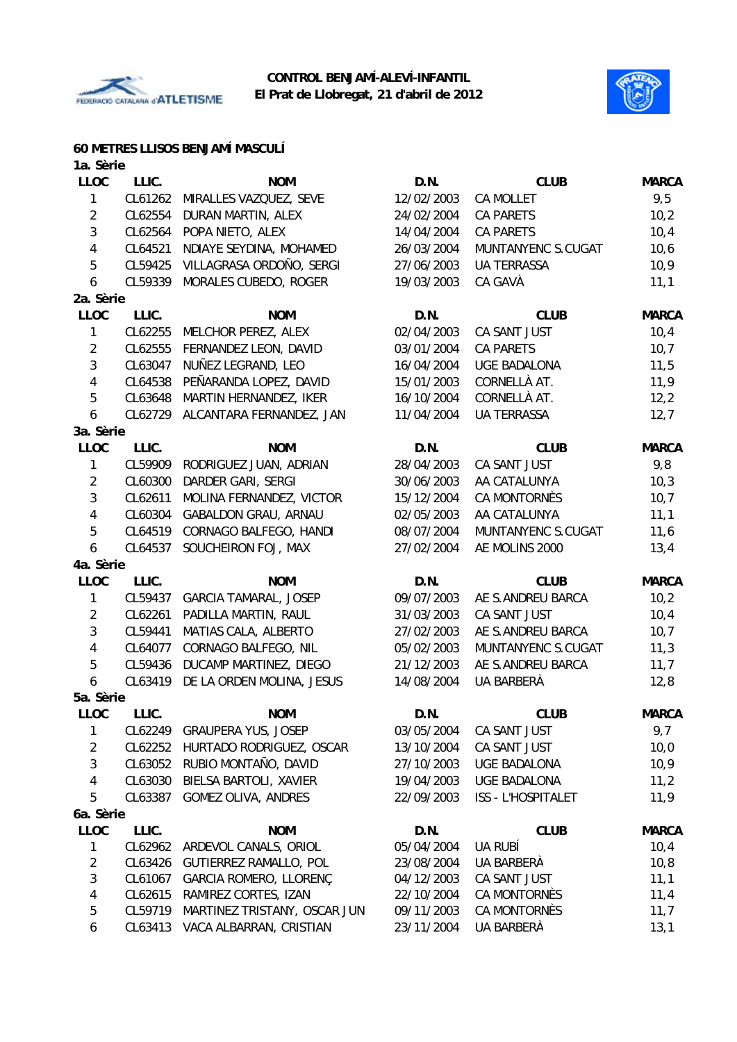



## **60 METRES LLISOS BENJAMÍ MASCULÍ**

| 1a. Sèrie      |         |                                |            |                     |              |
|----------------|---------|--------------------------------|------------|---------------------|--------------|
| <b>LLOC</b>    | LLIC.   | <b>NOM</b>                     | D.N.       | <b>CLUB</b>         | <b>MARCA</b> |
| 1              | CL61262 | MIRALLES VAZQUEZ, SEVE         | 12/02/2003 | <b>CA MOLLET</b>    | 9,5          |
| $\overline{2}$ | CL62554 | DURAN MARTIN, ALEX             | 24/02/2004 | <b>CA PARETS</b>    | 10,2         |
| $\mathfrak{Z}$ | CL62564 | POPA NIETO, ALEX               | 14/04/2004 | <b>CA PARETS</b>    | 10,4         |
| 4              | CL64521 | NDIAYE SEYDINA, MOHAMED        | 26/03/2004 | MUNTANYENC S.CUGAT  | 10,6         |
| 5              | CL59425 | VILLAGRASA ORDOÑO, SERGI       | 27/06/2003 | <b>UA TERRASSA</b>  | 10,9         |
| 6              | CL59339 | MORALES CUBEDO, ROGER          | 19/03/2003 | CA GAVÀ             | 11,1         |
| 2a. Sèrie      |         |                                |            |                     |              |
| <b>LLOC</b>    | LLIC.   | <b>NOM</b>                     | D.N.       | <b>CLUB</b>         | <b>MARCA</b> |
| 1              | CL62255 | MELCHOR PEREZ, ALEX            | 02/04/2003 | CA SANT JUST        | 10,4         |
| $\overline{2}$ | CL62555 | FERNANDEZ LEON, DAVID          | 03/01/2004 | <b>CA PARETS</b>    | 10,7         |
| 3              | CL63047 | NUÑEZ LEGRAND, LEO             | 16/04/2004 | <b>UGE BADALONA</b> | 11,5         |
| 4              | CL64538 | PEÑARANDA LOPEZ, DAVID         | 15/01/2003 | CORNELLÀ AT.        | 11,9         |
| 5              | CL63648 | MARTIN HERNANDEZ, IKER         | 16/10/2004 | CORNELLÀ AT.        | 12, 2        |
| 6              | CL62729 | ALCANTARA FERNANDEZ, JAN       | 11/04/2004 | <b>UA TERRASSA</b>  | 12,7         |
| 3a. Sèrie      |         |                                |            |                     |              |
| <b>LLOC</b>    | LLIC.   | <b>NOM</b>                     | D.N.       | <b>CLUB</b>         | <b>MARCA</b> |
| 1              | CL59909 | RODRIGUEZ JUAN, ADRIAN         | 28/04/2003 | CA SANT JUST        | 9,8          |
| $\overline{2}$ | CL60300 | DARDER GARI, SERGI             | 30/06/2003 | AA CATALUNYA        | 10,3         |
| 3              | CL62611 | MOLINA FERNANDEZ, VICTOR       | 15/12/2004 | <b>CA MONTORNÈS</b> | 10,7         |
| 4              | CL60304 | <b>GABALDON GRAU, ARNAU</b>    | 02/05/2003 | AA CATALUNYA        | 11,1         |
| 5              | CL64519 | CORNAGO BALFEGO, HANDI         | 08/07/2004 | MUNTANYENC S.CUGAT  | 11,6         |
| 6              | CL64537 | SOUCHEIRON FOJ, MAX            | 27/02/2004 | AE MOLINS 2000      | 13,4         |
| 4a. Sèrie      |         |                                |            |                     |              |
| <b>LLOC</b>    | LLIC.   | <b>NOM</b>                     | D.N.       | <b>CLUB</b>         | <b>MARCA</b> |
| 1              | CL59437 | <b>GARCIA TAMARAL, JOSEP</b>   | 09/07/2003 | AE S.ANDREU BARCA   | 10,2         |
| $\overline{2}$ | CL62261 | PADILLA MARTIN, RAUL           | 31/03/2003 | CA SANT JUST        | 10,4         |
| 3              | CL59441 | MATIAS CALA, ALBERTO           | 27/02/2003 | AE S.ANDREU BARCA   | 10, 7        |
| 4              | CL64077 | CORNAGO BALFEGO, NIL           | 05/02/2003 | MUNTANYENC S.CUGAT  | 11,3         |
| $\overline{5}$ | CL59436 | DUCAMP MARTINEZ, DIEGO         | 21/12/2003 | AE S.ANDREU BARCA   | 11,7         |
| 6              | CL63419 | DE LA ORDEN MOLINA, JESUS      | 14/08/2004 | UA BARBERÀ          | 12,8         |
| 5a. Sèrie      |         |                                |            |                     |              |
| <b>LLOC</b>    | LLIC.   | <b>NOM</b>                     | D.N.       | <b>CLUB</b>         | <b>MARCA</b> |
| 1              |         | CL62249 GRAUPERA YUS, JOSEP    | 03/05/2004 | CA SANT JUST        | 9,7          |
| $\overline{2}$ | CL62252 | HURTADO RODRIGUEZ, OSCAR       | 13/10/2004 | CA SANT JUST        | 10,0         |
| $\mathfrak{Z}$ | CL63052 | RUBIO MONTAÑO, DAVID           | 27/10/2003 | UGE BADALONA        | 10,9         |
| 4              | CL63030 | BIELSA BARTOLI, XAVIER         | 19/04/2003 | UGE BADALONA        | 11,2         |
| 5              | CL63387 | GOMEZ OLIVA, ANDRES            | 22/09/2003 | ISS - L'HOSPITALET  | 11,9         |
| 6a. Sèrie      |         |                                |            |                     |              |
| <b>LLOC</b>    | LLIC.   | <b>NOM</b>                     | D.N.       | <b>CLUB</b>         | <b>MARCA</b> |
| 1              |         | CL62962 ARDEVOL CANALS, ORIOL  | 05/04/2004 | UA RUBÍ             | 10,4         |
| $\overline{c}$ |         | CL63426 GUTIERREZ RAMALLO, POL | 23/08/2004 | UA BARBERÀ          | 10, 8        |
| 3              | CL61067 | GARCIA ROMERO, LLORENÇ         | 04/12/2003 | CA SANT JUST        | 11,1         |
| 4              | CL62615 | RAMIREZ CORTES, IZAN           | 22/10/2004 | CA MONTORNÈS        | 11,4         |
| 5              | CL59719 | MARTINEZ TRISTANY, OSCAR JUN   | 09/11/2003 | CA MONTORNÈS        | 11,7         |
| 6              | CL63413 | VACA ALBARRAN, CRISTIAN        | 23/11/2004 | UA BARBERÀ          | 13,1         |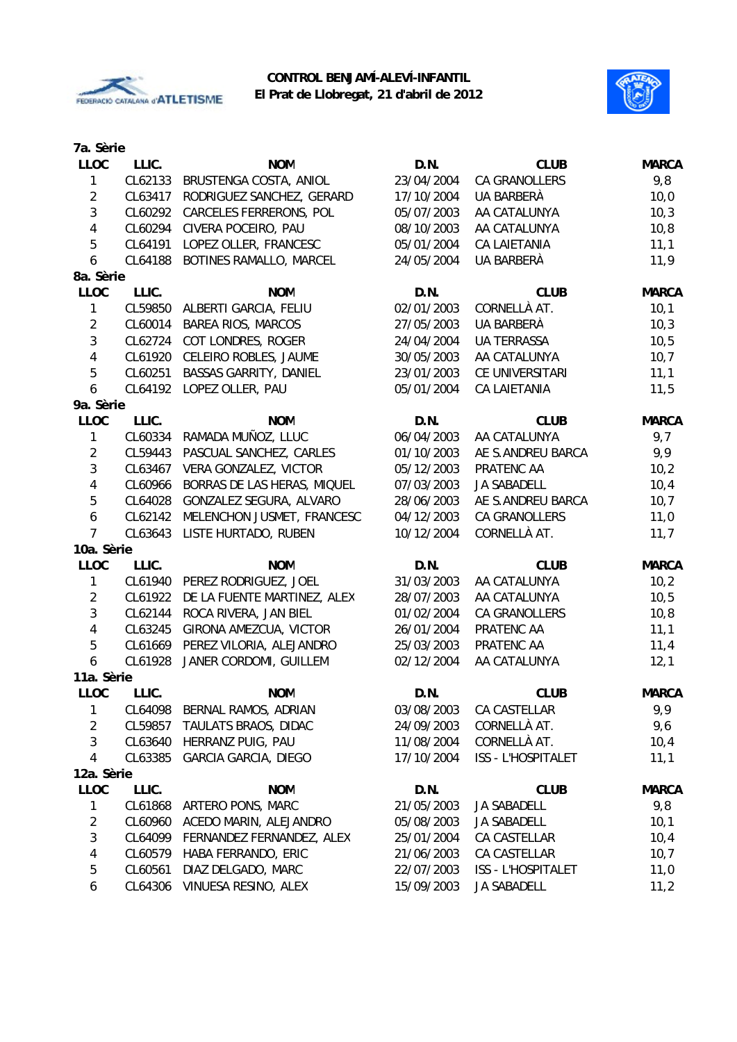



| 7a. Sèrie               |         |                                |            |                    |              |
|-------------------------|---------|--------------------------------|------------|--------------------|--------------|
| <b>LLOC</b>             | LLIC.   | <b>NOM</b>                     | D.N.       | <b>CLUB</b>        | <b>MARCA</b> |
| 1                       | CL62133 | BRUSTENGA COSTA, ANIOL         | 23/04/2004 | CA GRANOLLERS      | 9,8          |
| $\overline{2}$          | CL63417 | RODRIGUEZ SANCHEZ, GERARD      | 17/10/2004 | UA BARBERA         | 10,0         |
| $\mathfrak{Z}$          | CL60292 | <b>CARCELES FERRERONS, POL</b> | 05/07/2003 | AA CATALUNYA       | 10,3         |
| $\overline{\mathbf{4}}$ | CL60294 | CIVERA POCEIRO, PAU            | 08/10/2003 | AA CATALUNYA       | 10, 8        |
| 5                       | CL64191 | LOPEZ OLLER, FRANCESC          | 05/01/2004 | CA LAIETANIA       | 11,1         |
| 6                       | CL64188 | BOTINES RAMALLO, MARCEL        | 24/05/2004 | UA BARBERÀ         | 11,9         |
| 8a. Sèrie               |         |                                |            |                    |              |
| <b>LLOC</b>             | LLIC.   | <b>NOM</b>                     | D.N.       | <b>CLUB</b>        | <b>MARCA</b> |
| 1                       | CL59850 | ALBERTI GARCIA, FELIU          | 02/01/2003 | CORNELLÀ AT.       | 10,1         |
| $\overline{2}$          | CL60014 | <b>BAREA RIOS, MARCOS</b>      | 27/05/2003 | UA BARBERÀ         | 10,3         |
| $\mathbf{3}$            | CL62724 | COT LONDRES, ROGER             | 24/04/2004 | <b>UA TERRASSA</b> | 10,5         |
| $\overline{\mathbf{4}}$ | CL61920 | CELEIRO ROBLES, JAUME          | 30/05/2003 | AA CATALUNYA       | 10, 7        |
| 5                       | CL60251 | <b>BASSAS GARRITY, DANIEL</b>  | 23/01/2003 | CE UNIVERSITARI    | 11,1         |
| 6                       | CL64192 | LOPEZ OLLER, PAU               | 05/01/2004 | CA LAIETANIA       | 11,5         |
| 9a. Sèrie               |         |                                |            |                    |              |
| <b>LLOC</b>             | LLIC.   | <b>NOM</b>                     | D.N.       | <b>CLUB</b>        | <b>MARCA</b> |
| $\mathbf{1}$            | CL60334 | RAMADA MUÑOZ, LLUC             | 06/04/2003 | AA CATALUNYA       | 9,7          |
| $\overline{2}$          | CL59443 | PASCUAL SANCHEZ, CARLES        | 01/10/2003 | AE S.ANDREU BARCA  | 9,9          |
| $\mathfrak{Z}$          | CL63467 | VERA GONZALEZ, VICTOR          | 05/12/2003 | PRATENC AA         | 10,2         |
| $\overline{\mathbf{4}}$ | CL60966 | BORRAS DE LAS HERAS, MIQUEL    | 07/03/2003 | <b>JA SABADELL</b> | 10,4         |
| 5                       | CL64028 | GONZALEZ SEGURA, ALVARO        | 28/06/2003 | AE S.ANDREU BARCA  | 10,7         |
| $\boldsymbol{6}$        | CL62142 | MELENCHON JUSMET, FRANCESC     | 04/12/2003 | CA GRANOLLERS      | 11,0         |
| $\overline{7}$          | CL63643 | LISTE HURTADO, RUBEN           | 10/12/2004 | CORNELLÀ AT.       | 11,7         |
| 10a. Sèrie              |         |                                |            |                    |              |
| <b>LLOC</b>             | LLIC.   | <b>NOM</b>                     | D.N.       | <b>CLUB</b>        | <b>MARCA</b> |
| 1                       | CL61940 | PEREZ RODRIGUEZ, JOEL          | 31/03/2003 | AA CATALUNYA       | 10,2         |
| $\overline{2}$          | CL61922 | DE LA FUENTE MARTINEZ, ALEX    | 28/07/2003 | AA CATALUNYA       | 10,5         |
| $\mathfrak{Z}$          | CL62144 | ROCA RIVERA, JAN BIEL          | 01/02/2004 | CA GRANOLLERS      | 10, 8        |
| $\overline{\mathbf{4}}$ | CL63245 | GIRONA AMEZCUA, VICTOR         | 26/01/2004 | PRATENC AA         | 11,1         |
| 5                       | CL61669 | PEREZ VILORIA, ALEJANDRO       | 25/03/2003 | PRATENC AA         | 11,4         |
| 6                       | CL61928 | JANER CORDOMI, GUILLEM         | 02/12/2004 | AA CATALUNYA       | 12,1         |
| 11a. Sèrie              |         |                                |            |                    |              |
| <b>LLOC</b>             | LLIC.   | <b>NOM</b>                     | D.N.       | <b>CLUB</b>        | <b>MARCA</b> |
| 1                       | CL64098 | BERNAL RAMOS, ADRIAN           | 03/08/2003 | CA CASTELLAR       | 9,9          |
| $\overline{c}$          | CL59857 | TAULATS BRAOS, DIDAC           | 24/09/2003 | CORNELLÀ AT.       | 9,6          |
| 3                       | CL63640 | HERRANZ PUIG, PAU              | 11/08/2004 | CORNELLÀ AT.       | 10,4         |
| $\overline{4}$          | CL63385 | <b>GARCIA GARCIA, DIEGO</b>    | 17/10/2004 | ISS - L'HOSPITALET | 11,1         |
| 12a. Sèrie              |         |                                |            |                    |              |
| <b>LLOC</b>             | LLIC.   | <b>NOM</b>                     | D.N.       | <b>CLUB</b>        | <b>MARCA</b> |
| 1                       | CL61868 | ARTERO PONS, MARC              | 21/05/2003 | <b>JA SABADELL</b> | 9,8          |
| $\overline{c}$          | CL60960 | ACEDO MARIN, ALEJANDRO         | 05/08/2003 | JA SABADELL        | 10,1         |
| 3                       | CL64099 | FERNANDEZ FERNANDEZ, ALEX      | 25/01/2004 | CA CASTELLAR       | 10,4         |
| 4                       | CL60579 | HABA FERRANDO, ERIC            | 21/06/2003 | CA CASTELLAR       | 10,7         |
| 5                       | CL60561 | DIAZ DELGADO, MARC             | 22/07/2003 | ISS - L'HOSPITALET | 11,0         |
| 6                       | CL64306 | VINUESA RESINO, ALEX           | 15/09/2003 | JA SABADELL        | 11,2         |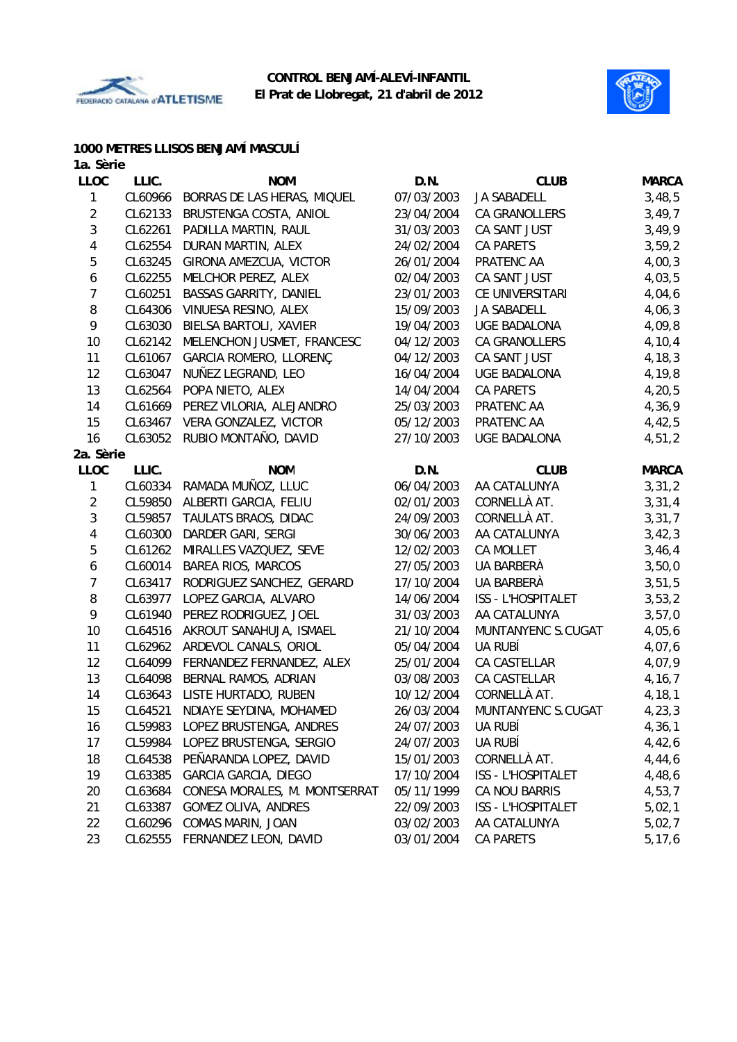



## **1000 METRES LLISOS BENJAMÍ MASCULÍ**

| 1a. Sèrie      |         |                                   |            |                           |              |
|----------------|---------|-----------------------------------|------------|---------------------------|--------------|
| <b>LLOC</b>    | LLIC.   | <b>NOM</b>                        | D.N.       | <b>CLUB</b>               | <b>MARCA</b> |
| $\mathbf{1}$   | CL60966 | BORRAS DE LAS HERAS, MIQUEL       | 07/03/2003 | <b>JA SABADELL</b>        | 3,48,5       |
| $\overline{2}$ | CL62133 | BRUSTENGA COSTA, ANIOL            | 23/04/2004 | CA GRANOLLERS             | 3,49,7       |
| 3              | CL62261 | PADILLA MARTIN, RAUL              | 31/03/2003 | CA SANT JUST              | 3,49,9       |
| 4              | CL62554 | DURAN MARTIN, ALEX                | 24/02/2004 | <b>CA PARETS</b>          | 3, 59, 2     |
| 5              | CL63245 | GIRONA AMEZCUA, VICTOR            | 26/01/2004 | PRATENC AA                | 4,00,3       |
| 6              | CL62255 | MELCHOR PEREZ, ALEX               | 02/04/2003 | CA SANT JUST              | 4,03,5       |
| $\overline{7}$ | CL60251 | BASSAS GARRITY, DANIEL            | 23/01/2003 | CE UNIVERSITARI           | 4,04,6       |
| 8              | CL64306 | VINUESA RESINO, ALEX              | 15/09/2003 | <b>JA SABADELL</b>        | 4,06,3       |
| 9              | CL63030 | BIELSA BARTOLI, XAVIER            | 19/04/2003 | UGE BADALONA              | 4,09,8       |
| 10             | CL62142 | MELENCHON JUSMET, FRANCESC        | 04/12/2003 | CA GRANOLLERS             | 4,10,4       |
| 11             | CL61067 | GARCIA ROMERO, LLORENÇ            | 04/12/2003 | CA SANT JUST              | 4,18,3       |
| 12             | CL63047 | NUÑEZ LEGRAND, LEO                | 16/04/2004 | <b>UGE BADALONA</b>       | 4,19,8       |
| 13             | CL62564 | POPA NIETO, ALEX                  | 14/04/2004 | CA PARETS                 | 4, 20, 5     |
| 14             | CL61669 | PEREZ VILORIA, ALEJANDRO          | 25/03/2003 | PRATENC AA                | 4,36,9       |
| 15             | CL63467 | VERA GONZALEZ, VICTOR             | 05/12/2003 | PRATENC AA                | 4,42,5       |
| 16             | CL63052 | RUBIO MONTAÑO, DAVID              | 27/10/2003 | <b>UGE BADALONA</b>       | 4,51,2       |
| 2a. Sèrie      |         |                                   |            |                           |              |
| <b>LLOC</b>    | LLIC.   | <b>NOM</b>                        | D.N.       | <b>CLUB</b>               | <b>MARCA</b> |
| $\mathbf{1}$   |         | CL60334 RAMADA MUÑOZ, LLUC        | 06/04/2003 | AA CATALUNYA              | 3,31,2       |
| $\overline{c}$ | CL59850 | ALBERTI GARCIA, FELIU             | 02/01/2003 | CORNELLÀ AT.              | 3,31,4       |
| 3              | CL59857 | TAULATS BRAOS, DIDAC              | 24/09/2003 | CORNELLÀ AT.              | 3,31,7       |
| 4              | CL60300 | DARDER GARI, SERGI                | 30/06/2003 | AA CATALUNYA              | 3,42,3       |
| 5              | CL61262 | MIRALLES VAZQUEZ, SEVE            | 12/02/2003 | CA MOLLET                 | 3,46,4       |
| 6              | CL60014 | <b>BAREA RIOS, MARCOS</b>         | 27/05/2003 | UA BARBERÀ                | 3,50,0       |
| $\overline{7}$ | CL63417 | RODRIGUEZ SANCHEZ, GERARD         | 17/10/2004 | UA BARBERÀ                | 3,51,5       |
| 8              | CL63977 | LOPEZ GARCIA, ALVARO              | 14/06/2004 | <b>ISS - L'HOSPITALET</b> | 3,53,2       |
| 9              | CL61940 | PEREZ RODRIGUEZ, JOEL             | 31/03/2003 | AA CATALUNYA              | 3,57,0       |
| 10             | CL64516 | AKROUT SANAHUJA, ISMAEL           | 21/10/2004 | MUNTANYENC S.CUGAT        | 4,05,6       |
| 11             | CL62962 | ARDEVOL CANALS, ORIOL             | 05/04/2004 | UA RUBÍ                   | 4,07,6       |
| 12             |         | CL64099 FERNANDEZ FERNANDEZ, ALEX | 25/01/2004 | CA CASTELLAR              | 4,07,9       |
| 13             | CL64098 | BERNAL RAMOS, ADRIAN              | 03/08/2003 | CA CASTELLAR              | 4, 16, 7     |
| 14             | CL63643 | LISTE HURTADO, RUBEN              | 10/12/2004 | CORNELLÀ AT.              | 4,18,1       |
| 15             | CL64521 | NDIAYE SEYDINA, MOHAMED           | 26/03/2004 | MUNTANYENC S.CUGAT        | 4, 23, 3     |
| 16             | CL59983 | LOPEZ BRUSTENGA, ANDRES           | 24/07/2003 | UA RUBÍ                   | 4,36,1       |
| 17             | CL59984 | LOPEZ BRUSTENGA, SERGIO           | 24/07/2003 | UA RUBÍ                   | 4,42,6       |
| 18             | CL64538 | PEÑARANDA LOPEZ, DAVID            | 15/01/2003 | CORNELLÀ AT.              | 4,44,6       |
| 19             | CL63385 | <b>GARCIA GARCIA, DIEGO</b>       | 17/10/2004 | ISS - L'HOSPITALET        | 4,48,6       |
| 20             | CL63684 | CONESA MORALES, M. MONTSERRAT     | 05/11/1999 | CA NOU BARRIS             | 4,53,7       |
| 21             | CL63387 | GOMEZ OLIVA, ANDRES               | 22/09/2003 | ISS - L'HOSPITALET        | 5,02,1       |
| 22             | CL60296 | COMAS MARIN, JOAN                 | 03/02/2003 | AA CATALUNYA              | 5,02,7       |
| 23             | CL62555 | FERNANDEZ LEON, DAVID             | 03/01/2004 | CA PARETS                 | 5, 17, 6     |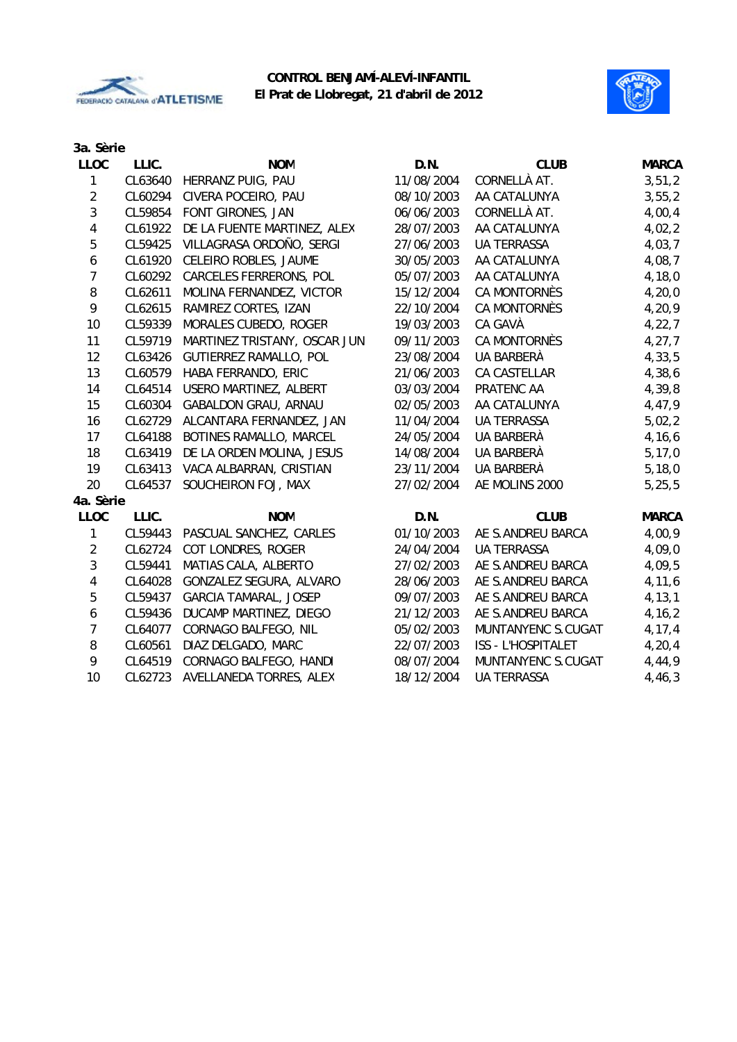



## **3a. Sèrie**

| <b>LLOC</b>      | LLIC.   | <b>NOM</b>                     | D.N.       | <b>CLUB</b>               | <b>MARCA</b> |
|------------------|---------|--------------------------------|------------|---------------------------|--------------|
| $\mathbf{1}$     |         | CL63640 HERRANZ PUIG, PAU      | 11/08/2004 | CORNELLÀ AT.              | 3, 51, 2     |
| $\overline{2}$   | CL60294 | CIVERA POCEIRO, PAU            | 08/10/2003 | AA CATALUNYA              | 3, 55, 2     |
| $\mathbf{3}$     | CL59854 | FONT GIRONES, JAN              | 06/06/2003 | CORNELLÀ AT.              | 4,00,4       |
| 4                | CL61922 | DE LA FUENTE MARTINEZ, ALEX    | 28/07/2003 | AA CATALUNYA              | 4,02,2       |
| 5                | CL59425 | VILLAGRASA ORDOÑO, SERGI       | 27/06/2003 | <b>UA TERRASSA</b>        | 4,03,7       |
| $\boldsymbol{6}$ | CL61920 | CELEIRO ROBLES, JAUME          | 30/05/2003 | AA CATALUNYA              | 4,08,7       |
| $\overline{7}$   | CL60292 | <b>CARCELES FERRERONS, POL</b> | 05/07/2003 | AA CATALUNYA              | 4, 18, 0     |
| 8                | CL62611 | MOLINA FERNANDEZ, VICTOR       | 15/12/2004 | CA MONTORNÈS              | 4, 20, 0     |
| 9                | CL62615 | RAMIREZ CORTES, IZAN           | 22/10/2004 | CA MONTORNÈS              | 4,20,9       |
| 10               | CL59339 | MORALES CUBEDO, ROGER          | 19/03/2003 | CA GAVÀ                   | 4, 22, 7     |
| 11               | CL59719 | MARTINEZ TRISTANY, OSCAR JUN   | 09/11/2003 | CA MONTORNÈS              | 4, 27, 7     |
| 12               | CL63426 | <b>GUTIERREZ RAMALLO, POL</b>  | 23/08/2004 | UA BARBERÀ                | 4, 33, 5     |
| 13               | CL60579 | HABA FERRANDO, ERIC            | 21/06/2003 | CA CASTELLAR              | 4,38,6       |
| 14               | CL64514 | USERO MARTINEZ, ALBERT         | 03/03/2004 | PRATENC AA                | 4,39,8       |
| 15               | CL60304 | GABALDON GRAU, ARNAU           | 02/05/2003 | AA CATALUNYA              | 4,47,9       |
| 16               | CL62729 | ALCANTARA FERNANDEZ, JAN       | 11/04/2004 | <b>UA TERRASSA</b>        | 5,02,2       |
| 17               | CL64188 | BOTINES RAMALLO, MARCEL        | 24/05/2004 | UA BARBERÀ                | 4, 16, 6     |
| 18               | CL63419 | DE LA ORDEN MOLINA, JESUS      | 14/08/2004 | UA BARBERÀ                | 5, 17, 0     |
| 19               | CL63413 | VACA ALBARRAN, CRISTIAN        | 23/11/2004 | UA BARBERÀ                | 5,18,0       |
| 20               | CL64537 | SOUCHEIRON FOJ, MAX            | 27/02/2004 | AE MOLINS 2000            | 5, 25, 5     |
| 4a. Sèrie        |         |                                |            |                           |              |
| <b>LLOC</b>      | LLIC.   | <b>NOM</b>                     | D.N.       | <b>CLUB</b>               | <b>MARCA</b> |
| 1                | CL59443 | PASCUAL SANCHEZ, CARLES        | 01/10/2003 | AE S.ANDREU BARCA         | 4,00,9       |
| $\overline{2}$   | CL62724 | COT LONDRES, ROGER             | 24/04/2004 | <b>UA TERRASSA</b>        | 4,09,0       |
| $\mathbf{3}$     | CL59441 | MATIAS CALA, ALBERTO           | 27/02/2003 | AE S.ANDREU BARCA         | 4,09,5       |
| 4                | CL64028 | GONZALEZ SEGURA, ALVARO        | 28/06/2003 | AE S.ANDREU BARCA         | 4, 11, 6     |
| 5                | CL59437 | <b>GARCIA TAMARAL, JOSEP</b>   | 09/07/2003 | AE S.ANDREU BARCA         | 4, 13, 1     |
| $\boldsymbol{6}$ | CL59436 | DUCAMP MARTINEZ, DIEGO         | 21/12/2003 | AE S.ANDREU BARCA         | 4, 16, 2     |
| $\overline{7}$   | CL64077 | CORNAGO BALFEGO, NIL           | 05/02/2003 | MUNTANYENC S.CUGAT        | 4, 17, 4     |
| 8                | CL60561 | DIAZ DELGADO, MARC             | 22/07/2003 | <b>ISS - L'HOSPITALET</b> | 4, 20, 4     |
| 9                | CL64519 | CORNAGO BALFEGO, HANDI         | 08/07/2004 | MUNTANYENC S.CUGAT        | 4,44,9       |
| 10               | CL62723 | AVELLANEDA TORRES, ALEX        | 18/12/2004 | <b>UA TERRASSA</b>        | 4,46,3       |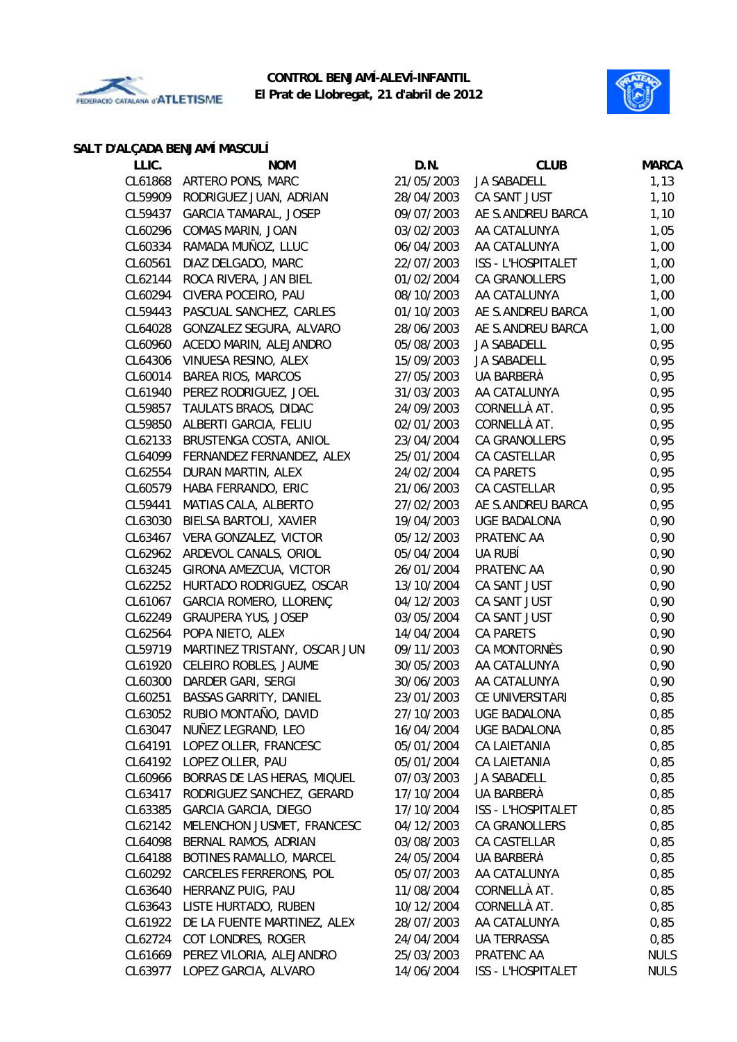



### **SALT D'ALÇADA BENJAMÍ MASCULÍ**

| LLIC.   | <b>NOM</b>                   | D.N.       | <b>CLUB</b>         | <b>MARCA</b> |
|---------|------------------------------|------------|---------------------|--------------|
| CL61868 | ARTERO PONS, MARC            | 21/05/2003 | JA SABADELL         | 1,13         |
| CL59909 | RODRIGUEZ JUAN, ADRIAN       | 28/04/2003 | CA SANT JUST        | 1,10         |
| CL59437 | <b>GARCIA TAMARAL, JOSEP</b> | 09/07/2003 | AE S.ANDREU BARCA   | 1,10         |
| CL60296 | COMAS MARIN, JOAN            | 03/02/2003 | AA CATALUNYA        | 1,05         |
| CL60334 | RAMADA MUÑOZ, LLUC           | 06/04/2003 | AA CATALUNYA        | 1,00         |
| CL60561 | DIAZ DELGADO, MARC           | 22/07/2003 | ISS - L'HOSPITALET  | 1,00         |
| CL62144 | ROCA RIVERA, JAN BIEL        | 01/02/2004 | CA GRANOLLERS       | 1,00         |
| CL60294 | CIVERA POCEIRO, PAU          | 08/10/2003 | AA CATALUNYA        | 1,00         |
| CL59443 | PASCUAL SANCHEZ, CARLES      | 01/10/2003 | AE S.ANDREU BARCA   | 1,00         |
| CL64028 | GONZALEZ SEGURA, ALVARO      | 28/06/2003 | AE S.ANDREU BARCA   | 1,00         |
| CL60960 | ACEDO MARIN, ALEJANDRO       | 05/08/2003 | <b>JA SABADELL</b>  | 0,95         |
| CL64306 | VINUESA RESINO, ALEX         | 15/09/2003 | JA SABADELL         | 0,95         |
| CL60014 | <b>BAREA RIOS, MARCOS</b>    | 27/05/2003 | UA BARBERÀ          | 0,95         |
| CL61940 | PEREZ RODRIGUEZ, JOEL        | 31/03/2003 | AA CATALUNYA        | 0,95         |
| CL59857 | TAULATS BRAOS, DIDAC         | 24/09/2003 | CORNELLÀ AT.        | 0,95         |
| CL59850 | ALBERTI GARCIA, FELIU        | 02/01/2003 | CORNELLÀ AT.        | 0,95         |
| CL62133 | BRUSTENGA COSTA, ANIOL       | 23/04/2004 | CA GRANOLLERS       | 0,95         |
| CL64099 | FERNANDEZ FERNANDEZ, ALEX    | 25/01/2004 | CA CASTELLAR        | 0,95         |
| CL62554 | DURAN MARTIN, ALEX           | 24/02/2004 | <b>CA PARETS</b>    | 0,95         |
| CL60579 | HABA FERRANDO, ERIC          | 21/06/2003 | CA CASTELLAR        | 0,95         |
| CL59441 | MATIAS CALA, ALBERTO         | 27/02/2003 | AE S.ANDREU BARCA   | 0,95         |
| CL63030 | BIELSA BARTOLI, XAVIER       | 19/04/2003 | <b>UGE BADALONA</b> | 0,90         |
| CL63467 | VERA GONZALEZ, VICTOR        | 05/12/2003 | PRATENC AA          | 0,90         |
| CL62962 | ARDEVOL CANALS, ORIOL        | 05/04/2004 | UA RUBÍ             | 0,90         |
| CL63245 | GIRONA AMEZCUA, VICTOR       | 26/01/2004 | PRATENC AA          | 0,90         |
| CL62252 | HURTADO RODRIGUEZ, OSCAR     | 13/10/2004 | CA SANT JUST        | 0,90         |
| CL61067 | GARCIA ROMERO, LLORENÇ       | 04/12/2003 | CA SANT JUST        | 0,90         |
| CL62249 | <b>GRAUPERA YUS, JOSEP</b>   | 03/05/2004 | CA SANT JUST        | 0,90         |
| CL62564 | POPA NIETO, ALEX             | 14/04/2004 | <b>CA PARETS</b>    | 0,90         |
| CL59719 | MARTINEZ TRISTANY, OSCAR JUN | 09/11/2003 | CA MONTORNÈS        | 0,90         |
| CL61920 | CELEIRO ROBLES, JAUME        | 30/05/2003 | AA CATALUNYA        | 0,90         |
| CL60300 | DARDER GARI, SERGI           | 30/06/2003 | AA CATALUNYA        | 0,90         |
| CL60251 | BASSAS GARRITY, DANIEL       | 23/01/2003 | CE UNIVERSITARI     | 0,85         |
| CL63052 | RUBIO MONTAÑO, DAVID         | 27/10/2003 | UGE BADALONA        | 0,85         |
| CL63047 | NUÑEZ LEGRAND, LEO           | 16/04/2004 | <b>UGE BADALONA</b> | 0,85         |
| CL64191 | LOPEZ OLLER, FRANCESC        | 05/01/2004 | CA LAIETANIA        | 0,85         |
| CL64192 | LOPEZ OLLER, PAU             | 05/01/2004 | CA LAIETANIA        | 0,85         |
| CL60966 | BORRAS DE LAS HERAS, MIQUEL  | 07/03/2003 | <b>JA SABADELL</b>  | 0,85         |
| CL63417 | RODRIGUEZ SANCHEZ, GERARD    | 17/10/2004 | UA BARBERÀ          | 0,85         |
| CL63385 | <b>GARCIA GARCIA, DIEGO</b>  | 17/10/2004 | ISS - L'HOSPITALET  | 0,85         |
| CL62142 | MELENCHON JUSMET, FRANCESC   | 04/12/2003 | CA GRANOLLERS       | 0,85         |
| CL64098 | BERNAL RAMOS, ADRIAN         | 03/08/2003 | CA CASTELLAR        | 0,85         |
| CL64188 | BOTINES RAMALLO, MARCEL      | 24/05/2004 | UA BARBERÀ          | 0,85         |
| CL60292 | CARCELES FERRERONS, POL      | 05/07/2003 | AA CATALUNYA        | 0,85         |
| CL63640 | HERRANZ PUIG, PAU            | 11/08/2004 | CORNELLÀ AT.        | 0,85         |
| CL63643 | LISTE HURTADO, RUBEN         | 10/12/2004 | CORNELLÀ AT.        | 0,85         |
| CL61922 | DE LA FUENTE MARTINEZ, ALEX  | 28/07/2003 | AA CATALUNYA        | 0,85         |
| CL62724 | COT LONDRES, ROGER           | 24/04/2004 | <b>UA TERRASSA</b>  | 0,85         |
| CL61669 | PEREZ VILORIA, ALEJANDRO     | 25/03/2003 | PRATENC AA          | <b>NULS</b>  |
| CL63977 | LOPEZ GARCIA, ALVARO         | 14/06/2004 | ISS - L'HOSPITALET  | <b>NULS</b>  |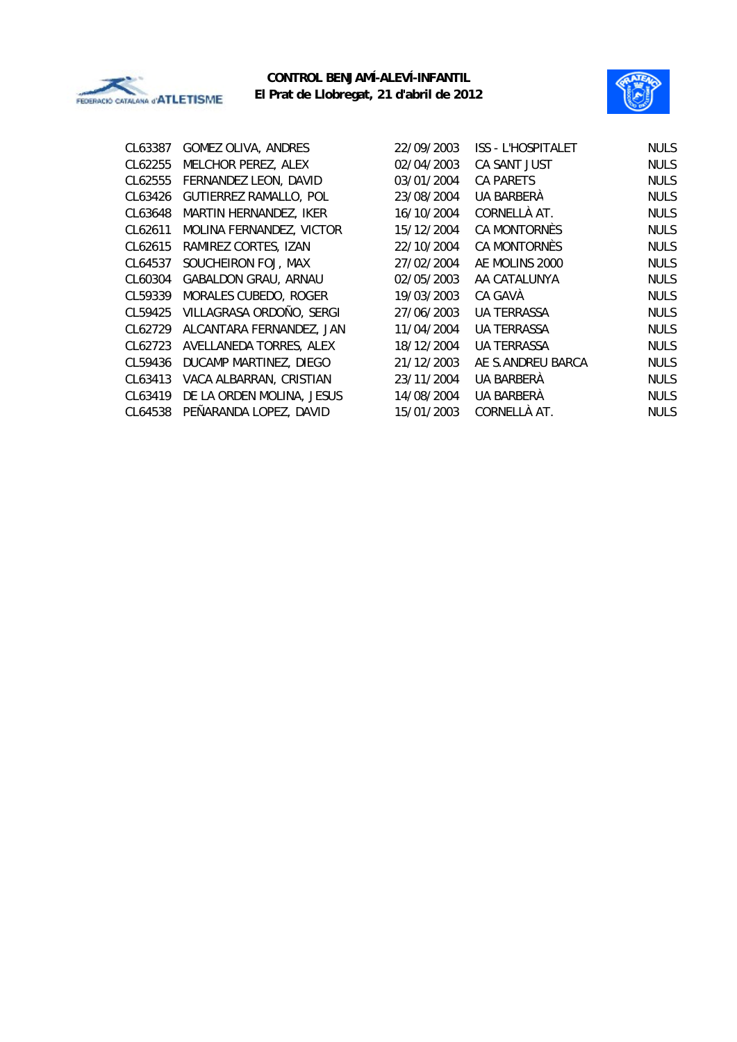



| CL63387  | <b>GOMEZ OLIVA, ANDRES</b>    |
|----------|-------------------------------|
| CL62255  | MELCHOR PEREZ, ALEX           |
| CI 62555 | FERNANDEZ LEON, DAVID         |
| CI 63426 | <b>GUTIERREZ RAMALLO, POL</b> |
| CI 63648 | MARTIN HERNANDEZ, IKER        |
| CI 62611 | MOLINA FERNANDEZ, VICTOR      |
| CI 62615 | RAMIREZ CORTES, IZAN          |
| CL64537  | SOUCHEIRON FOJ, MAX           |
| CL60304  | GABALDON GRAU, ARNAU          |
| CI 59339 | MORALES CUBEDO, ROGER         |
| CI 59425 | VILLAGRASA ORDOÑO, SERGI      |
| CL62729  | ALCANTARA FERNANDEZ, JAN      |
| CI 62723 | AVELLANEDA TORRES, ALEX       |
| CL59436  | DUCAMP MARTINEZ, DIEGO        |
| CI 63413 | VACA ALBARRAN, CRISTIAN       |
| CI 63419 | DE LA ORDEN MOLINA, JESUS     |
| CL64538  | PEÑARANDA LOPEZ, DAVID        |
|          |                               |

| CL63387 | GOMEZ OLIVA, ANDRES           | 22/09/2003 | ISS - L'HOSPITALET | <b>NULS</b> |
|---------|-------------------------------|------------|--------------------|-------------|
| CL62255 | MELCHOR PEREZ, ALEX           | 02/04/2003 | CA SANT JUST       | <b>NULS</b> |
| CL62555 | FERNANDEZ LEON, DAVID         | 03/01/2004 | <b>CA PARETS</b>   | <b>NULS</b> |
| CL63426 | <b>GUTIERREZ RAMALLO, POL</b> | 23/08/2004 | UA BARBERÀ         | <b>NULS</b> |
| CL63648 | MARTIN HERNANDEZ, IKER        | 16/10/2004 | CORNELLÀ AT.       | <b>NULS</b> |
| CL62611 | MOLINA FERNANDEZ, VICTOR      | 15/12/2004 | CA MONTORNÈS       | <b>NULS</b> |
| CL62615 | RAMIREZ CORTES, IZAN          | 22/10/2004 | CA MONTORNÈS       | <b>NULS</b> |
| CL64537 | SOUCHEIRON FOJ, MAX           | 27/02/2004 | AE MOLINS 2000     | <b>NULS</b> |
| CL60304 | <b>GABALDON GRAU, ARNAU</b>   | 02/05/2003 | AA CATALUNYA       | <b>NULS</b> |
| CL59339 | MORALES CUBEDO, ROGER         | 19/03/2003 | CA GAVÀ            | <b>NULS</b> |
| CL59425 | VILLAGRASA ORDOÑO, SERGI      | 27/06/2003 | UA TERRASSA        | <b>NULS</b> |
| CL62729 | ALCANTARA FERNANDEZ, JAN      | 11/04/2004 | UA TERRASSA        | <b>NULS</b> |
| CL62723 | AVELLANEDA TORRES, ALEX       | 18/12/2004 | <b>UA TERRASSA</b> | <b>NULS</b> |
| CL59436 | DUCAMP MARTINEZ, DIEGO        | 21/12/2003 | AE S.ANDREU BARCA  | <b>NULS</b> |
| CL63413 | VACA ALBARRAN, CRISTIAN       | 23/11/2004 | UA BARBERÀ         | <b>NULS</b> |
| CL63419 | DE LA ORDEN MOLINA, JESUS     | 14/08/2004 | UA BARBERÀ         | <b>NULS</b> |
| CL64538 | PEÑARANDA LOPEZ, DAVID        | 15/01/2003 | CORNELLÀ AT.       | <b>NULS</b> |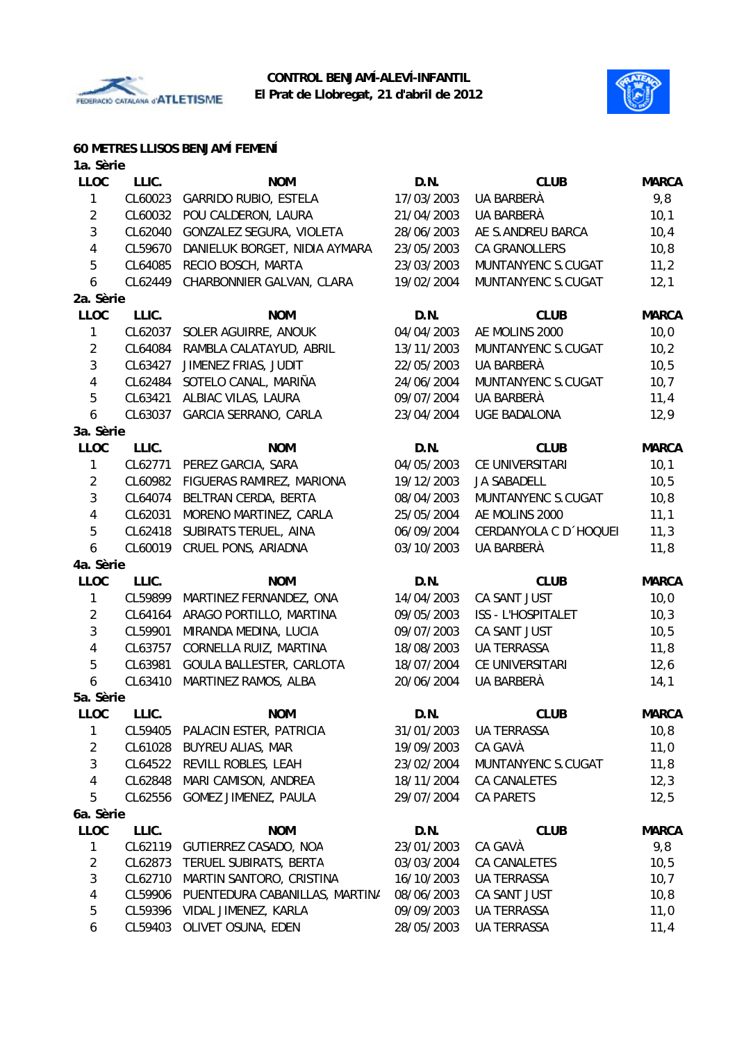



# **60 METRES LLISOS BENJAMÍ FEMENÍ**

| 1a. Sèrie      |         |                                |            |                        |              |
|----------------|---------|--------------------------------|------------|------------------------|--------------|
| <b>LLOC</b>    | LLIC.   | <b>NOM</b>                     | D.N.       | <b>CLUB</b>            | <b>MARCA</b> |
| 1              | CL60023 | GARRIDO RUBIO, ESTELA          | 17/03/2003 | UA BARBERÀ             | 9,8          |
| $\overline{2}$ | CL60032 | POU CALDERON, LAURA            | 21/04/2003 | UA BARBERÀ             | 10,1         |
| $\mathfrak{Z}$ | CL62040 | GONZALEZ SEGURA, VIOLETA       | 28/06/2003 | AE S.ANDREU BARCA      | 10,4         |
| 4              | CL59670 | DANIELUK BORGET, NIDIA AYMARA  | 23/05/2003 | <b>CA GRANOLLERS</b>   | 10,8         |
| 5              | CL64085 | RECIO BOSCH, MARTA             | 23/03/2003 | MUNTANYENC S.CUGAT     | 11,2         |
| 6              | CL62449 | CHARBONNIER GALVAN, CLARA      | 19/02/2004 | MUNTANYENC S.CUGAT     | 12,1         |
| 2a. Sèrie      |         |                                |            |                        |              |
| <b>LLOC</b>    | LLIC.   | <b>NOM</b>                     | D.N.       | <b>CLUB</b>            | <b>MARCA</b> |
| 1              | CL62037 | SOLER AGUIRRE, ANOUK           | 04/04/2003 | AE MOLINS 2000         | 10,0         |
| $\overline{2}$ | CL64084 | RAMBLA CALATAYUD, ABRIL        | 13/11/2003 | MUNTANYENC S.CUGAT     | 10,2         |
| 3              | CL63427 | JIMENEZ FRIAS, JUDIT           | 22/05/2003 | UA BARBERÀ             | 10, 5        |
| 4              | CL62484 | SOTELO CANAL, MARIÑA           | 24/06/2004 | MUNTANYENC S.CUGAT     | 10,7         |
| 5              | CL63421 | ALBIAC VILAS, LAURA            | 09/07/2004 | UA BARBERÀ             | 11,4         |
| 6              | CL63037 | GARCIA SERRANO, CARLA          | 23/04/2004 | <b>UGE BADALONA</b>    | 12,9         |
| 3a. Sèrie      |         |                                |            |                        |              |
| <b>LLOC</b>    | LLIC.   | <b>NOM</b>                     | D.N.       | <b>CLUB</b>            | <b>MARCA</b> |
| 1              | CL62771 | PEREZ GARCIA, SARA             | 04/05/2003 | CE UNIVERSITARI        | 10,1         |
| $\overline{2}$ | CL60982 | FIGUERAS RAMIREZ, MARIONA      | 19/12/2003 | <b>JA SABADELL</b>     | 10,5         |
| $\mathfrak{Z}$ | CL64074 | BELTRAN CERDA, BERTA           | 08/04/2003 | MUNTANYENC S.CUGAT     | 10, 8        |
| 4              | CL62031 | MORENO MARTINEZ, CARLA         | 25/05/2004 | AE MOLINS 2000         | 11,1         |
| 5              | CL62418 | SUBIRATS TERUEL, AINA          | 06/09/2004 | CERDANYOLA C D 'HOQUEI | 11,3         |
| 6              | CL60019 | CRUEL PONS, ARIADNA            | 03/10/2003 | UA BARBERÀ             | 11,8         |
| 4a. Sèrie      |         |                                |            |                        |              |
| <b>LLOC</b>    | LLIC.   | <b>NOM</b>                     | D.N.       | <b>CLUB</b>            | <b>MARCA</b> |
| 1              | CL59899 | MARTINEZ FERNANDEZ, ONA        | 14/04/2003 | CA SANT JUST           | 10,0         |
| $\overline{2}$ | CL64164 | ARAGO PORTILLO, MARTINA        | 09/05/2003 | ISS - L'HOSPITALET     | 10,3         |
| $\mathfrak{Z}$ | CL59901 | MIRANDA MEDINA, LUCIA          | 09/07/2003 | CA SANT JUST           | 10,5         |
| 4              | CL63757 | CORNELLA RUIZ, MARTINA         | 18/08/2003 | <b>UA TERRASSA</b>     | 11,8         |
| 5              | CL63981 | GOULA BALLESTER, CARLOTA       | 18/07/2004 | CE UNIVERSITARI        | 12,6         |
| 6              | CL63410 | MARTINEZ RAMOS, ALBA           | 20/06/2004 | UA BARBERÀ             | 14,1         |
| 5a. Sèrie      |         |                                |            |                        |              |
| <b>LLOC</b>    | LLIC.   | <b>NOM</b>                     | D.N.       | <b>CLUB</b>            | <b>MARCA</b> |
| 1              | CL59405 | PALACIN ESTER, PATRICIA        | 31/01/2003 | UA TERRASSA            | 10, 8        |
| $\overline{2}$ | CL61028 | <b>BUYREU ALIAS, MAR</b>       | 19/09/2003 | CA GAVÀ                | 11,0         |
| 3              | CL64522 | REVILL ROBLES, LEAH            | 23/02/2004 | MUNTANYENC S.CUGAT     | 11,8         |
| 4              | CL62848 | MARI CAMISON, ANDREA           | 18/11/2004 | <b>CA CANALETES</b>    | 12,3         |
| 5              | CL62556 | GOMEZ JIMENEZ, PAULA           | 29/07/2004 | <b>CA PARETS</b>       | 12,5         |
| 6a. Sèrie      |         |                                |            |                        |              |
| <b>LLOC</b>    | LLIC.   | <b>NOM</b>                     | D.N.       | <b>CLUB</b>            | <b>MARCA</b> |
| 1              | CL62119 | GUTIERREZ CASADO, NOA          | 23/01/2003 | CA GAVÀ                | 9,8          |
| $\overline{2}$ | CL62873 | TERUEL SUBIRATS, BERTA         | 03/03/2004 | CA CANALETES           | 10,5         |
| 3              | CL62710 | MARTIN SANTORO, CRISTINA       | 16/10/2003 | UA TERRASSA            | 10,7         |
| 4              | CL59906 | PUENTEDURA CABANILLAS, MARTINA | 08/06/2003 | CA SANT JUST           | 10, 8        |
| 5              | CL59396 | VIDAL JIMENEZ, KARLA           | 09/09/2003 | UA TERRASSA            | 11,0         |
| 6              |         | CL59403 OLIVET OSUNA, EDEN     | 28/05/2003 | UA TERRASSA            | 11,4         |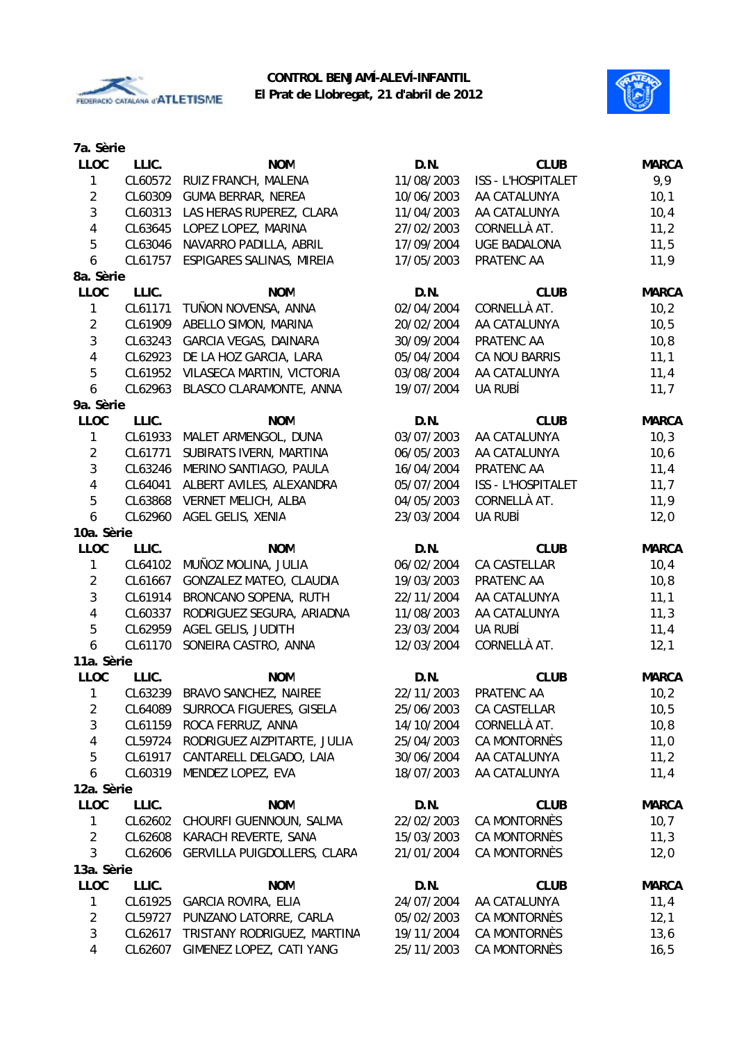



| <b>LLOC</b><br>LLIC.<br><b>NOM</b><br>D.N.<br><b>CLUB</b><br><b>MARCA</b><br>11/08/2003<br>9,9<br>$\mathbf{1}$<br>CL60572<br>RUIZ FRANCH, MALENA<br><b>ISS - L'HOSPITALET</b><br>$\overline{2}$<br>10,1<br>CL60309<br><b>GUMA BERRAR, NEREA</b><br>10/06/2003<br>AA CATALUNYA<br>$\mathfrak{Z}$<br>LAS HERAS RUPEREZ, CLARA<br>AA CATALUNYA<br>10,4<br>CL60313<br>11/04/2003<br>$\sqrt{4}$<br>CORNELLÀ AT.<br>LOPEZ LOPEZ, MARINA<br>27/02/2003<br>11,2<br>CL63645<br>$\overline{5}$<br>11,5<br>CL63046<br>NAVARRO PADILLA, ABRIL<br>17/09/2004<br><b>UGE BADALONA</b><br>$\boldsymbol{6}$<br>11,9<br>CL61757<br>ESPIGARES SALINAS, MIREIA<br>17/05/2003<br>PRATENC AA<br>8a. Sèrie<br><b>LLOC</b><br>LLIC.<br><b>NOM</b><br>D.N.<br><b>CLUB</b><br><b>MARCA</b><br>$\mathbf{1}$<br>CL61171<br>TUÑON NOVENSA, ANNA<br>02/04/2004<br>CORNELLÀ AT.<br>10,2<br>$\overline{2}$<br>10,5<br>CL61909<br>ABELLO SIMON, MARINA<br>20/02/2004<br>AA CATALUNYA<br>$\mathbf{3}$<br>CL63243<br>GARCIA VEGAS, DAINARA<br>30/09/2004<br>PRATENC AA<br>10, 8<br>$\sqrt{4}$<br>CA NOU BARRIS<br>CL62923<br>DE LA HOZ GARCIA, LARA<br>05/04/2004<br>11,1<br>5<br>11,4<br>CL61952<br>VILASECA MARTIN, VICTORIA<br>03/08/2004<br>AA CATALUNYA<br>$\boldsymbol{6}$<br>11,7<br>19/07/2004<br>UA RUBÍ<br>CL62963<br>BLASCO CLARAMONTE, ANNA<br>9a. Sèrie<br><b>LLOC</b><br>LLIC.<br><b>NOM</b><br>D.N.<br><b>CLUB</b><br><b>MARCA</b><br>$\mathbf{1}$<br>MALET ARMENGOL, DUNA<br>03/07/2003<br>10,3<br>CL61933<br>AA CATALUNYA<br>$\overline{2}$<br>10,6<br>SUBIRATS IVERN, MARTINA<br>06/05/2003<br>AA CATALUNYA<br>CL61771<br>$\mathbf{3}$<br>11,4<br>MERINO SANTIAGO, PAULA<br>16/04/2004<br>PRATENC AA<br>CL63246<br>$\pmb{4}$<br>11,7<br>CL64041<br>ALBERT AVILES, ALEXANDRA<br>05/07/2004<br><b>ISS - L'HOSPITALET</b><br>5<br>11,9<br>CL63868<br><b>VERNET MELICH, ALBA</b><br>04/05/2003<br>CORNELLÀ AT.<br>$\boldsymbol{6}$<br>UA RUBÍ<br>AGEL GELIS, XENIA<br>23/03/2004<br>12,0<br>CL62960<br>10a. Sèrie<br>LLIC.<br><b>LLOC</b><br><b>NOM</b><br>D.N.<br><b>CLUB</b><br><b>MARCA</b><br>1<br>CL64102<br>MUÑOZ MOLINA, JULIA<br>06/02/2004<br>CA CASTELLAR<br>10,4<br>$\overline{2}$<br>GONZALEZ MATEO, CLAUDIA<br>19/03/2003<br>PRATENC AA<br>10, 8<br>CL61667<br>$\mathbf{3}$<br>CL61914<br>BRONCANO SOPENA, RUTH<br>AA CATALUNYA<br>11,1<br>22/11/2004<br>$\pmb{4}$<br>CL60337<br>RODRIGUEZ SEGURA, ARIADNA<br>11/08/2003<br>AA CATALUNYA<br>11,3<br>5<br>CL62959<br>AGEL GELIS, JUDITH<br>23/03/2004<br>UA RUBÍ<br>11,4<br>$\boldsymbol{6}$<br>SONEIRA CASTRO, ANNA<br>12/03/2004<br>CORNELLÀ AT.<br>12,1<br>CL61170<br>11a. Sèrie<br><b>CLUB</b><br><b>LLOC</b><br>LLIC.<br><b>NOM</b><br>D.N.<br><b>MARCA</b><br>22/11/2003<br>CL63239 BRAVO SANCHEZ, NAIREE<br>PRATENC AA<br>10,2<br>$\mathbf{1}$<br>SURROCA FIGUERES, GISELA<br>CA CASTELLAR<br>10, 5<br>$\overline{2}$<br>CL64089<br>25/06/2003<br>3<br>CORNELLÀ AT.<br>10, 8<br>CL61159<br>ROCA FERRUZ, ANNA<br>14/10/2004<br>$\overline{\mathbf{4}}$<br>RODRIGUEZ AIZPITARTE, JULIA<br>CA MONTORNÈS<br>11,0<br>CL59724<br>25/04/2003<br>$\overline{5}$<br>CANTARELL DELGADO, LAIA<br>CL61917<br>30/06/2004<br>AA CATALUNYA<br>11,2<br>6<br>18/07/2003<br>CL60319<br>MENDEZ LOPEZ, EVA<br>AA CATALUNYA<br>11,4<br>12a. Sèrie<br>LLIC.<br><b>LLOC</b><br><b>NOM</b><br>D.N.<br><b>CLUB</b><br><b>MARCA</b><br>22/02/2003<br>10,7<br>1<br>CL62602<br>CHOURFI GUENNOUN, SALMA<br>CA MONTORNÈS<br>$\overline{2}$<br>KARACH REVERTE, SANA<br>CA MONTORNÈS<br>11,3<br>CL62608<br>15/03/2003<br>3<br>CL62606<br>GERVILLA PUIGDOLLERS, CLARA<br>21/01/2004<br>CA MONTORNÈS<br>12,0<br>13a. Sèrie<br><b>LLOC</b><br>D.N.<br>LLIC.<br><b>NOM</b><br><b>CLUB</b><br><b>MARCA</b><br>24/07/2004<br>CL61925<br><b>GARCIA ROVIRA, ELIA</b><br>AA CATALUNYA<br>11,4<br>1<br>CA MONTORNÈS<br>$\overline{2}$<br>CL59727<br>PUNZANO LATORRE, CARLA<br>05/02/2003<br>12,1<br>$\sqrt{3}$<br>CL62617<br>TRISTANY RODRIGUEZ, MARTINA<br>19/11/2004<br>CA MONTORNÈS<br>13,6<br>$\overline{4}$ | 7a. Sèrie |         |                          |            |              |       |
|----------------------------------------------------------------------------------------------------------------------------------------------------------------------------------------------------------------------------------------------------------------------------------------------------------------------------------------------------------------------------------------------------------------------------------------------------------------------------------------------------------------------------------------------------------------------------------------------------------------------------------------------------------------------------------------------------------------------------------------------------------------------------------------------------------------------------------------------------------------------------------------------------------------------------------------------------------------------------------------------------------------------------------------------------------------------------------------------------------------------------------------------------------------------------------------------------------------------------------------------------------------------------------------------------------------------------------------------------------------------------------------------------------------------------------------------------------------------------------------------------------------------------------------------------------------------------------------------------------------------------------------------------------------------------------------------------------------------------------------------------------------------------------------------------------------------------------------------------------------------------------------------------------------------------------------------------------------------------------------------------------------------------------------------------------------------------------------------------------------------------------------------------------------------------------------------------------------------------------------------------------------------------------------------------------------------------------------------------------------------------------------------------------------------------------------------------------------------------------------------------------------------------------------------------------------------------------------------------------------------------------------------------------------------------------------------------------------------------------------------------------------------------------------------------------------------------------------------------------------------------------------------------------------------------------------------------------------------------------------------------------------------------------------------------------------------------------------------------------------------------------------------------------------------------------------------------------------------------------------------------------------------------------------------------------------------------------------------------------------------------------------------------------------------------------------------------------------------------------------------------------------------------------------------------------------------------------------------------------------------------------------------------------------------------------------------------------------------------------------------------------------------------------------------------------------------------------------------------------------------------------------------------------------------------------------------------------------------------------------------------------------------|-----------|---------|--------------------------|------------|--------------|-------|
|                                                                                                                                                                                                                                                                                                                                                                                                                                                                                                                                                                                                                                                                                                                                                                                                                                                                                                                                                                                                                                                                                                                                                                                                                                                                                                                                                                                                                                                                                                                                                                                                                                                                                                                                                                                                                                                                                                                                                                                                                                                                                                                                                                                                                                                                                                                                                                                                                                                                                                                                                                                                                                                                                                                                                                                                                                                                                                                                                                                                                                                                                                                                                                                                                                                                                                                                                                                                                                                                                                                                                                                                                                                                                                                                                                                                                                                                                                                                                                                                                      |           |         |                          |            |              |       |
|                                                                                                                                                                                                                                                                                                                                                                                                                                                                                                                                                                                                                                                                                                                                                                                                                                                                                                                                                                                                                                                                                                                                                                                                                                                                                                                                                                                                                                                                                                                                                                                                                                                                                                                                                                                                                                                                                                                                                                                                                                                                                                                                                                                                                                                                                                                                                                                                                                                                                                                                                                                                                                                                                                                                                                                                                                                                                                                                                                                                                                                                                                                                                                                                                                                                                                                                                                                                                                                                                                                                                                                                                                                                                                                                                                                                                                                                                                                                                                                                                      |           |         |                          |            |              |       |
|                                                                                                                                                                                                                                                                                                                                                                                                                                                                                                                                                                                                                                                                                                                                                                                                                                                                                                                                                                                                                                                                                                                                                                                                                                                                                                                                                                                                                                                                                                                                                                                                                                                                                                                                                                                                                                                                                                                                                                                                                                                                                                                                                                                                                                                                                                                                                                                                                                                                                                                                                                                                                                                                                                                                                                                                                                                                                                                                                                                                                                                                                                                                                                                                                                                                                                                                                                                                                                                                                                                                                                                                                                                                                                                                                                                                                                                                                                                                                                                                                      |           |         |                          |            |              |       |
|                                                                                                                                                                                                                                                                                                                                                                                                                                                                                                                                                                                                                                                                                                                                                                                                                                                                                                                                                                                                                                                                                                                                                                                                                                                                                                                                                                                                                                                                                                                                                                                                                                                                                                                                                                                                                                                                                                                                                                                                                                                                                                                                                                                                                                                                                                                                                                                                                                                                                                                                                                                                                                                                                                                                                                                                                                                                                                                                                                                                                                                                                                                                                                                                                                                                                                                                                                                                                                                                                                                                                                                                                                                                                                                                                                                                                                                                                                                                                                                                                      |           |         |                          |            |              |       |
|                                                                                                                                                                                                                                                                                                                                                                                                                                                                                                                                                                                                                                                                                                                                                                                                                                                                                                                                                                                                                                                                                                                                                                                                                                                                                                                                                                                                                                                                                                                                                                                                                                                                                                                                                                                                                                                                                                                                                                                                                                                                                                                                                                                                                                                                                                                                                                                                                                                                                                                                                                                                                                                                                                                                                                                                                                                                                                                                                                                                                                                                                                                                                                                                                                                                                                                                                                                                                                                                                                                                                                                                                                                                                                                                                                                                                                                                                                                                                                                                                      |           |         |                          |            |              |       |
|                                                                                                                                                                                                                                                                                                                                                                                                                                                                                                                                                                                                                                                                                                                                                                                                                                                                                                                                                                                                                                                                                                                                                                                                                                                                                                                                                                                                                                                                                                                                                                                                                                                                                                                                                                                                                                                                                                                                                                                                                                                                                                                                                                                                                                                                                                                                                                                                                                                                                                                                                                                                                                                                                                                                                                                                                                                                                                                                                                                                                                                                                                                                                                                                                                                                                                                                                                                                                                                                                                                                                                                                                                                                                                                                                                                                                                                                                                                                                                                                                      |           |         |                          |            |              |       |
|                                                                                                                                                                                                                                                                                                                                                                                                                                                                                                                                                                                                                                                                                                                                                                                                                                                                                                                                                                                                                                                                                                                                                                                                                                                                                                                                                                                                                                                                                                                                                                                                                                                                                                                                                                                                                                                                                                                                                                                                                                                                                                                                                                                                                                                                                                                                                                                                                                                                                                                                                                                                                                                                                                                                                                                                                                                                                                                                                                                                                                                                                                                                                                                                                                                                                                                                                                                                                                                                                                                                                                                                                                                                                                                                                                                                                                                                                                                                                                                                                      |           |         |                          |            |              |       |
|                                                                                                                                                                                                                                                                                                                                                                                                                                                                                                                                                                                                                                                                                                                                                                                                                                                                                                                                                                                                                                                                                                                                                                                                                                                                                                                                                                                                                                                                                                                                                                                                                                                                                                                                                                                                                                                                                                                                                                                                                                                                                                                                                                                                                                                                                                                                                                                                                                                                                                                                                                                                                                                                                                                                                                                                                                                                                                                                                                                                                                                                                                                                                                                                                                                                                                                                                                                                                                                                                                                                                                                                                                                                                                                                                                                                                                                                                                                                                                                                                      |           |         |                          |            |              |       |
|                                                                                                                                                                                                                                                                                                                                                                                                                                                                                                                                                                                                                                                                                                                                                                                                                                                                                                                                                                                                                                                                                                                                                                                                                                                                                                                                                                                                                                                                                                                                                                                                                                                                                                                                                                                                                                                                                                                                                                                                                                                                                                                                                                                                                                                                                                                                                                                                                                                                                                                                                                                                                                                                                                                                                                                                                                                                                                                                                                                                                                                                                                                                                                                                                                                                                                                                                                                                                                                                                                                                                                                                                                                                                                                                                                                                                                                                                                                                                                                                                      |           |         |                          |            |              |       |
|                                                                                                                                                                                                                                                                                                                                                                                                                                                                                                                                                                                                                                                                                                                                                                                                                                                                                                                                                                                                                                                                                                                                                                                                                                                                                                                                                                                                                                                                                                                                                                                                                                                                                                                                                                                                                                                                                                                                                                                                                                                                                                                                                                                                                                                                                                                                                                                                                                                                                                                                                                                                                                                                                                                                                                                                                                                                                                                                                                                                                                                                                                                                                                                                                                                                                                                                                                                                                                                                                                                                                                                                                                                                                                                                                                                                                                                                                                                                                                                                                      |           |         |                          |            |              |       |
|                                                                                                                                                                                                                                                                                                                                                                                                                                                                                                                                                                                                                                                                                                                                                                                                                                                                                                                                                                                                                                                                                                                                                                                                                                                                                                                                                                                                                                                                                                                                                                                                                                                                                                                                                                                                                                                                                                                                                                                                                                                                                                                                                                                                                                                                                                                                                                                                                                                                                                                                                                                                                                                                                                                                                                                                                                                                                                                                                                                                                                                                                                                                                                                                                                                                                                                                                                                                                                                                                                                                                                                                                                                                                                                                                                                                                                                                                                                                                                                                                      |           |         |                          |            |              |       |
|                                                                                                                                                                                                                                                                                                                                                                                                                                                                                                                                                                                                                                                                                                                                                                                                                                                                                                                                                                                                                                                                                                                                                                                                                                                                                                                                                                                                                                                                                                                                                                                                                                                                                                                                                                                                                                                                                                                                                                                                                                                                                                                                                                                                                                                                                                                                                                                                                                                                                                                                                                                                                                                                                                                                                                                                                                                                                                                                                                                                                                                                                                                                                                                                                                                                                                                                                                                                                                                                                                                                                                                                                                                                                                                                                                                                                                                                                                                                                                                                                      |           |         |                          |            |              |       |
|                                                                                                                                                                                                                                                                                                                                                                                                                                                                                                                                                                                                                                                                                                                                                                                                                                                                                                                                                                                                                                                                                                                                                                                                                                                                                                                                                                                                                                                                                                                                                                                                                                                                                                                                                                                                                                                                                                                                                                                                                                                                                                                                                                                                                                                                                                                                                                                                                                                                                                                                                                                                                                                                                                                                                                                                                                                                                                                                                                                                                                                                                                                                                                                                                                                                                                                                                                                                                                                                                                                                                                                                                                                                                                                                                                                                                                                                                                                                                                                                                      |           |         |                          |            |              |       |
|                                                                                                                                                                                                                                                                                                                                                                                                                                                                                                                                                                                                                                                                                                                                                                                                                                                                                                                                                                                                                                                                                                                                                                                                                                                                                                                                                                                                                                                                                                                                                                                                                                                                                                                                                                                                                                                                                                                                                                                                                                                                                                                                                                                                                                                                                                                                                                                                                                                                                                                                                                                                                                                                                                                                                                                                                                                                                                                                                                                                                                                                                                                                                                                                                                                                                                                                                                                                                                                                                                                                                                                                                                                                                                                                                                                                                                                                                                                                                                                                                      |           |         |                          |            |              |       |
|                                                                                                                                                                                                                                                                                                                                                                                                                                                                                                                                                                                                                                                                                                                                                                                                                                                                                                                                                                                                                                                                                                                                                                                                                                                                                                                                                                                                                                                                                                                                                                                                                                                                                                                                                                                                                                                                                                                                                                                                                                                                                                                                                                                                                                                                                                                                                                                                                                                                                                                                                                                                                                                                                                                                                                                                                                                                                                                                                                                                                                                                                                                                                                                                                                                                                                                                                                                                                                                                                                                                                                                                                                                                                                                                                                                                                                                                                                                                                                                                                      |           |         |                          |            |              |       |
|                                                                                                                                                                                                                                                                                                                                                                                                                                                                                                                                                                                                                                                                                                                                                                                                                                                                                                                                                                                                                                                                                                                                                                                                                                                                                                                                                                                                                                                                                                                                                                                                                                                                                                                                                                                                                                                                                                                                                                                                                                                                                                                                                                                                                                                                                                                                                                                                                                                                                                                                                                                                                                                                                                                                                                                                                                                                                                                                                                                                                                                                                                                                                                                                                                                                                                                                                                                                                                                                                                                                                                                                                                                                                                                                                                                                                                                                                                                                                                                                                      |           |         |                          |            |              |       |
|                                                                                                                                                                                                                                                                                                                                                                                                                                                                                                                                                                                                                                                                                                                                                                                                                                                                                                                                                                                                                                                                                                                                                                                                                                                                                                                                                                                                                                                                                                                                                                                                                                                                                                                                                                                                                                                                                                                                                                                                                                                                                                                                                                                                                                                                                                                                                                                                                                                                                                                                                                                                                                                                                                                                                                                                                                                                                                                                                                                                                                                                                                                                                                                                                                                                                                                                                                                                                                                                                                                                                                                                                                                                                                                                                                                                                                                                                                                                                                                                                      |           |         |                          |            |              |       |
|                                                                                                                                                                                                                                                                                                                                                                                                                                                                                                                                                                                                                                                                                                                                                                                                                                                                                                                                                                                                                                                                                                                                                                                                                                                                                                                                                                                                                                                                                                                                                                                                                                                                                                                                                                                                                                                                                                                                                                                                                                                                                                                                                                                                                                                                                                                                                                                                                                                                                                                                                                                                                                                                                                                                                                                                                                                                                                                                                                                                                                                                                                                                                                                                                                                                                                                                                                                                                                                                                                                                                                                                                                                                                                                                                                                                                                                                                                                                                                                                                      |           |         |                          |            |              |       |
|                                                                                                                                                                                                                                                                                                                                                                                                                                                                                                                                                                                                                                                                                                                                                                                                                                                                                                                                                                                                                                                                                                                                                                                                                                                                                                                                                                                                                                                                                                                                                                                                                                                                                                                                                                                                                                                                                                                                                                                                                                                                                                                                                                                                                                                                                                                                                                                                                                                                                                                                                                                                                                                                                                                                                                                                                                                                                                                                                                                                                                                                                                                                                                                                                                                                                                                                                                                                                                                                                                                                                                                                                                                                                                                                                                                                                                                                                                                                                                                                                      |           |         |                          |            |              |       |
|                                                                                                                                                                                                                                                                                                                                                                                                                                                                                                                                                                                                                                                                                                                                                                                                                                                                                                                                                                                                                                                                                                                                                                                                                                                                                                                                                                                                                                                                                                                                                                                                                                                                                                                                                                                                                                                                                                                                                                                                                                                                                                                                                                                                                                                                                                                                                                                                                                                                                                                                                                                                                                                                                                                                                                                                                                                                                                                                                                                                                                                                                                                                                                                                                                                                                                                                                                                                                                                                                                                                                                                                                                                                                                                                                                                                                                                                                                                                                                                                                      |           |         |                          |            |              |       |
|                                                                                                                                                                                                                                                                                                                                                                                                                                                                                                                                                                                                                                                                                                                                                                                                                                                                                                                                                                                                                                                                                                                                                                                                                                                                                                                                                                                                                                                                                                                                                                                                                                                                                                                                                                                                                                                                                                                                                                                                                                                                                                                                                                                                                                                                                                                                                                                                                                                                                                                                                                                                                                                                                                                                                                                                                                                                                                                                                                                                                                                                                                                                                                                                                                                                                                                                                                                                                                                                                                                                                                                                                                                                                                                                                                                                                                                                                                                                                                                                                      |           |         |                          |            |              |       |
|                                                                                                                                                                                                                                                                                                                                                                                                                                                                                                                                                                                                                                                                                                                                                                                                                                                                                                                                                                                                                                                                                                                                                                                                                                                                                                                                                                                                                                                                                                                                                                                                                                                                                                                                                                                                                                                                                                                                                                                                                                                                                                                                                                                                                                                                                                                                                                                                                                                                                                                                                                                                                                                                                                                                                                                                                                                                                                                                                                                                                                                                                                                                                                                                                                                                                                                                                                                                                                                                                                                                                                                                                                                                                                                                                                                                                                                                                                                                                                                                                      |           |         |                          |            |              |       |
|                                                                                                                                                                                                                                                                                                                                                                                                                                                                                                                                                                                                                                                                                                                                                                                                                                                                                                                                                                                                                                                                                                                                                                                                                                                                                                                                                                                                                                                                                                                                                                                                                                                                                                                                                                                                                                                                                                                                                                                                                                                                                                                                                                                                                                                                                                                                                                                                                                                                                                                                                                                                                                                                                                                                                                                                                                                                                                                                                                                                                                                                                                                                                                                                                                                                                                                                                                                                                                                                                                                                                                                                                                                                                                                                                                                                                                                                                                                                                                                                                      |           |         |                          |            |              |       |
|                                                                                                                                                                                                                                                                                                                                                                                                                                                                                                                                                                                                                                                                                                                                                                                                                                                                                                                                                                                                                                                                                                                                                                                                                                                                                                                                                                                                                                                                                                                                                                                                                                                                                                                                                                                                                                                                                                                                                                                                                                                                                                                                                                                                                                                                                                                                                                                                                                                                                                                                                                                                                                                                                                                                                                                                                                                                                                                                                                                                                                                                                                                                                                                                                                                                                                                                                                                                                                                                                                                                                                                                                                                                                                                                                                                                                                                                                                                                                                                                                      |           |         |                          |            |              |       |
|                                                                                                                                                                                                                                                                                                                                                                                                                                                                                                                                                                                                                                                                                                                                                                                                                                                                                                                                                                                                                                                                                                                                                                                                                                                                                                                                                                                                                                                                                                                                                                                                                                                                                                                                                                                                                                                                                                                                                                                                                                                                                                                                                                                                                                                                                                                                                                                                                                                                                                                                                                                                                                                                                                                                                                                                                                                                                                                                                                                                                                                                                                                                                                                                                                                                                                                                                                                                                                                                                                                                                                                                                                                                                                                                                                                                                                                                                                                                                                                                                      |           |         |                          |            |              |       |
|                                                                                                                                                                                                                                                                                                                                                                                                                                                                                                                                                                                                                                                                                                                                                                                                                                                                                                                                                                                                                                                                                                                                                                                                                                                                                                                                                                                                                                                                                                                                                                                                                                                                                                                                                                                                                                                                                                                                                                                                                                                                                                                                                                                                                                                                                                                                                                                                                                                                                                                                                                                                                                                                                                                                                                                                                                                                                                                                                                                                                                                                                                                                                                                                                                                                                                                                                                                                                                                                                                                                                                                                                                                                                                                                                                                                                                                                                                                                                                                                                      |           |         |                          |            |              |       |
|                                                                                                                                                                                                                                                                                                                                                                                                                                                                                                                                                                                                                                                                                                                                                                                                                                                                                                                                                                                                                                                                                                                                                                                                                                                                                                                                                                                                                                                                                                                                                                                                                                                                                                                                                                                                                                                                                                                                                                                                                                                                                                                                                                                                                                                                                                                                                                                                                                                                                                                                                                                                                                                                                                                                                                                                                                                                                                                                                                                                                                                                                                                                                                                                                                                                                                                                                                                                                                                                                                                                                                                                                                                                                                                                                                                                                                                                                                                                                                                                                      |           |         |                          |            |              |       |
|                                                                                                                                                                                                                                                                                                                                                                                                                                                                                                                                                                                                                                                                                                                                                                                                                                                                                                                                                                                                                                                                                                                                                                                                                                                                                                                                                                                                                                                                                                                                                                                                                                                                                                                                                                                                                                                                                                                                                                                                                                                                                                                                                                                                                                                                                                                                                                                                                                                                                                                                                                                                                                                                                                                                                                                                                                                                                                                                                                                                                                                                                                                                                                                                                                                                                                                                                                                                                                                                                                                                                                                                                                                                                                                                                                                                                                                                                                                                                                                                                      |           |         |                          |            |              |       |
|                                                                                                                                                                                                                                                                                                                                                                                                                                                                                                                                                                                                                                                                                                                                                                                                                                                                                                                                                                                                                                                                                                                                                                                                                                                                                                                                                                                                                                                                                                                                                                                                                                                                                                                                                                                                                                                                                                                                                                                                                                                                                                                                                                                                                                                                                                                                                                                                                                                                                                                                                                                                                                                                                                                                                                                                                                                                                                                                                                                                                                                                                                                                                                                                                                                                                                                                                                                                                                                                                                                                                                                                                                                                                                                                                                                                                                                                                                                                                                                                                      |           |         |                          |            |              |       |
|                                                                                                                                                                                                                                                                                                                                                                                                                                                                                                                                                                                                                                                                                                                                                                                                                                                                                                                                                                                                                                                                                                                                                                                                                                                                                                                                                                                                                                                                                                                                                                                                                                                                                                                                                                                                                                                                                                                                                                                                                                                                                                                                                                                                                                                                                                                                                                                                                                                                                                                                                                                                                                                                                                                                                                                                                                                                                                                                                                                                                                                                                                                                                                                                                                                                                                                                                                                                                                                                                                                                                                                                                                                                                                                                                                                                                                                                                                                                                                                                                      |           |         |                          |            |              |       |
|                                                                                                                                                                                                                                                                                                                                                                                                                                                                                                                                                                                                                                                                                                                                                                                                                                                                                                                                                                                                                                                                                                                                                                                                                                                                                                                                                                                                                                                                                                                                                                                                                                                                                                                                                                                                                                                                                                                                                                                                                                                                                                                                                                                                                                                                                                                                                                                                                                                                                                                                                                                                                                                                                                                                                                                                                                                                                                                                                                                                                                                                                                                                                                                                                                                                                                                                                                                                                                                                                                                                                                                                                                                                                                                                                                                                                                                                                                                                                                                                                      |           |         |                          |            |              |       |
|                                                                                                                                                                                                                                                                                                                                                                                                                                                                                                                                                                                                                                                                                                                                                                                                                                                                                                                                                                                                                                                                                                                                                                                                                                                                                                                                                                                                                                                                                                                                                                                                                                                                                                                                                                                                                                                                                                                                                                                                                                                                                                                                                                                                                                                                                                                                                                                                                                                                                                                                                                                                                                                                                                                                                                                                                                                                                                                                                                                                                                                                                                                                                                                                                                                                                                                                                                                                                                                                                                                                                                                                                                                                                                                                                                                                                                                                                                                                                                                                                      |           |         |                          |            |              |       |
|                                                                                                                                                                                                                                                                                                                                                                                                                                                                                                                                                                                                                                                                                                                                                                                                                                                                                                                                                                                                                                                                                                                                                                                                                                                                                                                                                                                                                                                                                                                                                                                                                                                                                                                                                                                                                                                                                                                                                                                                                                                                                                                                                                                                                                                                                                                                                                                                                                                                                                                                                                                                                                                                                                                                                                                                                                                                                                                                                                                                                                                                                                                                                                                                                                                                                                                                                                                                                                                                                                                                                                                                                                                                                                                                                                                                                                                                                                                                                                                                                      |           |         |                          |            |              |       |
|                                                                                                                                                                                                                                                                                                                                                                                                                                                                                                                                                                                                                                                                                                                                                                                                                                                                                                                                                                                                                                                                                                                                                                                                                                                                                                                                                                                                                                                                                                                                                                                                                                                                                                                                                                                                                                                                                                                                                                                                                                                                                                                                                                                                                                                                                                                                                                                                                                                                                                                                                                                                                                                                                                                                                                                                                                                                                                                                                                                                                                                                                                                                                                                                                                                                                                                                                                                                                                                                                                                                                                                                                                                                                                                                                                                                                                                                                                                                                                                                                      |           |         |                          |            |              |       |
|                                                                                                                                                                                                                                                                                                                                                                                                                                                                                                                                                                                                                                                                                                                                                                                                                                                                                                                                                                                                                                                                                                                                                                                                                                                                                                                                                                                                                                                                                                                                                                                                                                                                                                                                                                                                                                                                                                                                                                                                                                                                                                                                                                                                                                                                                                                                                                                                                                                                                                                                                                                                                                                                                                                                                                                                                                                                                                                                                                                                                                                                                                                                                                                                                                                                                                                                                                                                                                                                                                                                                                                                                                                                                                                                                                                                                                                                                                                                                                                                                      |           |         |                          |            |              |       |
|                                                                                                                                                                                                                                                                                                                                                                                                                                                                                                                                                                                                                                                                                                                                                                                                                                                                                                                                                                                                                                                                                                                                                                                                                                                                                                                                                                                                                                                                                                                                                                                                                                                                                                                                                                                                                                                                                                                                                                                                                                                                                                                                                                                                                                                                                                                                                                                                                                                                                                                                                                                                                                                                                                                                                                                                                                                                                                                                                                                                                                                                                                                                                                                                                                                                                                                                                                                                                                                                                                                                                                                                                                                                                                                                                                                                                                                                                                                                                                                                                      |           |         |                          |            |              |       |
|                                                                                                                                                                                                                                                                                                                                                                                                                                                                                                                                                                                                                                                                                                                                                                                                                                                                                                                                                                                                                                                                                                                                                                                                                                                                                                                                                                                                                                                                                                                                                                                                                                                                                                                                                                                                                                                                                                                                                                                                                                                                                                                                                                                                                                                                                                                                                                                                                                                                                                                                                                                                                                                                                                                                                                                                                                                                                                                                                                                                                                                                                                                                                                                                                                                                                                                                                                                                                                                                                                                                                                                                                                                                                                                                                                                                                                                                                                                                                                                                                      |           |         |                          |            |              |       |
|                                                                                                                                                                                                                                                                                                                                                                                                                                                                                                                                                                                                                                                                                                                                                                                                                                                                                                                                                                                                                                                                                                                                                                                                                                                                                                                                                                                                                                                                                                                                                                                                                                                                                                                                                                                                                                                                                                                                                                                                                                                                                                                                                                                                                                                                                                                                                                                                                                                                                                                                                                                                                                                                                                                                                                                                                                                                                                                                                                                                                                                                                                                                                                                                                                                                                                                                                                                                                                                                                                                                                                                                                                                                                                                                                                                                                                                                                                                                                                                                                      |           |         |                          |            |              |       |
|                                                                                                                                                                                                                                                                                                                                                                                                                                                                                                                                                                                                                                                                                                                                                                                                                                                                                                                                                                                                                                                                                                                                                                                                                                                                                                                                                                                                                                                                                                                                                                                                                                                                                                                                                                                                                                                                                                                                                                                                                                                                                                                                                                                                                                                                                                                                                                                                                                                                                                                                                                                                                                                                                                                                                                                                                                                                                                                                                                                                                                                                                                                                                                                                                                                                                                                                                                                                                                                                                                                                                                                                                                                                                                                                                                                                                                                                                                                                                                                                                      |           |         |                          |            |              |       |
|                                                                                                                                                                                                                                                                                                                                                                                                                                                                                                                                                                                                                                                                                                                                                                                                                                                                                                                                                                                                                                                                                                                                                                                                                                                                                                                                                                                                                                                                                                                                                                                                                                                                                                                                                                                                                                                                                                                                                                                                                                                                                                                                                                                                                                                                                                                                                                                                                                                                                                                                                                                                                                                                                                                                                                                                                                                                                                                                                                                                                                                                                                                                                                                                                                                                                                                                                                                                                                                                                                                                                                                                                                                                                                                                                                                                                                                                                                                                                                                                                      |           |         |                          |            |              |       |
|                                                                                                                                                                                                                                                                                                                                                                                                                                                                                                                                                                                                                                                                                                                                                                                                                                                                                                                                                                                                                                                                                                                                                                                                                                                                                                                                                                                                                                                                                                                                                                                                                                                                                                                                                                                                                                                                                                                                                                                                                                                                                                                                                                                                                                                                                                                                                                                                                                                                                                                                                                                                                                                                                                                                                                                                                                                                                                                                                                                                                                                                                                                                                                                                                                                                                                                                                                                                                                                                                                                                                                                                                                                                                                                                                                                                                                                                                                                                                                                                                      |           |         |                          |            |              |       |
|                                                                                                                                                                                                                                                                                                                                                                                                                                                                                                                                                                                                                                                                                                                                                                                                                                                                                                                                                                                                                                                                                                                                                                                                                                                                                                                                                                                                                                                                                                                                                                                                                                                                                                                                                                                                                                                                                                                                                                                                                                                                                                                                                                                                                                                                                                                                                                                                                                                                                                                                                                                                                                                                                                                                                                                                                                                                                                                                                                                                                                                                                                                                                                                                                                                                                                                                                                                                                                                                                                                                                                                                                                                                                                                                                                                                                                                                                                                                                                                                                      |           |         |                          |            |              |       |
|                                                                                                                                                                                                                                                                                                                                                                                                                                                                                                                                                                                                                                                                                                                                                                                                                                                                                                                                                                                                                                                                                                                                                                                                                                                                                                                                                                                                                                                                                                                                                                                                                                                                                                                                                                                                                                                                                                                                                                                                                                                                                                                                                                                                                                                                                                                                                                                                                                                                                                                                                                                                                                                                                                                                                                                                                                                                                                                                                                                                                                                                                                                                                                                                                                                                                                                                                                                                                                                                                                                                                                                                                                                                                                                                                                                                                                                                                                                                                                                                                      |           |         |                          |            |              |       |
|                                                                                                                                                                                                                                                                                                                                                                                                                                                                                                                                                                                                                                                                                                                                                                                                                                                                                                                                                                                                                                                                                                                                                                                                                                                                                                                                                                                                                                                                                                                                                                                                                                                                                                                                                                                                                                                                                                                                                                                                                                                                                                                                                                                                                                                                                                                                                                                                                                                                                                                                                                                                                                                                                                                                                                                                                                                                                                                                                                                                                                                                                                                                                                                                                                                                                                                                                                                                                                                                                                                                                                                                                                                                                                                                                                                                                                                                                                                                                                                                                      |           |         |                          |            |              |       |
|                                                                                                                                                                                                                                                                                                                                                                                                                                                                                                                                                                                                                                                                                                                                                                                                                                                                                                                                                                                                                                                                                                                                                                                                                                                                                                                                                                                                                                                                                                                                                                                                                                                                                                                                                                                                                                                                                                                                                                                                                                                                                                                                                                                                                                                                                                                                                                                                                                                                                                                                                                                                                                                                                                                                                                                                                                                                                                                                                                                                                                                                                                                                                                                                                                                                                                                                                                                                                                                                                                                                                                                                                                                                                                                                                                                                                                                                                                                                                                                                                      |           |         |                          |            |              |       |
|                                                                                                                                                                                                                                                                                                                                                                                                                                                                                                                                                                                                                                                                                                                                                                                                                                                                                                                                                                                                                                                                                                                                                                                                                                                                                                                                                                                                                                                                                                                                                                                                                                                                                                                                                                                                                                                                                                                                                                                                                                                                                                                                                                                                                                                                                                                                                                                                                                                                                                                                                                                                                                                                                                                                                                                                                                                                                                                                                                                                                                                                                                                                                                                                                                                                                                                                                                                                                                                                                                                                                                                                                                                                                                                                                                                                                                                                                                                                                                                                                      |           |         |                          |            |              |       |
|                                                                                                                                                                                                                                                                                                                                                                                                                                                                                                                                                                                                                                                                                                                                                                                                                                                                                                                                                                                                                                                                                                                                                                                                                                                                                                                                                                                                                                                                                                                                                                                                                                                                                                                                                                                                                                                                                                                                                                                                                                                                                                                                                                                                                                                                                                                                                                                                                                                                                                                                                                                                                                                                                                                                                                                                                                                                                                                                                                                                                                                                                                                                                                                                                                                                                                                                                                                                                                                                                                                                                                                                                                                                                                                                                                                                                                                                                                                                                                                                                      |           |         |                          |            |              |       |
|                                                                                                                                                                                                                                                                                                                                                                                                                                                                                                                                                                                                                                                                                                                                                                                                                                                                                                                                                                                                                                                                                                                                                                                                                                                                                                                                                                                                                                                                                                                                                                                                                                                                                                                                                                                                                                                                                                                                                                                                                                                                                                                                                                                                                                                                                                                                                                                                                                                                                                                                                                                                                                                                                                                                                                                                                                                                                                                                                                                                                                                                                                                                                                                                                                                                                                                                                                                                                                                                                                                                                                                                                                                                                                                                                                                                                                                                                                                                                                                                                      |           |         |                          |            |              |       |
|                                                                                                                                                                                                                                                                                                                                                                                                                                                                                                                                                                                                                                                                                                                                                                                                                                                                                                                                                                                                                                                                                                                                                                                                                                                                                                                                                                                                                                                                                                                                                                                                                                                                                                                                                                                                                                                                                                                                                                                                                                                                                                                                                                                                                                                                                                                                                                                                                                                                                                                                                                                                                                                                                                                                                                                                                                                                                                                                                                                                                                                                                                                                                                                                                                                                                                                                                                                                                                                                                                                                                                                                                                                                                                                                                                                                                                                                                                                                                                                                                      |           |         |                          |            |              |       |
|                                                                                                                                                                                                                                                                                                                                                                                                                                                                                                                                                                                                                                                                                                                                                                                                                                                                                                                                                                                                                                                                                                                                                                                                                                                                                                                                                                                                                                                                                                                                                                                                                                                                                                                                                                                                                                                                                                                                                                                                                                                                                                                                                                                                                                                                                                                                                                                                                                                                                                                                                                                                                                                                                                                                                                                                                                                                                                                                                                                                                                                                                                                                                                                                                                                                                                                                                                                                                                                                                                                                                                                                                                                                                                                                                                                                                                                                                                                                                                                                                      |           | CL62607 | GIMENEZ LOPEZ, CATI YANG | 25/11/2003 | CA MONTORNÈS | 16, 5 |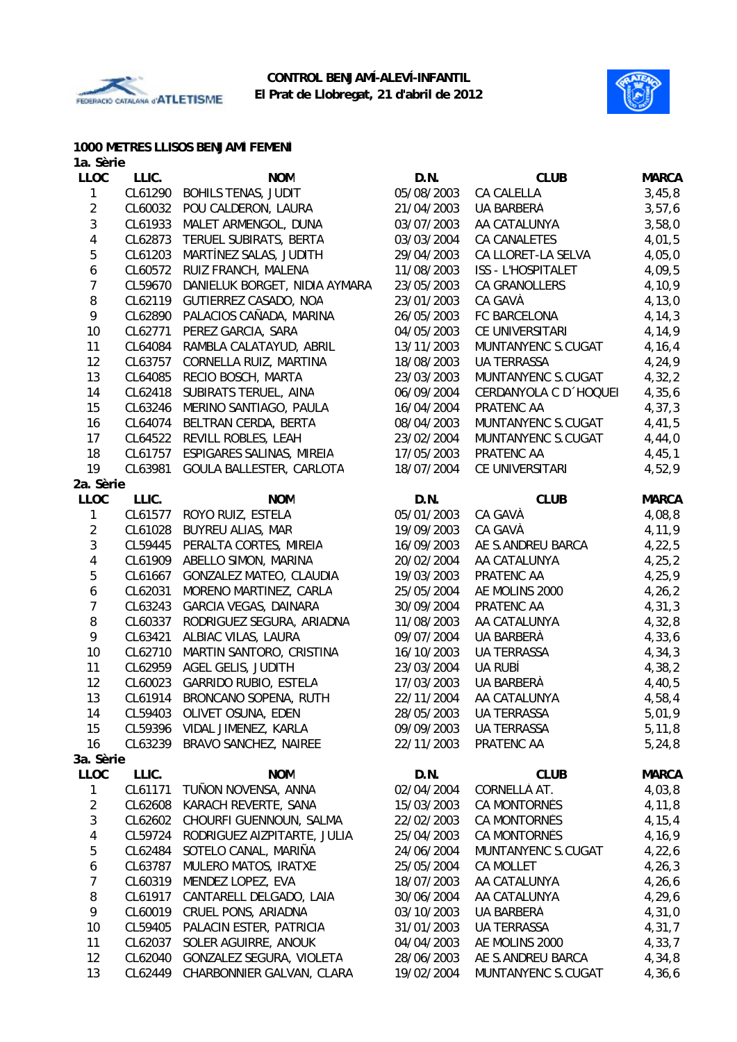



#### **1000 METRES LLISOS BENJAMÍ FEMENÍ**

| 1a. Sèrie               |         |                                   |            |                           |              |
|-------------------------|---------|-----------------------------------|------------|---------------------------|--------------|
| <b>LLOC</b>             | LLIC.   | <b>NOM</b>                        | D.N.       | <b>CLUB</b>               | <b>MARCA</b> |
| 1                       | CL61290 | <b>BOHILS TENAS, JUDIT</b>        | 05/08/2003 | CA CALELLA                | 3,45,8       |
| $\overline{2}$          | CL60032 | POU CALDERON, LAURA               | 21/04/2003 | UA BARBERÀ                | 3,57,6       |
| 3                       | CL61933 | MALET ARMENGOL, DUNA              | 03/07/2003 | AA CATALUNYA              | 3,58,0       |
| $\overline{\mathbf{4}}$ | CL62873 | TERUEL SUBIRATS, BERTA            | 03/03/2004 | CA CANALETES              | 4,01,5       |
| 5                       | CL61203 | MARTÍNEZ SALAS, JUDITH            | 29/04/2003 | CA LLORET-LA SELVA        | 4,05,0       |
| 6                       | CL60572 | RUIZ FRANCH, MALENA               | 11/08/2003 | <b>ISS - L'HOSPITALET</b> | 4,09,5       |
| $\overline{7}$          | CL59670 | DANIELUK BORGET, NIDIA AYMARA     | 23/05/2003 | CA GRANOLLERS             | 4,10,9       |
| 8                       | CL62119 | GUTIERREZ CASADO, NOA             | 23/01/2003 | CA GAVÀ                   | 4, 13, 0     |
| 9                       | CL62890 | PALACIOS CAÑADA, MARINA           | 26/05/2003 | FC BARCELONA              | 4, 14, 3     |
| 10                      | CL62771 | PEREZ GARCIA, SARA                | 04/05/2003 | CE UNIVERSITARI           | 4,14,9       |
| 11                      | CL64084 | RAMBLA CALATAYUD, ABRIL           | 13/11/2003 | MUNTANYENC S.CUGAT        | 4, 16, 4     |
| 12                      | CL63757 | CORNELLA RUIZ, MARTINA            | 18/08/2003 | <b>UA TERRASSA</b>        | 4,24,9       |
| 13                      | CL64085 | RECIO BOSCH, MARTA                | 23/03/2003 | MUNTANYENC S.CUGAT        | 4,32,2       |
| 14                      | CL62418 | SUBIRATS TERUEL, AINA             | 06/09/2004 | CERDANYOLA C D 'HOQUEI    | 4,35,6       |
| 15                      | CL63246 | MERINO SANTIAGO, PAULA            | 16/04/2004 | PRATENC AA                | 4, 37, 3     |
| 16                      | CL64074 | BELTRAN CERDA, BERTA              | 08/04/2003 | MUNTANYENC S.CUGAT        | 4,41,5       |
| 17                      | CL64522 | REVILL ROBLES, LEAH               | 23/02/2004 | MUNTANYENC S.CUGAT        | 4,44,0       |
| 18                      | CL61757 | ESPIGARES SALINAS, MIREIA         | 17/05/2003 | PRATENC AA                | 4,45,1       |
| 19                      | CL63981 | GOULA BALLESTER, CARLOTA          | 18/07/2004 | CE UNIVERSITARI           | 4,52,9       |
| 2a. Sèrie               |         |                                   |            |                           |              |
| <b>LLOC</b>             | LLIC.   | <b>NOM</b>                        | D.N.       | <b>CLUB</b>               | <b>MARCA</b> |
| 1                       | CL61577 | ROYO RUIZ, ESTELA                 | 05/01/2003 | CA GAVÀ                   | 4,08,8       |
| $\overline{2}$          | CL61028 | <b>BUYREU ALIAS, MAR</b>          | 19/09/2003 | CA GAVÀ                   | 4,11,9       |
| 3                       | CL59445 | PERALTA CORTES, MIREIA            | 16/09/2003 | AE S.ANDREU BARCA         | 4,22,5       |
| 4                       | CL61909 | ABELLO SIMON, MARINA              | 20/02/2004 | AA CATALUNYA              | 4, 25, 2     |
| 5                       | CL61667 | GONZALEZ MATEO, CLAUDIA           | 19/03/2003 | PRATENC AA                | 4, 25, 9     |
| 6                       | CL62031 | MORENO MARTINEZ, CARLA            | 25/05/2004 | AE MOLINS 2000            | 4, 26, 2     |
| $\overline{7}$          | CL63243 | GARCIA VEGAS, DAINARA             | 30/09/2004 | PRATENC AA                | 4, 31, 3     |
| 8                       | CL60337 | RODRIGUEZ SEGURA, ARIADNA         | 11/08/2003 | AA CATALUNYA              | 4,32,8       |
| 9                       | CL63421 | ALBIAC VILAS, LAURA               | 09/07/2004 | UA BARBERÀ                | 4,33,6       |
| 10                      | CL62710 | MARTIN SANTORO, CRISTINA          | 16/10/2003 | UA TERRASSA               | 4, 34, 3     |
| 11                      | CL62959 | AGEL GELIS, JUDITH                | 23/03/2004 | UA RUBÍ                   | 4,38,2       |
| 12                      | CL60023 | <b>GARRIDO RUBIO, ESTELA</b>      | 17/03/2003 | UA BARBERÀ                | 4,40,5       |
| 13                      | CL61914 | BRONCANO SOPENA, RUTH             | 22/11/2004 | AA CATALUNYA              | 4,58,4       |
| 14                      |         | CL59403 OLIVET OSUNA, EDEN        | 28/05/2003 | UA TERRASSA               | 5,01,9       |
| 15                      |         | CL59396 VIDAL JIMENEZ, KARLA      | 09/09/2003 | UA TERRASSA               | 5, 11, 8     |
| 16                      |         | CL63239 BRAVO SANCHEZ, NAIREE     | 22/11/2003 | PRATENC AA                | 5, 24, 8     |
| 3a. Sèrie               |         |                                   |            |                           |              |
| <b>LLOC</b>             | LLIC.   | <b>NOM</b>                        | D.N.       | <b>CLUB</b>               | <b>MARCA</b> |
| 1                       | CL61171 | TUÑON NOVENSA, ANNA               | 02/04/2004 | CORNELLÀ AT.              | 4,03,8       |
| $\overline{\mathbf{c}}$ | CL62608 | KARACH REVERTE, SANA              | 15/03/2003 | CA MONTORNÈS              | 4,11,8       |
| $\mathfrak{S}$          | CL62602 | CHOURFI GUENNOUN, SALMA           | 22/02/2003 | CA MONTORNÈS              | 4, 15, 4     |
| $\overline{\mathbf{4}}$ | CL59724 | RODRIGUEZ AIZPITARTE, JULIA       | 25/04/2003 | CA MONTORNÈS              | 4,16,9       |
| 5                       | CL62484 | SOTELO CANAL, MARIÑA              | 24/06/2004 | MUNTANYENC S.CUGAT        | 4,22,6       |
| $\boldsymbol{6}$        | CL63787 | MULERO MATOS, IRATXE              | 25/05/2004 | CA MOLLET                 | 4, 26, 3     |
| $\boldsymbol{7}$        | CL60319 | MENDEZ LOPEZ, EVA                 | 18/07/2003 | AA CATALUNYA              | 4, 26, 6     |
| 8                       | CL61917 | CANTARELL DELGADO, LAIA           | 30/06/2004 | AA CATALUNYA              | 4, 29, 6     |
| 9                       | CL60019 | CRUEL PONS, ARIADNA               | 03/10/2003 | UA BARBERÀ                | 4,31,0       |
| 10                      | CL59405 | PALACIN ESTER, PATRICIA           | 31/01/2003 | UA TERRASSA               | 4,31,7       |
| 11<br>12                | CL62037 | SOLER AGUIRRE, ANOUK              | 04/04/2003 | AE MOLINS 2000            | 4,33,7       |
| 13                      | CL62040 | GONZALEZ SEGURA, VIOLETA          | 28/06/2003 | AE S.ANDREU BARCA         | 4,34,8       |
|                         |         | CL62449 CHARBONNIER GALVAN, CLARA | 19/02/2004 | MUNTANYENC S.CUGAT        | 4,36,6       |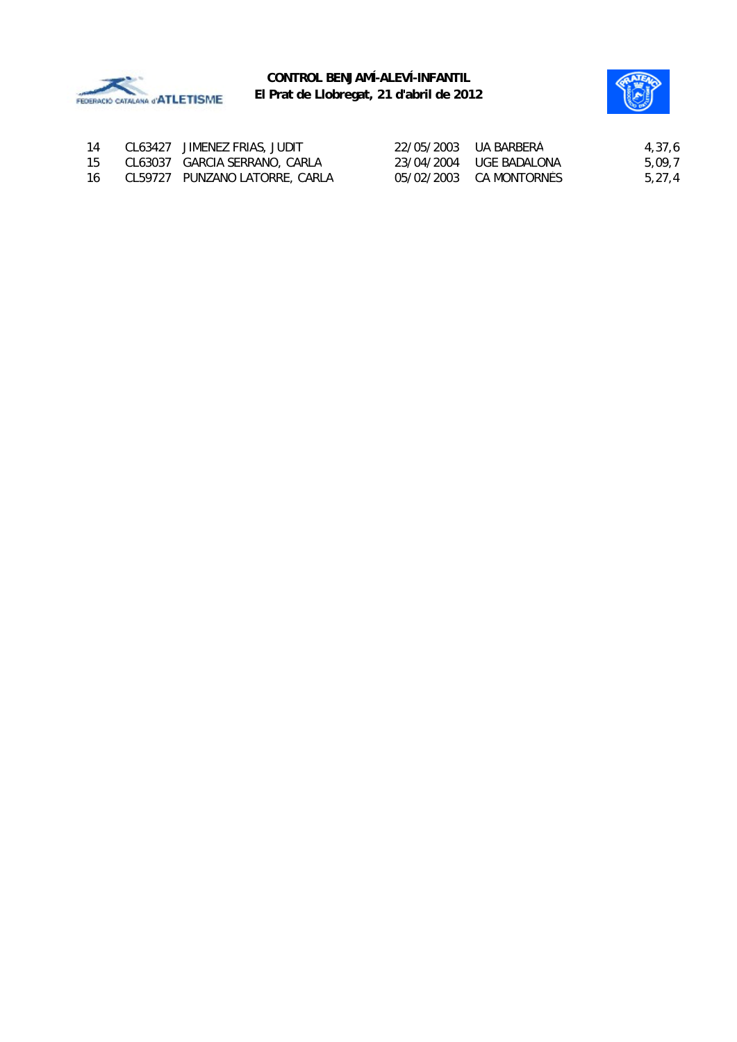



| 14  | CL63427 JIMENEZ FRIAS, JUDIT   | 22/05/2003 UA BARBERÀ   | 4,37,6 |
|-----|--------------------------------|-------------------------|--------|
| 15  | CL63037 GARCIA SERRANO, CARLA  | 23/04/2004 UGE BADALONA | 5,09,7 |
| -16 | CL59727 PUNZANO LATORRE, CARLA | 05/02/2003 CA MONTORNÈS | 5,27,4 |
|     |                                |                         |        |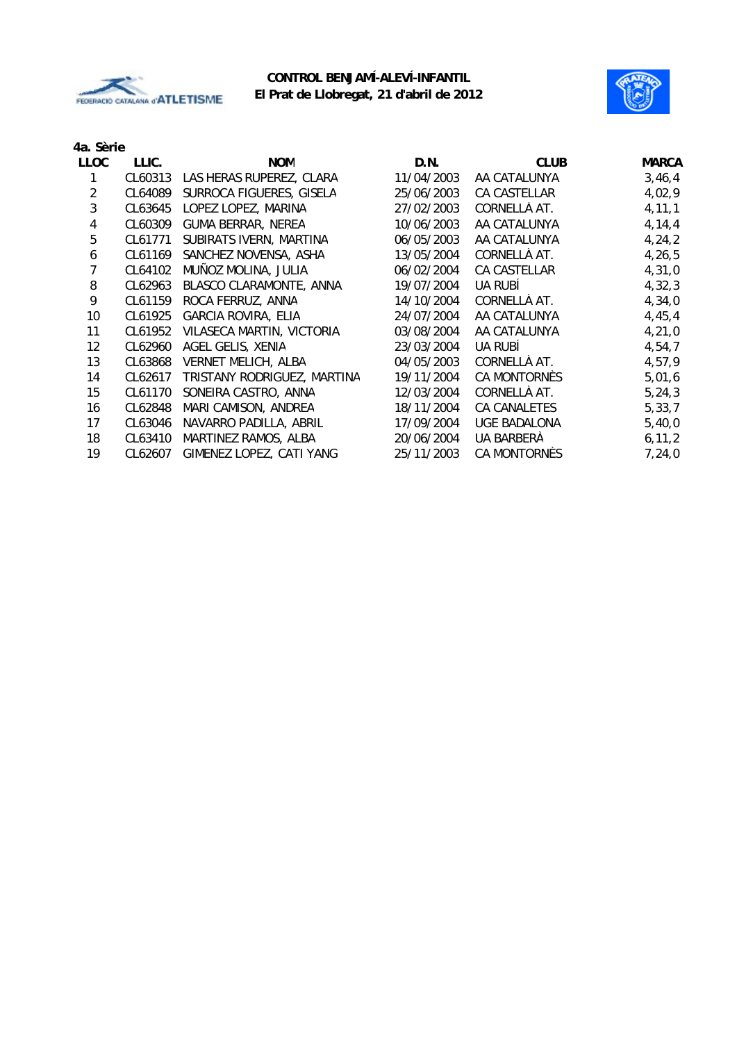



| 4a. Sèrie |
|-----------|
|           |

| LLIC.   | <b>NOM</b>                  | D.N.       | <b>CLUB</b>  | <b>MARCA</b> |
|---------|-----------------------------|------------|--------------|--------------|
| CL60313 | LAS HERAS RUPEREZ, CLARA    | 11/04/2003 | AA CATALUNYA | 3,46,4       |
| CL64089 | SURROCA FIGUERES, GISELA    | 25/06/2003 | CA CASTELLAR | 4,02,9       |
| CL63645 | LOPEZ LOPEZ, MARINA         | 27/02/2003 | CORNELLÀ AT. | 4, 11, 1     |
| CL60309 | <b>GUMA BERRAR, NEREA</b>   | 10/06/2003 | AA CATALUNYA | 4, 14, 4     |
| CL61771 | SUBIRATS IVERN, MARTINA     | 06/05/2003 | AA CATALUNYA | 4, 24, 2     |
| CL61169 | SANCHEZ NOVENSA, ASHA       | 13/05/2004 | CORNELLÀ AT. | 4, 26, 5     |
| CL64102 | MUÑOZ MOLINA, JULIA         | 06/02/2004 | CA CASTELLAR | 4,31,0       |
| CL62963 | BLASCO CLARAMONTE, ANNA     | 19/07/2004 | UA RUBÍ      | 4,32,3       |
| CL61159 | ROCA FERRUZ, ANNA           | 14/10/2004 | CORNELLÀ AT. | 4,34,0       |
| CL61925 | <b>GARCIA ROVIRA, ELIA</b>  | 24/07/2004 | AA CATALUNYA | 4,45,4       |
| CL61952 | VILASECA MARTIN, VICTORIA   | 03/08/2004 | AA CATALUNYA | 4, 21, 0     |
| CL62960 | AGEL GELIS, XENIA           | 23/03/2004 | UA RUBÍ      | 4,54,7       |
| CL63868 | <b>VERNET MELICH, ALBA</b>  | 04/05/2003 | CORNELLÀ AT. | 4,57,9       |
| CL62617 | TRISTANY RODRIGUEZ, MARTINA | 19/11/2004 | CA MONTORNÈS | 5,01,6       |
| CL61170 | SONEIRA CASTRO, ANNA        | 12/03/2004 | CORNELLÀ AT. | 5, 24, 3     |
| CL62848 | MARI CAMISON, ANDREA        | 18/11/2004 | CA CANALETES | 5, 33, 7     |
| CL63046 | NAVARRO PADILLA, ABRIL      | 17/09/2004 | UGE BADALONA | 5,40,0       |
| CL63410 | MARTINEZ RAMOS, ALBA        | 20/06/2004 | UA BARBERÀ   | 6, 11, 2     |
| CL62607 | GIMENEZ LOPEZ, CATI YANG    | 25/11/2003 | CA MONTORNÈS | 7,24,0       |
|         |                             |            |              |              |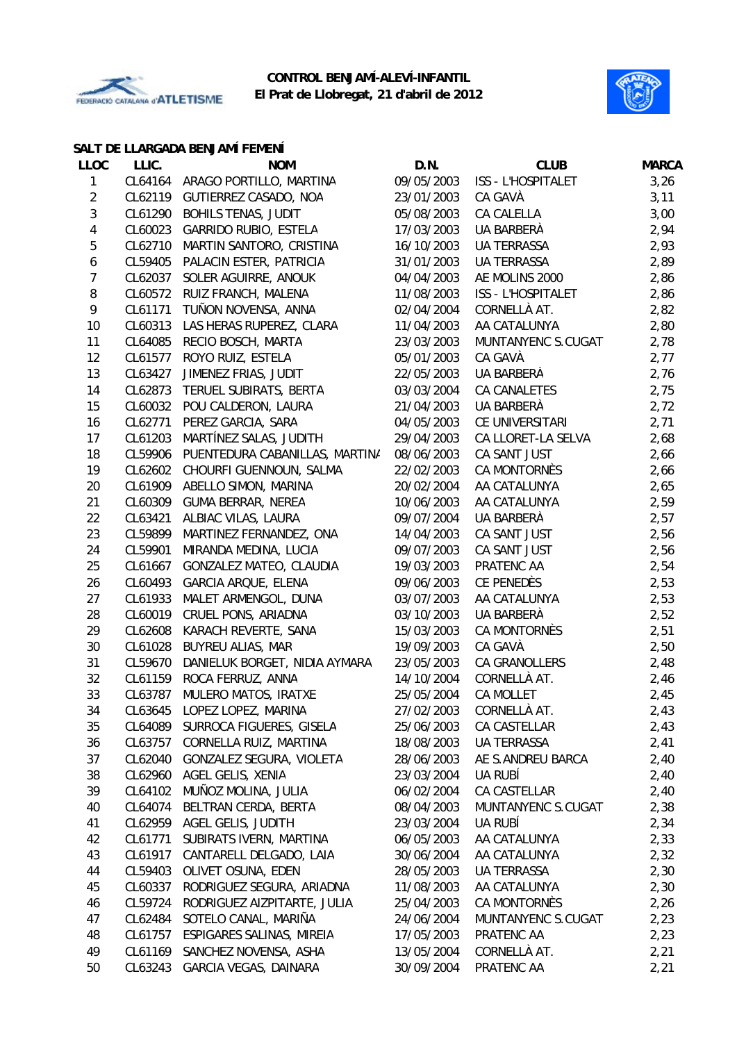



#### **SALT DE LLARGADA BENJAMÍ FEMENÍ**

| <b>LLOC</b>             | LLIC.   | <b>NOM</b>                       | D.N.       | <b>CLUB</b>               | <b>MARCA</b> |
|-------------------------|---------|----------------------------------|------------|---------------------------|--------------|
| 1                       |         | CL64164 ARAGO PORTILLO, MARTINA  | 09/05/2003 | ISS - L'HOSPITALET        | 3,26         |
| $\overline{\mathbf{c}}$ |         | CL62119 GUTIERREZ CASADO, NOA    | 23/01/2003 | CA GAVÀ                   | 3,11         |
| 3                       | CL61290 | <b>BOHILS TENAS, JUDIT</b>       | 05/08/2003 | CA CALELLA                | 3,00         |
| $\overline{\mathbf{4}}$ | CL60023 | <b>GARRIDO RUBIO, ESTELA</b>     | 17/03/2003 | UA BARBERÀ                | 2,94         |
| 5                       | CL62710 | MARTIN SANTORO, CRISTINA         | 16/10/2003 | UA TERRASSA               | 2,93         |
| $\boldsymbol{6}$        | CL59405 | PALACIN ESTER, PATRICIA          | 31/01/2003 | <b>UA TERRASSA</b>        | 2,89         |
| $\overline{7}$          | CL62037 | SOLER AGUIRRE, ANOUK             | 04/04/2003 | AE MOLINS 2000            | 2,86         |
| $\, 8$                  | CL60572 | RUIZ FRANCH, MALENA              | 11/08/2003 | <b>ISS - L'HOSPITALET</b> | 2,86         |
| 9                       | CL61171 | TUÑON NOVENSA, ANNA              | 02/04/2004 | CORNELLÀ AT.              | 2,82         |
| 10                      | CL60313 | LAS HERAS RUPEREZ, CLARA         | 11/04/2003 | AA CATALUNYA              | 2,80         |
| 11                      | CL64085 | RECIO BOSCH, MARTA               | 23/03/2003 | MUNTANYENC S.CUGAT        | 2,78         |
| 12                      | CL61577 | ROYO RUIZ, ESTELA                | 05/01/2003 | CA GAVÀ                   | 2,77         |
| 13                      | CL63427 | JIMENEZ FRIAS, JUDIT             | 22/05/2003 | UA BARBERÀ                | 2,76         |
| 14                      | CL62873 | TERUEL SUBIRATS, BERTA           | 03/03/2004 | CA CANALETES              | 2,75         |
| 15                      | CL60032 | POU CALDERON, LAURA              | 21/04/2003 | UA BARBERÀ                | 2,72         |
| 16                      | CL62771 | PEREZ GARCIA, SARA               | 04/05/2003 | CE UNIVERSITARI           | 2,71         |
| 17                      | CL61203 | MARTÍNEZ SALAS, JUDITH           | 29/04/2003 | CA LLORET-LA SELVA        | 2,68         |
| 18                      | CL59906 | PUENTEDURA CABANILLAS, MARTINA   | 08/06/2003 | CA SANT JUST              | 2,66         |
| 19                      | CL62602 | CHOURFI GUENNOUN, SALMA          | 22/02/2003 | CA MONTORNÈS              | 2,66         |
| 20                      | CL61909 | ABELLO SIMON, MARINA             | 20/02/2004 | AA CATALUNYA              | 2,65         |
| 21                      | CL60309 | <b>GUMA BERRAR, NEREA</b>        | 10/06/2003 | AA CATALUNYA              | 2,59         |
| 22                      | CL63421 | ALBIAC VILAS, LAURA              | 09/07/2004 | UA BARBERÀ                | 2,57         |
| 23                      | CL59899 | MARTINEZ FERNANDEZ, ONA          | 14/04/2003 | CA SANT JUST              | 2,56         |
| 24                      | CL59901 | MIRANDA MEDINA, LUCIA            | 09/07/2003 | CA SANT JUST              | 2,56         |
| 25                      | CL61667 | GONZALEZ MATEO, CLAUDIA          | 19/03/2003 | PRATENC AA                | 2,54         |
| 26                      | CL60493 | GARCIA ARQUE, ELENA              | 09/06/2003 | CE PENEDÈS                | 2,53         |
| 27                      | CL61933 | MALET ARMENGOL, DUNA             | 03/07/2003 | AA CATALUNYA              | 2,53         |
| 28                      | CL60019 | CRUEL PONS, ARIADNA              | 03/10/2003 | UA BARBERÀ                | 2,52         |
| 29                      | CL62608 | KARACH REVERTE, SANA             | 15/03/2003 | CA MONTORNÈS              | 2,51         |
| 30                      | CL61028 | <b>BUYREU ALIAS, MAR</b>         | 19/09/2003 | CA GAVÀ                   | 2,50         |
| 31                      | CL59670 | DANIELUK BORGET, NIDIA AYMARA    | 23/05/2003 | CA GRANOLLERS             | 2,48         |
| 32                      | CL61159 | ROCA FERRUZ, ANNA                | 14/10/2004 | CORNELLÀ AT.              | 2,46         |
| 33                      | CL63787 | MULERO MATOS, IRATXE             | 25/05/2004 | <b>CA MOLLET</b>          | 2,45         |
| 34                      |         | CL63645 LOPEZ LOPEZ, MARINA      | 27/02/2003 | CORNELLÀ AT.              | 2,43         |
| 35                      |         | CL64089 SURROCA FIGUERES, GISELA | 25/06/2003 | CA CASTELLAR              | 2,43         |
| 36                      | CL63757 | CORNELLA RUIZ, MARTINA           | 18/08/2003 | UA TERRASSA               | 2,41         |
| 37                      | CL62040 | GONZALEZ SEGURA, VIOLETA         | 28/06/2003 | AE S.ANDREU BARCA         | 2,40         |
| 38                      | CL62960 | AGEL GELIS, XENIA                | 23/03/2004 | UA RUBÍ                   | 2,40         |
| 39                      | CL64102 | MUÑOZ MOLINA, JULIA              | 06/02/2004 | CA CASTELLAR              | 2,40         |
| 40                      | CL64074 | BELTRAN CERDA, BERTA             | 08/04/2003 | MUNTANYENC S.CUGAT        | 2,38         |
| 41                      | CL62959 | AGEL GELIS, JUDITH               | 23/03/2004 | UA RUBÍ                   | 2,34         |
| 42                      | CL61771 | SUBIRATS IVERN, MARTINA          | 06/05/2003 | AA CATALUNYA              | 2,33         |
| 43                      | CL61917 | CANTARELL DELGADO, LAIA          | 30/06/2004 | AA CATALUNYA              | 2,32         |
| 44                      | CL59403 | OLIVET OSUNA, EDEN               | 28/05/2003 | <b>UA TERRASSA</b>        | 2,30         |
| 45                      | CL60337 | RODRIGUEZ SEGURA, ARIADNA        | 11/08/2003 | AA CATALUNYA              | 2,30         |
| 46                      | CL59724 | RODRIGUEZ AIZPITARTE, JULIA      | 25/04/2003 | CA MONTORNÈS              | 2,26         |
| 47                      | CL62484 | SOTELO CANAL, MARIÑA             | 24/06/2004 | MUNTANYENC S.CUGAT        | 2,23         |
| 48                      | CL61757 | ESPIGARES SALINAS, MIREIA        | 17/05/2003 | PRATENC AA                | 2,23         |
| 49                      | CL61169 | SANCHEZ NOVENSA, ASHA            | 13/05/2004 | CORNELLÀ AT.              | 2,21         |
| 50                      | CL63243 | GARCIA VEGAS, DAINARA            | 30/09/2004 | PRATENC AA                | 2,21         |